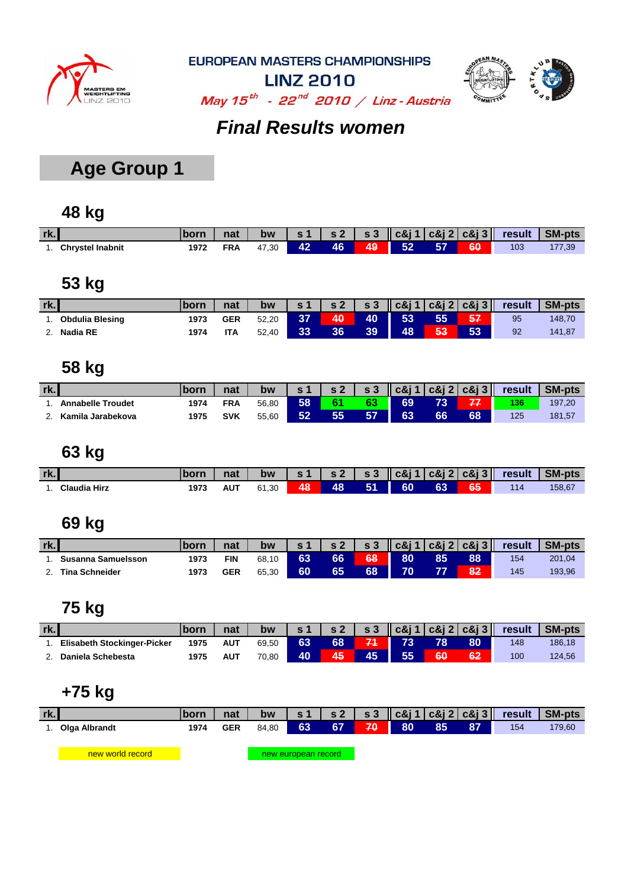



**LINZ 2010** May  $15^{th}$  - 22<sup>nd</sup> 2010 / Linz - Austria

### *Final Results women*

## **Age Group 1**

### **48 kg**

| rk. |                         | <b>Iborn</b> | nat | bw    | $\mathbf{s}$ 1 |    |    |         |    |    | $ S2 $ $ S3 $ $ C&1 $ $ C&1 $ $ C&1 $ $ C&1 $ $ C&1 $ $ C&1 $ $ C&1 $ | SM-pts       |
|-----|-------------------------|--------------|-----|-------|----------------|----|----|---------|----|----|-----------------------------------------------------------------------|--------------|
|     | <b>Chrystel Inabnit</b> | 1972         |     | 47.30 |                | 46 | 49 | 52<br>ш | 57 | 60 | 103                                                                   | $\sqrt{.39}$ |

### **53 kg**

| rk. |                        |      | nat        | bw    | $\sim$ 1 | s <sub>2</sub> |    |    |    |    | $\sim$ s 3 $\sim$ c&j 1   c&j 2   c&j 3   result | <b>SM-pts</b> |
|-----|------------------------|------|------------|-------|----------|----------------|----|----|----|----|--------------------------------------------------|---------------|
|     | <b>Obdulia Blesing</b> | 1973 | <b>GER</b> | 52.20 | 37       | 40             | 40 | 53 | 55 | 57 | 95                                               | 148,70        |
|     | <b>Nadia RE</b>        | 1974 | ITA        | 52,40 | 33       | 36             | 39 | 48 | 53 | 53 | 92                                               | 141,87        |

### **58 kg**

| rk. |                          |      | nat        | bw    | s 1 | s <sub>2</sub> | $\mathbf{s}$ 3 |    |    | $\vert \vert$ c&j 1 $\vert$ c&j 2 $\vert$ c&j 3 $\vert \vert$ | result | <b>SM-pts</b> |
|-----|--------------------------|------|------------|-------|-----|----------------|----------------|----|----|---------------------------------------------------------------|--------|---------------|
|     | <b>Annabelle Troudet</b> | 1974 | <b>FRA</b> | 56.80 | 58  | е.             | 63             | 69 | 73 |                                                               | 136    | 197,20        |
|     | Kamila Jarabekova        | 1975 | <b>SVK</b> | 55,60 | 52  |                | 57             | 63 | 66 | 68                                                            | 125    | 181,57        |

#### **63 kg**

| rk. |                     | horr | nat | bw    | $\mathbf{s}$ 1 | s2   s3 |    |    |    |    | $\ \cos j\ $ c&j 2 c&j 3 $\ $ result | <b>SM-pts</b> |
|-----|---------------------|------|-----|-------|----------------|---------|----|----|----|----|--------------------------------------|---------------|
|     | <b>Claudia Hirz</b> | 1973 | AUT | 61.30 | 48             | 48      | 51 | 60 | 63 | 65 | 114                                  | 158,67        |

#### **69 kg**

| rk. |                       | <b>born</b> | nat        | bw    | s 1 | s <sub>2</sub> | s <sub>3</sub> |    |    | $\vert \vert$ c&j 1 $\vert$ c&j 2 $\vert$ c&j 3 $\vert \vert$ | result | <b>SM-pts</b> |
|-----|-----------------------|-------------|------------|-------|-----|----------------|----------------|----|----|---------------------------------------------------------------|--------|---------------|
|     | Susanna Samuelsson    | 1973        | FIN        | 68,10 | 63  | 66             | 68             | 80 | 85 | 88                                                            | 154    | 201,04        |
|     | <b>Tina Schneider</b> | 1973        | <b>GER</b> | 65,30 | 60  | 65             | 68             |    |    | 82                                                            | 145    | 193,96        |

#### **75 kg**

| rk. |                                    |      | nat | bw    | s <sub>1</sub> | s <sub>2</sub> | s <sub>3</sub> |    |    | $\ c\&1 c\&1 2 c\&13\ $ | result | <b>SM-pts</b> |
|-----|------------------------------------|------|-----|-------|----------------|----------------|----------------|----|----|-------------------------|--------|---------------|
|     | <b>Elisabeth Stockinger-Picker</b> | 1975 | AUT | 69.50 | 63             | 68             |                |    | 78 | 80                      | 148    | 186,18        |
|     | Daniela Schebesta                  | 1975 | AUT | 70.80 | 40             | 45/            | 45             | 55 | 60 | 62                      | 100    | 124,56        |

## **+75 kg**

| rk. |                  | born | nat        | bw    | s <sub>1</sub>      | <b>s2</b> I |            |    |    |    | $\vert$ s 3 $\vert$ c & j 1 $\vert$ c & j 2 $\vert$ c & j 3 $\vert$ result | <b>SM-pts</b> |
|-----|------------------|------|------------|-------|---------------------|-------------|------------|----|----|----|----------------------------------------------------------------------------|---------------|
|     | 1. Olga Albrandt | 1974 | <b>GER</b> | 84.80 | 63                  | 67          | <b>170</b> | 80 | 85 | 87 | 154                                                                        | 179,60        |
|     |                  |      |            |       |                     |             |            |    |    |    |                                                                            |               |
|     | new world record |      |            |       | new european record |             |            |    |    |    |                                                                            |               |
|     |                  |      |            |       |                     |             |            |    |    |    |                                                                            |               |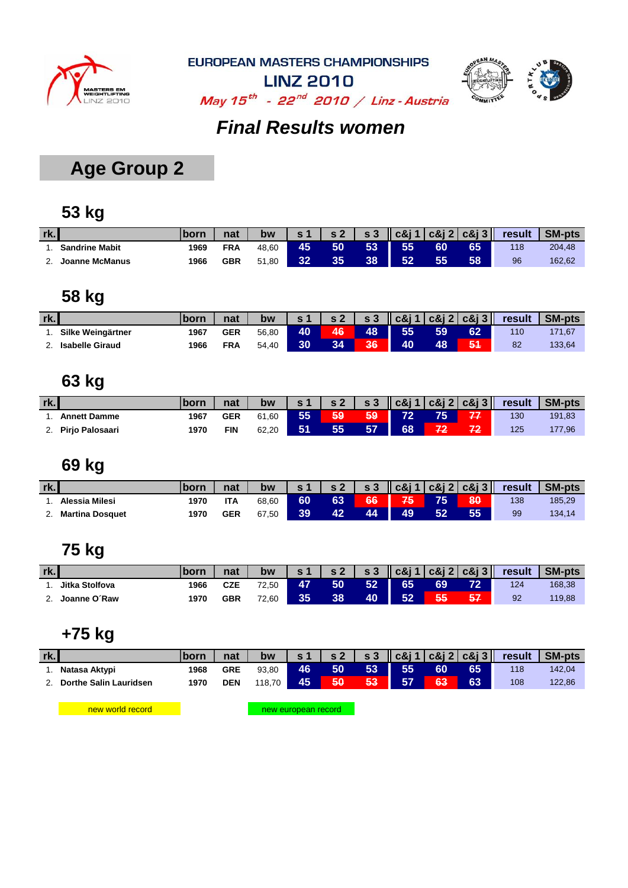



**LINZ 2010** May  $15^{th}$  - 22<sup>nd</sup> 2010 / Linz - Austria

#### *Final Results women*

## **Age Group 2**

#### **53 kg**

| rk. |                       |      | nat        | bw    | s <sub>1</sub> | $\sim$ 2 | s <sub>3</sub> |    |    | $\ c8i1 c8i2 c8i3\ $ | result | <b>SM-pts</b> |
|-----|-----------------------|------|------------|-------|----------------|----------|----------------|----|----|----------------------|--------|---------------|
|     | <b>Sandrine Mabit</b> | 1969 | <b>FRA</b> | 48.60 | 45             | 50       | 53             | 55 | 60 | 65                   | 118    | 204.48        |
|     | Joanne McManus        | 1966 | <b>GBR</b> | 51,80 | 32             |          | 38             |    | 55 | 58                   | 96     | 162,62        |

#### **58 kg**

| rk. |                        | <b>lborn</b> | nat | bw    | $\sim$ 1 | $\epsilon$ 2 | s <sub>3</sub> | $\vert \vert$ c&j 1 $\vert$ c&j 2 $\vert$ c&j 3 $\vert \vert$ |    |    | result           | <b>SM-pts</b> |
|-----|------------------------|--------------|-----|-------|----------|--------------|----------------|---------------------------------------------------------------|----|----|------------------|---------------|
|     | Silke Weingärtner      | 1967         | GER | 56.80 | 40       | 46           | 48             | 55                                                            | 59 | 62 | 110 <sup>°</sup> | 171,67        |
| -   | <b>Isabelle Giraud</b> | 1966         | FRA | 54,40 | 30       | 34           | 36             | 40                                                            | 48 | 51 | 82               | 133,64        |

### **63 kg**

| rk. |                     | born | nat        | bw    | s <sub>1</sub> | <b>s</b> 2 |    |    |    |    | $\vert$ s 3 $\vert$ c&j 1 c&j 2 c&j 3 $\vert$ result | SM-pts |
|-----|---------------------|------|------------|-------|----------------|------------|----|----|----|----|------------------------------------------------------|--------|
|     | <b>Annett Damme</b> | 1967 | <b>GER</b> | 61.60 | 55             | 59         | 59 | 72 | 75 | 77 | 130                                                  | 191,83 |
|     | Pirjo Palosaari     | 1970 | FIN        | 62,20 | 51             | 55         | 57 | 68 |    | 72 | 125                                                  | 177,96 |

#### **69 kg**

| rk. |                        |      | nat        | <b>bw</b> |    | s <sub>2</sub> |    |    |    |    | $\sim$ s 3 $\sim$ c&j 1   c&j 2   c&j 3   result | <b>SM-pts</b> |
|-----|------------------------|------|------------|-----------|----|----------------|----|----|----|----|--------------------------------------------------|---------------|
|     | Alessia Milesi         | 1970 | <b>ITA</b> | 68,60     | 60 | 63             | 66 | 75 | 75 | 80 | 138                                              | 185,29        |
|     | <b>Martina Dosquet</b> | 1970 | <b>GER</b> | 67.50     | 39 |                | 44 | 49 | 52 | 55 | 99                                               | 134,14        |

### **75 kg**

| rk. |                | <b>born</b> | nat        | bw    | s <sub>1</sub> | s <sub>2</sub> | $\mathbf{s}$ 3 |    |    | $\vert \vert$ c&j 1 $\vert$ c&j 2 $\vert$ c&j 3 $\vert \vert$ | result | <b>SM-pts</b> |
|-----|----------------|-------------|------------|-------|----------------|----------------|----------------|----|----|---------------------------------------------------------------|--------|---------------|
|     | Jitka Stolfova | 1966        | CZE        | 72.50 | 47             | 50             | 52             | 65 | 69 | 72                                                            | 124    | 168,38        |
|     | Joanne O´Raw   | 1970        | <b>GBR</b> | 72,60 | 35.            | 38             | 40             | 52 | 55 | 57                                                            | 92     | 119,88        |

#### **+75 kg**

| rk. |                               | <b>Iborn</b> | nat        | bw                      | s <sub>1</sub> |    |    |    |    |    | s 2   s 3    c&j 1   c&j 2   c&j 3    result | SM-pts |
|-----|-------------------------------|--------------|------------|-------------------------|----------------|----|----|----|----|----|----------------------------------------------|--------|
|     | Natasa Aktypi                 | 1968         | <b>GRE</b> | 93.80                   | <b>46</b>      | 50 | 53 | 55 | 60 | 65 | 118                                          | 142.04 |
|     | <b>Dorthe Salin Lauridsen</b> | 1970         | <b>DEN</b> | 118.70 $\blacktriangle$ | 45             | 50 | 53 | 57 | 63 | 63 | 108                                          | 122,86 |
|     |                               |              |            |                         |                |    |    |    |    |    |                                              |        |

new world record

new european record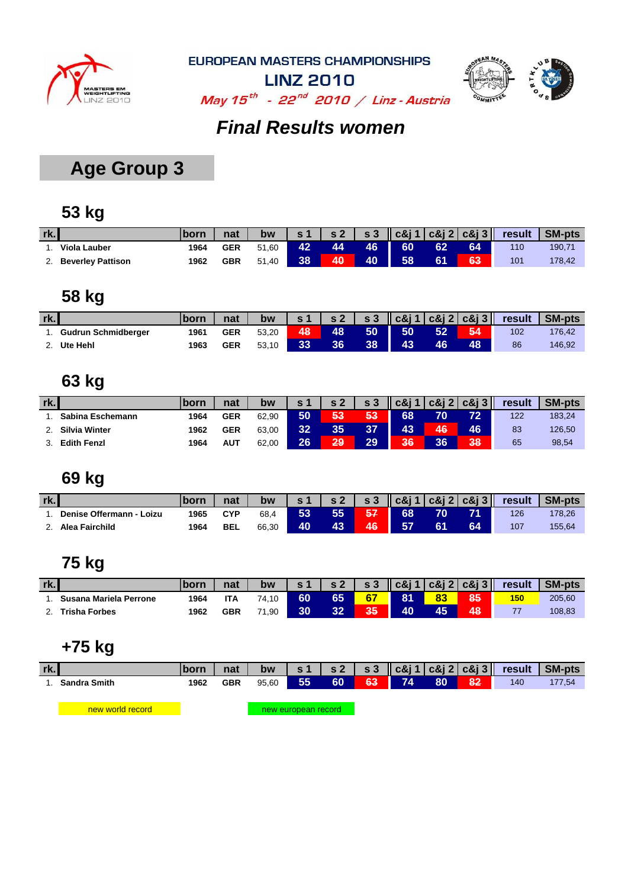



**LINZ 2010** May  $15^{th}$  - 22<sup>nd</sup> 2010 / Linz - Austria

### *Final Results women*

## **Age Group 3**

#### **53 kg**

| rk. |                          |      | nat        | bw    | $\sqrt{5}$ | s <sub>2</sub> |     |    |    |    | $\vert$ s 3 $\vert$ c&j 1 $\vert$ c&j 2 $\vert$ c&j 3 $\vert$ result | SM-pts |
|-----|--------------------------|------|------------|-------|------------|----------------|-----|----|----|----|----------------------------------------------------------------------|--------|
|     | <b>Viola Lauber</b>      | 1964 | <b>GER</b> | 51.60 | 42         | 44             | 46. | 60 | 62 |    | 110                                                                  | 190.7' |
|     | <b>Beverley Pattison</b> | 1962 | <b>GBR</b> | 51.40 | 38         | 40             | 40  | 58 | 61 | 63 | 101                                                                  | 178,42 |

#### **58 kg**

| rk. |                            | <b>Iborn</b> | nat        | bw    | $\mathbf{s}$ 1 | $\sqrt{S}$ | $\mathbf{s}3$ |    |    |    | c&j 1   c&j 2   c&j 3    result | SM-pts |
|-----|----------------------------|--------------|------------|-------|----------------|------------|---------------|----|----|----|---------------------------------|--------|
|     | <b>Gudrun Schmidberger</b> | 1961         | <b>GER</b> | 53.20 | 48             | 48         | 50            | 50 | 52 | 54 | 102                             | 176.42 |
|     | Ute Hehl                   | 1963         | <b>GER</b> | 53.10 | 33'            | 36         | 38            | 43 | 46 | 48 | 86                              | 146,92 |

### **63 kg**

| rk.                  | <b>Iborn</b> | nat        | bw    | $\sim$ 1 | c 2 | s <sub>3</sub> | 1c81 |     | $c\&12 c\&13 $ | result | <b>SM-pts</b> |
|----------------------|--------------|------------|-------|----------|-----|----------------|------|-----|----------------|--------|---------------|
| Sabina Eschemann     | 1964         | <b>GER</b> | 62.90 | 50       | 53  | 53             | 68   | 70. | 72             | 122    | 183,24        |
| <b>Silvia Winter</b> | 1962         | <b>GER</b> | 63.00 | 32       | 35  | 37             | 43   | 46  | 46             | 83     | 126,50        |
| <b>Edith Fenzl</b>   | 1964         | <b>AUT</b> | 62,00 | 26       | 29  | 29             | 36   | 36  | 38             | 65     | 98,54         |

#### **69 kg**

| rk. |                          | lborn | nat        | bw    | $\approx$ 1 | s <sub>2</sub> | <b>S</b> 3 |           |    |    |     | <b>SM-pts</b> |
|-----|--------------------------|-------|------------|-------|-------------|----------------|------------|-----------|----|----|-----|---------------|
|     | Denise Offermann - Loizu | 1965  | CYP        | 68.4  | 53          | 55             | 57         | 68        | 70 |    | 126 | 178,26        |
|     | Alea Fairchild           | 1964  | <b>BEL</b> | 66,30 | 40          | 43             | 46         | <b>57</b> | 61 | 64 | 107 | 155,64        |

## **75 kg**

| rk. |                        | lborn | nat        | bw    | $\sim$ 1 | $\sim$ 2 | $\mathbf{s}$ 3 |    | $ c\&$ i 1 $ c\&$ i 2 $ c\&$ i 3 $\ $ | result | <b>SM-pts</b> |
|-----|------------------------|-------|------------|-------|----------|----------|----------------|----|---------------------------------------|--------|---------------|
|     | Susana Mariela Perrone | 1964  | ITA        | 74.10 | 60       | 65       | 67             | 81 | 85                                    | 150    | 205,60        |
|     | <b>Trisha Forbes</b>   | 1962  | <b>GBR</b> | .90   | 30       | 32       | 35             | 40 | 48                                    |        | 108,83        |

### **+75 kg**

| rk. |              | <u>Iborn</u> | nat        | bw    |    |    |                     |      |    |      | $\vert$ s 1   s 2   s 3   c&j 1   c&j 2   c&j 3    result | SM-pts |
|-----|--------------|--------------|------------|-------|----|----|---------------------|------|----|------|-----------------------------------------------------------|--------|
|     | Sandra Smith | 1962         | <b>GBR</b> | 95.60 | 55 | 60 | $63$ $\blacksquare$ | - 74 | 80 | 82 i | 140                                                       | 177,54 |
|     |              |              |            |       |    |    |                     |      |    |      |                                                           |        |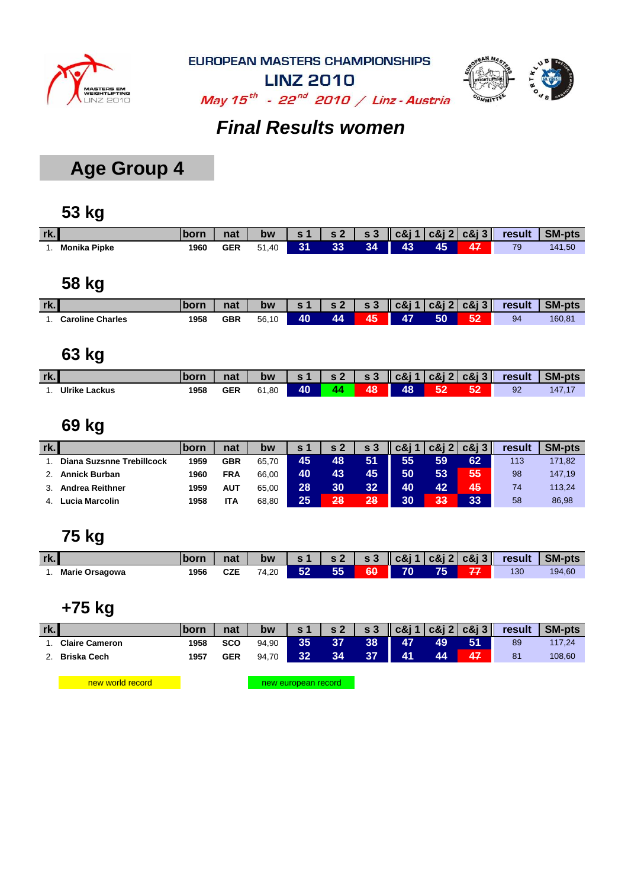



**LINZ 2010** May  $15^{th}$  - 22<sup>nd</sup> 2010 / Linz - Austria

#### *Final Results women*

## **Age Group 4**

#### **53 kg**

| rk. |              | <b>born</b> | nat        | bw    |    |                 |    |    |    |    | s 1   s 2   s 3    c&j 1   c&j 2   c&j 3    result | SM-pts |
|-----|--------------|-------------|------------|-------|----|-----------------|----|----|----|----|----------------------------------------------------|--------|
|     | Monika Pipke | 1960        | <b>GER</b> | 51,40 | 31 | 33 <sup>°</sup> | 34 | 43 | 45 | 47 | 79                                                 | 141,50 |
|     |              |             |            |       |    |                 |    |    |    |    |                                                    |        |

### **58 kg**

| rk.                     | born. | nat        | bw    | <b>c</b> 1 | $\sqrt{2}$ | <b>S3</b> | $\log 1 \log 2 \log 3$ |    | result | <b>SM-pts</b> |
|-------------------------|-------|------------|-------|------------|------------|-----------|------------------------|----|--------|---------------|
| <b>Caroline Charles</b> | 1958  | <b>GBR</b> | 56,10 | 40         | AΔ         | 45        | 47                     | 50 | 94     | 160,87        |

#### **63 kg**

| rk. |                      | born | nat        | bw    |    | $\sim$ 2 | $\sim$ s 3 | <b>Nic&amp;i1∖</b> |    | $\vert$ $c\&$ i 2 $\vert$ $c\&$ i 3 $\vert$ | result | <b>SM-pts</b> |
|-----|----------------------|------|------------|-------|----|----------|------------|--------------------|----|---------------------------------------------|--------|---------------|
|     | <b>Ulrike Lackus</b> | 1958 | <b>GER</b> | 61,80 | 40 |          | 48         | 48                 | 52 | 52                                          | 92     | 147,1.        |

#### **69 kg**

| rk. |                           | <b>born</b> | nat        | bw    | s <sub>1</sub> | s <sub>2</sub> | s <sub>3</sub> | c&i 1 |    | $c\&12 c\&13 $ | result | <b>SM-pts</b> |
|-----|---------------------------|-------------|------------|-------|----------------|----------------|----------------|-------|----|----------------|--------|---------------|
|     | Diana Suzsnne Trebillcock | 1959        | <b>GBR</b> | 65,70 | 45             | 48             | 51             | 55    | 59 | 62             | 113    | 171,82        |
|     | <b>Annick Burban</b>      | 1960        | <b>FRA</b> | 66.00 | 40             | 43             | 45             | 50    | 53 | 55             | 98     | 147,19        |
|     | <b>Andrea Reithner</b>    | 1959        | <b>AUT</b> | 65.00 | 28             | 30             | 32             | 40    | 42 | 45,            | 74     | 113,24        |
|     | ∟ucia Marcolin            | 1958        | <b>ITA</b> | 68.80 | 25             | 28             | 28             | 30    | 33 | 33             | 58     | 86,98         |

#### **75 kg**

| rk.                   | born | nat | bw    | $\mathbf{s}$ 1 |     |    |      |    | $s2$   $s3$   $c8j1$   $c8j2$   $c8j3$   result | SM-pts |
|-----------------------|------|-----|-------|----------------|-----|----|------|----|-------------------------------------------------|--------|
| <b>Marie Orsagowa</b> | 1956 | CZE | 74,20 | 52             | 55. | 60 | - 70 | 75 | 130                                             | 194,60 |

#### **+75 kg**

| rk. |                       | <b>born</b> | nat        | bw    | s <sub>1</sub> |    |    |    |    |    | $\vert$ s 2 $\vert$ s 3 $\vert$ c&j 1 $\vert$ c&j 2 $\vert$ c&j 3 $\vert$ result | SM-pts |
|-----|-----------------------|-------------|------------|-------|----------------|----|----|----|----|----|----------------------------------------------------------------------------------|--------|
|     | <b>Claire Cameron</b> | 1958        | <b>SCO</b> | 94.90 | 35             |    | 38 | 47 | 49 | 51 | 89                                                                               | 17,24  |
|     | <b>Briska Cech</b>    | 1957        | GER        | 94.70 | 32             | 34 | 37 | 41 | Δ4 | 47 | 81                                                                               | 108,60 |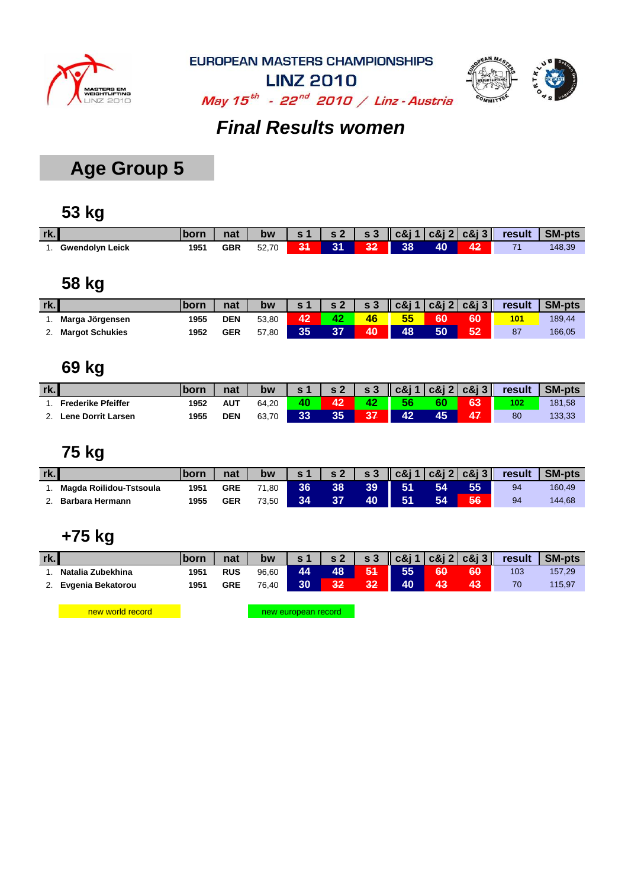



**LINZ 2010** May  $15^{th}$  - 22<sup>nd</sup> 2010 / Linz - Austria

#### *Final Results women*

## **Age Group 5**

#### **53 kg**

| rk.                    |      | nat        |       |    |    |    |            |    |    | bw $ s1 $ s2 $ s3 $ $ c8j1 c8j2 c8j3 $ result SM-pts |        |
|------------------------|------|------------|-------|----|----|----|------------|----|----|------------------------------------------------------|--------|
| <b>Gwendolyn Leick</b> | 1951 | <b>GBR</b> | 52,70 | 31 | 31 | 32 | <b>38.</b> | 40 | 42 |                                                      | 148,39 |

#### **58 kg**

| rk. |                        | 'born | nat        | bw    | $\sim$ 1 | s <sub>2</sub> | $\mathsf{S}3$ |     |    | $\log  c8 $ 1 $ c8 $ 2 $ c8 $ 3 $\ $ | result | <b>SM-pts</b> |
|-----|------------------------|-------|------------|-------|----------|----------------|---------------|-----|----|--------------------------------------|--------|---------------|
|     | Marga Jörgensen        | 1955  | <b>DEN</b> | 53.80 | 42       |                | 46            | 55  | 60 | 60                                   | 101    | 189,44        |
|     | <b>Margot Schukies</b> | 1952  | <b>GER</b> | 57,80 | 35       |                | 40            | 48, | 50 | 52                                   | 87     | 166,05        |

#### **69 kg**

| rk. |                           |      | nat        | bw    |    | $\epsilon$ 2 | $\mathbf{s}$ 3 |    |    | $\vert \vert$ c&j 1 $\vert$ c&j 2 $\vert$ c&j 3 $\vert \vert$ | result | <b>SM-pts</b> |
|-----|---------------------------|------|------------|-------|----|--------------|----------------|----|----|---------------------------------------------------------------|--------|---------------|
|     | <b>Frederike Pfeiffer</b> | 1952 | <b>AUT</b> | 64.20 | 40 | "^           |                | 56 | 60 | 63                                                            | 102    | 181,58        |
|     | Lene Dorrit Larsen        | 1955 | <b>DEN</b> | 63,70 | 33 | へへ           |                | 42 | ΛБ | 47                                                            | 80     | 133,33        |

#### **75 kg**

| rk. |                         |      | nat        | bw    |      | $\sim$ 2 | s <sub>3</sub> |    |    |    |    | SM-pts |
|-----|-------------------------|------|------------|-------|------|----------|----------------|----|----|----|----|--------|
|     | Magda Roilidou-Tstsoula | 1951 | <b>GRE</b> | 71.80 | '36. | 38       | 39             | 51 | 54 | 55 | 94 | 160.49 |
|     | <b>Barbara Hermann</b>  | 1955 | <b>GER</b> | 73.50 | 34   |          | 40             | 51 | 54 | 56 | 94 | 144,68 |

#### **+75 kg**

| rk. |                   | 'born | nat        | bw    | $\sim$ 1 | $\sim$ 2 | $\mathbf{s}$ 3 |    |    | $\log  c8 $ 1   $c8$   2   $c8$   3 | result | <b>SM-pts</b> |
|-----|-------------------|-------|------------|-------|----------|----------|----------------|----|----|-------------------------------------|--------|---------------|
|     | Natalia Zubekhina | 1951  | <b>RUS</b> | 96,60 | 44       | 48       | 51             | 55 | 60 | 60                                  | 103    | 157,29        |
|     | Evgenia Bekatorou | 1951  | <b>GRE</b> | 76.40 | 30       |          | 32             | 40 | 43 | 43                                  | 70     | 115,97        |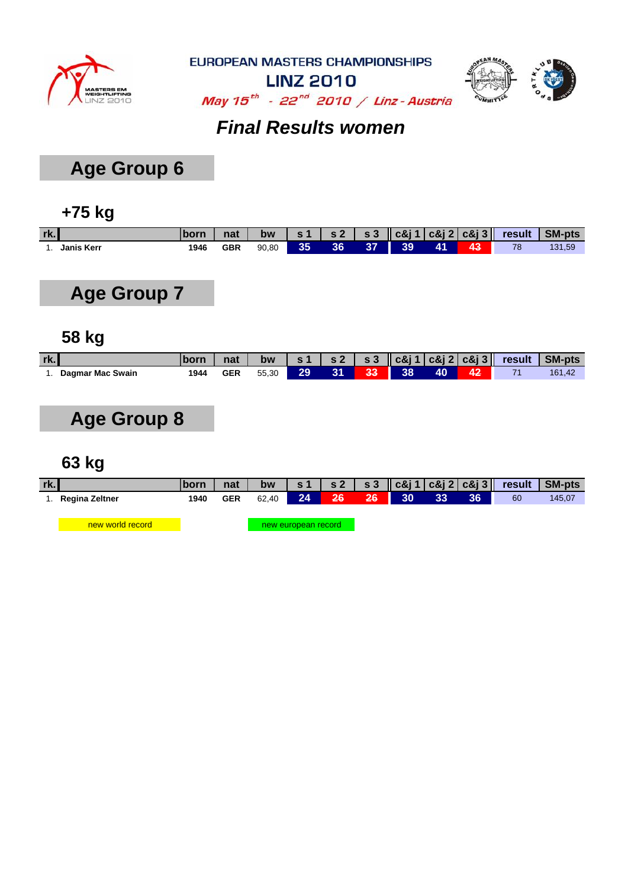



**LINZ 2010** May  $15^{th}$  - 22<sup>nd</sup> 2010 / Linz - Austria

### *Final Results women*

## **Age Group 6**

#### **+75 kg**

| rk. |            | born | nat | <b>bw</b> |     |    |    |    |                |    | $\vert$ s1 $\vert$ s2 $\vert$ s3 $\vert$ c&j1 $\vert$ c&j2 $\vert$ c&j3 $\vert$ result $\vert$ SM-pts |        |
|-----|------------|------|-----|-----------|-----|----|----|----|----------------|----|-------------------------------------------------------------------------------------------------------|--------|
|     | Janis Kerr | 1946 | GBR | 90.80     | 35. | 36 | 37 | 39 | $\mathbf{A}$ 1 | 43 | 78                                                                                                    | 131,59 |

## **Age Group 7**

#### **58 kg**

| rk. |                  |      | nat        | bw    |     |    |          |       |    |            | s 1   s 2   s 3    c&j 1   c&j 2   c&j 3    result   SM-pts |
|-----|------------------|------|------------|-------|-----|----|----------|-------|----|------------|-------------------------------------------------------------|
|     | Dagmar Mac Swain | 1944 | <b>GER</b> | 55.30 | 29' | ЧЪ | - 33 - 1 | $-38$ | 40 | $\Delta 2$ | 161.42                                                      |

## **Age Group 8**

| rk. |                       | <b>Iborn</b> | nat        | bw    | s1                  |     |    |    |    |    |    | s 2   s 3    c&j 1    c&j 2    c&j 3       result    SM-pts |
|-----|-----------------------|--------------|------------|-------|---------------------|-----|----|----|----|----|----|-------------------------------------------------------------|
|     | <b>Regina Zeltner</b> | 1940         | <b>GER</b> | 62.40 | 24                  | 26/ | 26 | 30 | 33 | 36 | 60 | 145,07                                                      |
|     |                       |              |            |       |                     |     |    |    |    |    |    |                                                             |
|     | new world record      |              |            |       | new european record |     |    |    |    |    |    |                                                             |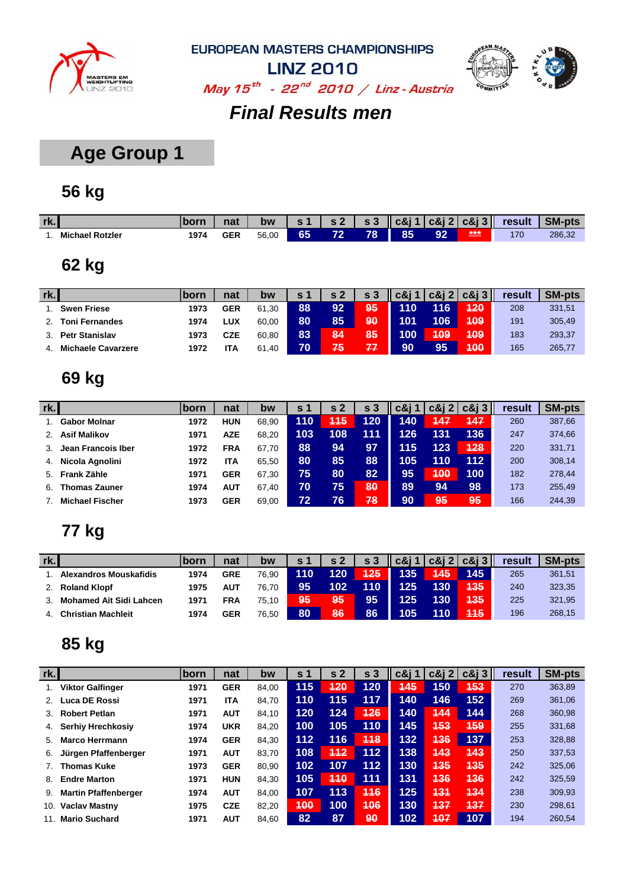



**LINZ 2010** May  $15^{th}$  - 22<sup>nd</sup> 2010 / Linz - Austria

#### *Final Results men*

## **Age Group 1**

### **56 kg**

| rk. |                        | born | nat              | bw    |    | $\epsilon$ | S 3 | c&i 1 |    | $c\&j2 c\&j3 $ | result | <b>SM-pts</b> |
|-----|------------------------|------|------------------|-------|----|------------|-----|-------|----|----------------|--------|---------------|
|     | <b>Michael Rotzler</b> | 1974 | <b>GER</b><br>__ | 56,00 | 65 | 79         | 78  | 85    | 92 | ***            | 170    | 286,32        |

## **62 kg**

| rk. |                           | <b>born</b> | nat        | bw    | $\sim$ 1 | c 2 | s <sub>3</sub> | c&i 1 |            | $c\&12 c\&13 $ | result | <b>SM-pts</b> |
|-----|---------------------------|-------------|------------|-------|----------|-----|----------------|-------|------------|----------------|--------|---------------|
|     | <b>Swen Friese</b>        | 1973        | <b>GER</b> | 61.30 | 88       | 92  | 95             | 110   | 116        | 120            | 208    | 331,51        |
|     | <b>Toni Fernandes</b>     | 1974        | LUX        | 60.00 | 80       | 85  | 90             | 101   | 106        | 409            | 191    | 305,49        |
|     | <b>Petr Stanislav</b>     | 1973        | CZE        | 60.80 | 83       | 84  | 85             | 100   | <b>109</b> | 409            | 183    | 293,37        |
|     | <b>Michaele Cavarzere</b> | 1972        | ITA        | 61,40 | 70       | 75  | 77             | 90    | 95         | 400            | 165    | 265,77        |

## **69 kg**

| rk. |                        | <b>Iborn</b> | nat        | bw    | <b>S</b> 1 | $s_{2}$    | s <sub>3</sub> | c&i | c&i 2 | $c\&i3$ | result | <b>SM-pts</b> |
|-----|------------------------|--------------|------------|-------|------------|------------|----------------|-----|-------|---------|--------|---------------|
|     | <b>Gabor Molnar</b>    | 1972         | <b>HUN</b> | 68.90 | 110        | <b>115</b> | 120            | 140 | 147   | 447     | 260    | 387,66        |
| 2.  | <b>Asif Malikov</b>    | 1971         | <b>AZE</b> | 68.20 | 103        | 108        | 111            | 126 | 131   | 136     | 247    | 374,66        |
|     | Jean Francois Iber     | 1972         | <b>FRA</b> | 67.70 | 88         | 94         | 97             | 115 | 123   | 428     | 220    | 331,71        |
| 4.  | Nicola Agnolini        | 1972         | <b>ITA</b> | 65.50 | 80         | 85         | 88             | 105 | 110   | 112     | 200    | 308,14        |
| 5.  | Frank Zähle            | 1971         | <b>GER</b> | 67.30 | 75         | 80         | 82             | 95  | 400   | 100     | 182    | 278,44        |
| 6.  | <b>Thomas Zauner</b>   | 1974         | AUT        | 67.40 | 70         | 75         | 80             | 89  | 94    | 98      | 173    | 255,49        |
|     | <b>Michael Fischer</b> | 1973         | <b>GER</b> | 69,00 | 72         | 76         | 78             | 90  | 95    | 95      | 166    | 244,39        |

## **77 kg**

| rk. |                                | .borr | nat        | bw    | s <sub>1</sub> | s <sub>2</sub> | s <sub>3</sub> | $\log$   c&j 1   c&j 2   c&j 3   $\log$ |                  |     | result | <b>SM-pts</b> |
|-----|--------------------------------|-------|------------|-------|----------------|----------------|----------------|-----------------------------------------|------------------|-----|--------|---------------|
|     | Alexandros Mouskafidis         | 1974  | <b>GRE</b> | 76.90 | 110            | 120            | 425            | 135                                     | 445              | 145 | 265    | 361,51        |
|     | <b>Roland Klopf</b>            | 1975  | <b>AUT</b> | 76.70 | 95             | 102            | 110            | 125                                     | 130              | 135 | 240    | 323,35        |
|     | <b>Mohamed Ait Sidi Lahcen</b> | 1971  | FRA        | 75.10 | 795)           | 95             | 95             | 125                                     | 130 <sub>1</sub> | 435 | 225    | 321,95        |
|     | <b>Christian Machleit</b>      | 1974  | <b>GER</b> | 76.50 | 80             | 86             | 86             | 105                                     | 110              | 445 | 196    | 268,15        |

| rk. |                             | born | nat        | bw    | S.  | s <sub>2</sub> | s <sub>3</sub> | $c\&$ j 1  | $c\&12$    | $c\&13$    | result | <b>SM-pts</b> |
|-----|-----------------------------|------|------------|-------|-----|----------------|----------------|------------|------------|------------|--------|---------------|
| 1.  | <b>Viktor Galfinger</b>     | 1971 | <b>GER</b> | 84,00 | 115 | 420            | 120            | <b>145</b> | 150        | <b>453</b> | 270    | 363,89        |
| 2.  | Luca DE Rossi               | 1971 | <b>ITA</b> | 84.70 | 110 | 115            | 117            | 140        | 146        | 152        | 269    | 361,06        |
| 3.  | <b>Robert Petlan</b>        | 1971 | <b>AUT</b> | 84,10 | 120 | 124            | 426            | 140        | 144        | 144        | 268    | 360,98        |
| 4.  | <b>Serhiy Hrechkosiy</b>    | 1974 | <b>UKR</b> | 84,20 | 100 | 105            | 110            | 145        | <b>453</b> | <b>159</b> | 255    | 331,68        |
| 5.  | <b>Marco Herrmann</b>       | 1974 | <b>GER</b> | 84,30 | 112 | 116            | 448            | 132        | 436        | 137        | 253    | 328,88        |
| 6.  | Jürgen Pfaffenberger        | 1971 | <b>AUT</b> | 83.70 | 108 | 412            | 112            | 138        | 143        | 143        | 250    | 337,53        |
|     | <b>Thomas Kuke</b>          | 1973 | <b>GER</b> | 80.90 | 102 | 107            | 112            | 130        | <b>435</b> | <b>435</b> | 242    | 325,06        |
| 8.  | <b>Endre Marton</b>         | 1971 | <b>HUN</b> | 84,30 | 105 | 410            | 111            | 131        | 436        | 136        | 242    | 325,59        |
| 9.  | <b>Martin Pfaffenberger</b> | 1974 | <b>AUT</b> | 84,00 | 107 | 113            | 446            | 125        | 431        | 434        | 238    | 309,93        |
| 10. | <b>Vaclav Mastny</b>        | 1975 | <b>CZE</b> | 82,20 | 400 | 100            | 406            | 130        | 437        | 137        | 230    | 298,61        |
| 11. | <b>Mario Suchard</b>        | 1971 | <b>AUT</b> | 84.60 | 82  | 87             | 90             | 102        | 407        | 107        | 194    | 260.54        |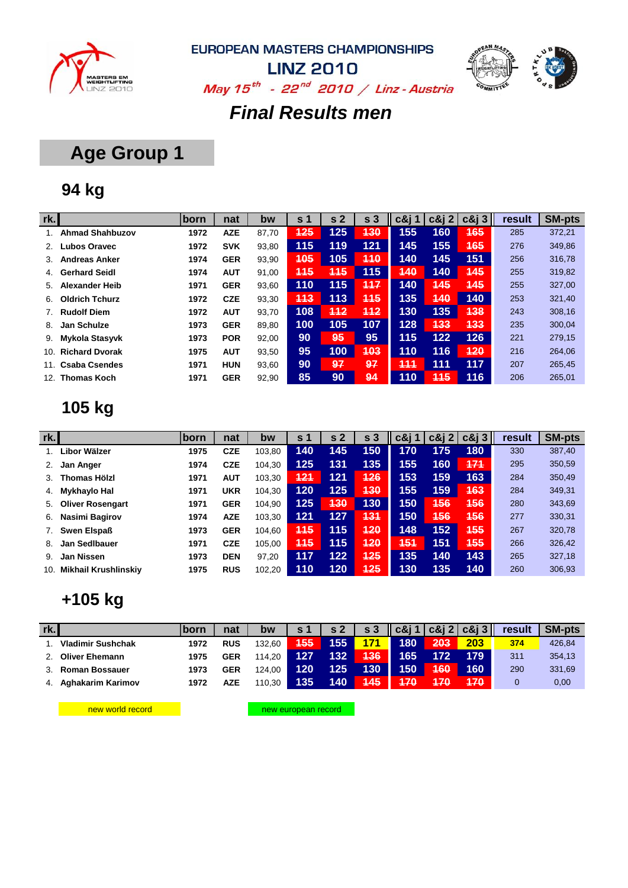



**LINZ 2010** May  $15^{th}$  - 22<sup>nd</sup> 2010 / Linz - Austria

#### *Final Results men*

## **Age Group 1**

## **94 kg**

| rk. |                        | <b>born</b> | nat        | bw    | S.         | s <sub>2</sub> | s <sub>3</sub> | $c\&$ j 1     | c8j2       | $c\&i3$    | result | <b>SM-pts</b> |
|-----|------------------------|-------------|------------|-------|------------|----------------|----------------|---------------|------------|------------|--------|---------------|
|     | <b>Ahmad Shahbuzov</b> | 1972        | <b>AZE</b> | 87,70 | 125        | 125            | 130            | $155^{\circ}$ | 160        | <b>165</b> | 285    | 372,21        |
|     | <b>Lubos Oravec</b>    | 1972        | <b>SVK</b> | 93,80 | 115        | 119            | 121            | 145           | 155        | <b>465</b> | 276    | 349,86        |
| 3.  | <b>Andreas Anker</b>   | 1974        | <b>GER</b> | 93,90 | <b>405</b> | 105            | 440            | 140           | 145        | 151        | 256    | 316,78        |
| 4.  | <b>Gerhard Seidl</b>   | 1974        | <b>AUT</b> | 91,00 | <b>115</b> | 115            | 115            | 440           | 140        | 145        | 255    | 319,82        |
| 5.  | <b>Alexander Heib</b>  | 1971        | <b>GER</b> | 93,60 | 110        | 115            | 117            | 140           | 445        | 445        | 255    | 327,00        |
| 6.  | <b>Oldrich Tchurz</b>  | 1972        | <b>CZE</b> | 93,30 | 443        | 113            | 445            | 135           | 440        | 140        | 253    | 321,40        |
| 7.  | <b>Rudolf Diem</b>     | 1972        | <b>AUT</b> | 93,70 | 108        | 412            | 412            | 130           | 135        | 438        | 243    | 308,16        |
| 8.  | Jan Schulze            | 1973        | <b>GER</b> | 89,80 | 100        | 105            | 107            | 128           | 433        | 433        | 235    | 300,04        |
| 9.  | Mykola Stasyvk         | 1973        | <b>POR</b> | 92,00 | 90         | 95             | 95             | 115           | $122$      | 126        | 221    | 279,15        |
| 10. | <b>Richard Dvorak</b>  | 1975        | <b>AUT</b> | 93,50 | 95         | 100            | 403            | 110           | 116        | 420        | 216    | 264,06        |
| 11. | <b>Csaba Csendes</b>   | 1971        | <b>HUN</b> | 93,60 | 90         | 97             | 97             | 444           | 111        | 117        | 207    | 265,45        |
| 12. | <b>Thomas Koch</b>     | 1971        | <b>GER</b> | 92,90 | 85         | 90             | 94             | 110           | <b>445</b> | 116        | 206    | 265,01        |

## **105 kg**

| rk. |                             | <b>born</b> | nat        | bw     | s 1        | s <sub>2</sub> | s <sub>3</sub> | c&i |     | $c\&12$ $c\&13$ | result | <b>SM-pts</b> |
|-----|-----------------------------|-------------|------------|--------|------------|----------------|----------------|-----|-----|-----------------|--------|---------------|
|     | Libor Wälzer                | 1975        | <b>CZE</b> | 103.80 | 140        | 145            | 150            | 170 | 175 | 180             | 330    | 387,40        |
| 2.  | Jan Anger                   | 1974        | <b>CZE</b> | 104.30 | 125        | 131            | 135            | 155 | 160 | 171             | 295    | 350,59        |
| 3.  | <b>Thomas Hölzl</b>         | 1971        | <b>AUT</b> | 103,30 | 421        | 121            | 426            | 153 | 159 | 163             | 284    | 350,49        |
| 4.  | Mykhaylo Hal                | 1971        | <b>UKR</b> | 104.30 | 120        | 125            | 430            | 155 | 159 | 463             | 284    | 349,31        |
| 5.  | <b>Oliver Rosengart</b>     | 1971        | <b>GER</b> | 104.90 | 125        | <b>430</b>     | 130            | 150 | 156 | <b>456</b>      | 280    | 343,69        |
| 6.  | Nasimi Bagirov              | 1974        | <b>AZE</b> | 103,30 | 121        | 127            | 431            | 150 | 456 | 456             | 277    | 330,31        |
|     | <b>Swen Elspaß</b>          | 1973        | <b>GER</b> | 104.60 | <b>445</b> | 115            | 420            | 148 | 152 | 455             | 267    | 320,78        |
| 8.  | Jan Sedlbauer               | 1971        | <b>CZE</b> | 105.00 | <b>445</b> | 115            | 420            | 454 | 151 | <b>455</b>      | 266    | 326,42        |
| 9.  | Jan Nissen                  | 1973        | <b>DEN</b> | 97,20  | 117        | 122            | 425            | 135 | 140 | 143             | 265    | 327,18        |
| 10. | <b>Mikhail Krushlinskiv</b> | 1975        | <b>RUS</b> | 102.20 | 110        | 120            | 425            | 130 | 135 | 140             | 260    | 306,93        |

### **+105 kg**

| rk. |                          | lborn | nat        | bw     | s 1        | s <sub>2</sub> | s <sub>3</sub> | $\vert \vert$ c&j 1 $\vert$ c&j 2 $\vert$ c&j 3 $\vert \vert$ |     |     | result | <b>SM-pts</b> |
|-----|--------------------------|-------|------------|--------|------------|----------------|----------------|---------------------------------------------------------------|-----|-----|--------|---------------|
|     | <b>Vladimir Sushchak</b> | 1972  | <b>RUS</b> | 132.60 | <b>455</b> | 155            | 171            | 180                                                           | 203 | 203 | 374    | 426,84        |
|     | <b>Oliver Ehemann</b>    | 1975  | <b>GER</b> | 114.20 | 127        | 132            | 136            | 165                                                           | 172 | 179 | 311    | 354,13        |
|     | <b>Roman Bossauer</b>    | 1973  | <b>GER</b> | 124.00 | 120        | 125            | 130            | 150                                                           | 160 | 160 | 290    | 331,69        |
| 4.  | Aghakarim Karimov        | 1972  | <b>AZE</b> | 110.30 | 135        | 140            | / 145          | 470                                                           | 470 | 470 |        | 0,00          |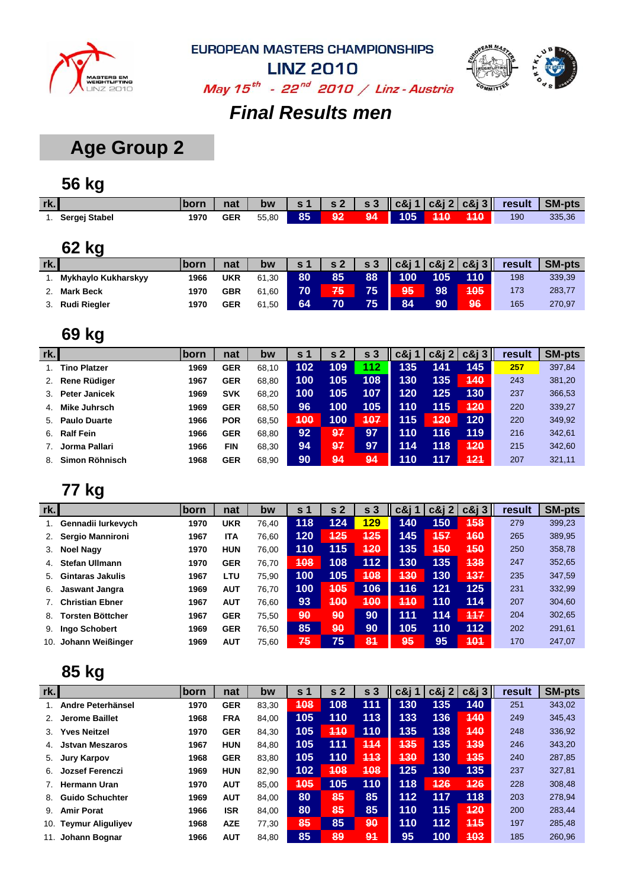



**LINZ 2010** May  $15^{th}$  - 22<sup>nd</sup> 2010 / Linz - Austria

### *Final Results men*

## **Age Group 2**

## **56 kg**

| rk.           | born | nat        | bw    |    |    |    |         |            | s 1   s 2   s 3    c&j 1   c&j 2   c&j 3    result   SM-pts |        |
|---------------|------|------------|-------|----|----|----|---------|------------|-------------------------------------------------------------|--------|
| Sergej Stabel | 1970 | <b>GER</b> | 55.80 | 85 | 92 | 94 | 105 440 | <b>140</b> | 190                                                         | 335,36 |

## **62 kg**

| rk. |                     | .born | nat        | bw    | $\sim$ 1 | s <sub>2</sub> | s <sub>3</sub> | $ c\&j1 c\&j2 c\&j3 $ |     |     | result | <b>SM-pts</b> |
|-----|---------------------|-------|------------|-------|----------|----------------|----------------|-----------------------|-----|-----|--------|---------------|
|     | Mykhaylo Kukharskyy | 1966  | <b>UKR</b> | 61.30 | 80       | 85             | 88             | 100                   | 105 | 110 | 198    | 339,39        |
|     | <b>Mark Beck</b>    | 1970  | <b>GBR</b> | 61.60 | 70       | 75             | 75             | 95                    | 98  | 405 | 173    | 283,77        |
|     | <b>Rudi Riegler</b> | 1970  | <b>GER</b> | 61.50 | 64       | 70             | 75             | 84                    | 90  | 96  | 165    | 270,97        |

### **69 kg**

| rk. |                      | lborn | nat        | bw    | s 1 | s <sub>2</sub> | s <sub>3</sub> | c&i 1 | $c\&12$ | $c\&i3$ | result | <b>SM-pts</b> |
|-----|----------------------|-------|------------|-------|-----|----------------|----------------|-------|---------|---------|--------|---------------|
|     | <b>Tino Platzer</b>  | 1969  | <b>GER</b> | 68.10 | 102 | 109            | 112            | 135   | 141     | 145     | 257    | 397,84        |
| 2.  | <b>Rene Rüdiger</b>  | 1967  | <b>GER</b> | 68,80 | 100 | 105            | 108            | 130   | 135     | 440     | 243    | 381,20        |
| 3.  | <b>Peter Janicek</b> | 1969  | <b>SVK</b> | 68,20 | 100 | 105            | 107            | 120   | 125     | 130     | 237    | 366,53        |
| 4.  | <b>Mike Juhrsch</b>  | 1969  | <b>GER</b> | 68,50 | 96  | 100            | 105            | 110   | 115     | 420     | 220    | 339,27        |
| 5.  | <b>Paulo Duarte</b>  | 1966  | <b>POR</b> | 68,50 | 400 | 100            | 407            | 115   | 420     | 120     | 220    | 349,92        |
| 6.  | <b>Ralf Fein</b>     | 1966  | <b>GER</b> | 68,80 | 92  | 97             | 97             | 110   | 116     | 119     | 216    | 342,61        |
|     | Jorma Pallari        | 1966  | <b>FIN</b> | 68,30 | 94  | 97             | 97             | 114   | 118     | 420     | 215    | 342,60        |
| 8.  | Simon Röhnisch       | 1968  | <b>GER</b> | 68,90 | 90  | 94             | 94             | 110   | 117     | 421     | 207    | 321,11        |

#### **77 kg**

|     | -                      |              |            |       |                |            |                |            |          |         |        |               |
|-----|------------------------|--------------|------------|-------|----------------|------------|----------------|------------|----------|---------|--------|---------------|
| rk. |                        | <b>lborn</b> | nat        | bw    | s <sub>1</sub> | -2<br>S    | s <sub>3</sub> | c&i 1      | $c\&i$ 2 | $c\&i3$ | result | <b>SM-pts</b> |
|     | Gennadii lurkevych     | 1970         | <b>UKR</b> | 76.40 | 118            | 124        | 129            | 140        | 150      | 458     | 279    | 399,23        |
| 2.  | Sergio Mannironi       | 1967         | <b>ITA</b> | 76,60 | 120            | <b>425</b> | <b>425</b>     | 145        | 157      | 460     | 265    | 389,95        |
| 3.  | <b>Noel Nagy</b>       | 1970         | <b>HUN</b> | 76.00 | 110            | 115        | 420            | 135        | 450      | 450     | 250    | 358,78        |
| 4.  | <b>Stefan Ullmann</b>  | 1970         | <b>GER</b> | 76.70 | 408            | 108        | 112            | 130        | 135      | 438     | 247    | 352,65        |
| 5.  | Gintaras Jakulis       | 1967         | LTU        | 75.90 | 100            | 105        | 108            | <b>430</b> | 130      | 137     | 235    | 347,59        |
| 6.  | Jaswant Jangra         | 1969         | <b>AUT</b> | 76.70 | 100            | 405        | 106            | 116        | 121      | 125     | 231    | 332,99        |
|     | <b>Christian Ebner</b> | 1967         | <b>AUT</b> | 76.60 | 93             | 400        | 400            | 410        | 110      | 114     | 207    | 304,60        |
| 8.  | Torsten Böttcher       | 1967         | <b>GER</b> | 75.50 | 90             | 90         | 90             | 111        | 114      | 117     | 204    | 302,65        |
| 9.  | Ingo Schobert          | 1969         | <b>GER</b> | 76,50 | 85             | 90         | 90             | 105        | 110      | 112     | 202    | 291,61        |
| 10. | Johann Weißinger       | 1969         | AUT        | 75,60 | 75             | 75         | 81             | 95         | 95       | 401     | 170    | 247,07        |

| rk. |                          | <b>lborn</b> | nat        | bw    | $\mathsf{s}$ 1 | s <sub>2</sub> | s <sub>3</sub> | $c$ &j 1 | $c\&12$ | $c\&i3$ | result | <b>SM-pts</b> |
|-----|--------------------------|--------------|------------|-------|----------------|----------------|----------------|----------|---------|---------|--------|---------------|
|     | Andre Peterhänsel        | 1970         | <b>GER</b> | 83,30 | 408            | 108            | 111            | 130      | 135     | 140     | 251    | 343,02        |
| 2.  | <b>Jerome Baillet</b>    | 1968         | <b>FRA</b> | 84,00 | 105            | 110            | 113            | 133      | 136     | 440     | 249    | 345,43        |
| 3.  | <b>Yves Neitzel</b>      | 1970         | <b>GER</b> | 84,30 | 105            | 440            | 110            | 135      | 138     | 440     | 248    | 336,92        |
|     | <b>Jstvan Meszaros</b>   | 1967         | <b>HUN</b> | 84,80 | 105            | 111            | 114            | 135      | 135     | 439     | 246    | 343,20        |
| 5.  | <b>Jury Karpov</b>       | 1968         | <b>GER</b> | 83,80 | 105            | 110            | 113            | 430      | 130     | 135     | 240    | 287,85        |
| 6.  | <b>Jozsef Ferenczi</b>   | 1969         | <b>HUN</b> | 82,90 | 102            | 408            | 408            | 125      | 130     | 135     | 237    | 327,81        |
|     | <b>Hermann Uran</b>      | 1970         | <b>AUT</b> | 85,00 | <b>405</b>     | 105            | 110            | 118      | 426     | 126     | 228    | 308,48        |
| 8.  | <b>Guido Schuchter</b>   | 1969         | <b>AUT</b> | 84.00 | 80             | 85             | 85             | 112      | 117     | 118     | 203    | 278,94        |
| 9.  | <b>Amir Porat</b>        | 1966         | <b>ISR</b> | 84,00 | 80             | 85             | 85             | 110      | 115     | 120     | 200    | 283,44        |
| 10. | <b>Teymur Aliguliyev</b> | 1968         | <b>AZE</b> | 77.30 | 85             | 85             | 90             | 110      | 112     | 445     | 197    | 285,48        |
| 11. | Johann Bognar            | 1966         | <b>AUT</b> | 84,80 | 85             | 89             | 94             | 95       | 100     | 103     | 185    | 260,96        |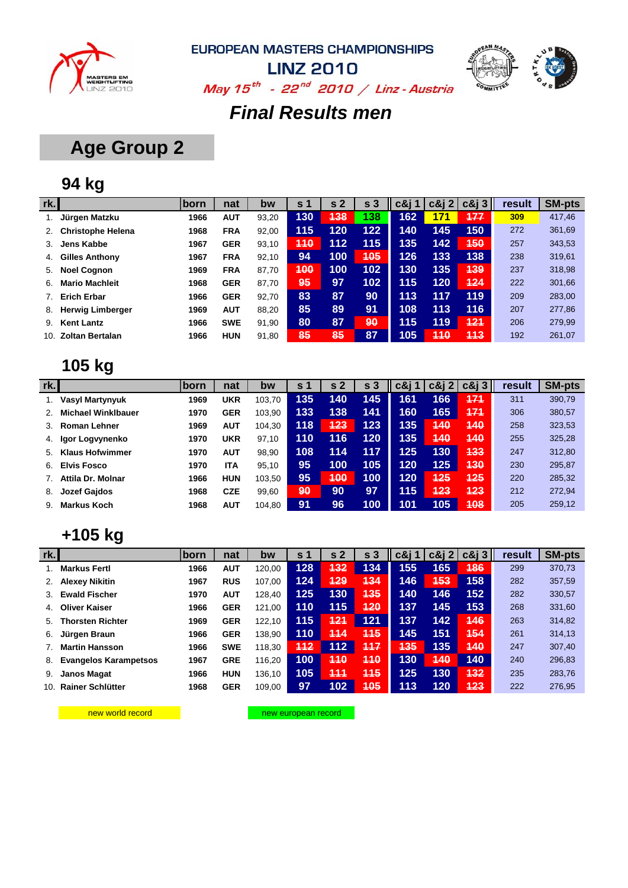



**LINZ 2010** May  $15^{th}$  - 22<sup>nd</sup> 2010 / Linz - Austria

#### *Final Results men*

## **Age Group 2**

### **94 kg**

| rk. |                          | lborn | nat        | bw    | S <sub>1</sub> | s <sub>2</sub> | s <sub>3</sub> | c&i 1 | $c\&j2$ | $c\&13$ | result | <b>SM-pts</b> |
|-----|--------------------------|-------|------------|-------|----------------|----------------|----------------|-------|---------|---------|--------|---------------|
|     | Jürgen Matzku            | 1966  | <b>AUT</b> | 93,20 | 130            | 138            | 138            | 162   | 171     | 177     | 309    | 417,46        |
| 2.  | <b>Christophe Helena</b> | 1968  | <b>FRA</b> | 92,00 | 115            | 120            | 122            | 140   | 145     | 150     | 272    | 361,69        |
| 3.  | Jens Kabbe               | 1967  | <b>GER</b> | 93,10 | 440            | 112            | 115            | 135   | 142     | 450     | 257    | 343,53        |
| 4.  | <b>Gilles Anthony</b>    | 1967  | <b>FRA</b> | 92,10 | 94             | 100            | 405            | 126   | 133     | 138     | 238    | 319,61        |
| 5.  | <b>Noel Cognon</b>       | 1969  | <b>FRA</b> | 87.70 | 400            | 100            | 102            | 130   | 135     | 439     | 237    | 318,98        |
| 6.  | <b>Mario Machleit</b>    | 1968  | <b>GER</b> | 87,70 | 95             | 97             | 102            | 115   | 120     | 424     | 222    | 301,66        |
|     | <b>Erich Erbar</b>       | 1966  | <b>GER</b> | 92,70 | 83             | 87             | 90             | 113   | 117     | 119     | 209    | 283,00        |
| 8.  | <b>Herwig Limberger</b>  | 1969  | <b>AUT</b> | 88.20 | 85             | 89             | 91             | 108   | 113     | 116     | 207    | 277,86        |
| 9.  | <b>Kent Lantz</b>        | 1966  | <b>SWE</b> | 91,90 | 80             | 87             | 90             | 115   | 119     | 121     | 206    | 279,99        |
| 10. | <b>Zoltan Bertalan</b>   | 1966  | <b>HUN</b> | 91,80 | 85             | 85             | 87             | 105   | 410     | 443     | 192    | 261,07        |

### **105 kg**

| rk. |                           | <b>lborn</b> | nat        | bw     | <b>s</b> 1 | s <sub>2</sub> | s <sub>3</sub> | $c\&i1$ | c&i 2 | $c\&i3$ | result | <b>SM-pts</b> |
|-----|---------------------------|--------------|------------|--------|------------|----------------|----------------|---------|-------|---------|--------|---------------|
|     | <b>Vasyl Martynyuk</b>    | 1969         | <b>UKR</b> | 103.70 | 135        | 140            | 145            | 161     | 166   | 474     | 311    | 390,79        |
|     | <b>Michael Winklbauer</b> | 1970         | <b>GER</b> | 103,90 | 133        | 138            | 141            | 160     | 165   | 171     | 306    | 380,57        |
| 3.  | <b>Roman Lehner</b>       | 1969         | <b>AUT</b> | 104,30 | 118        | 423            | 123            | 135     | 440   | 440     | 258    | 323,53        |
| 4.  | Igor Logvynenko           | 1970         | <b>UKR</b> | 97,10  | 110        | 116            | 120            | 135     | 440   | 440     | 255    | 325,28        |
| .5. | <b>Klaus Hofwimmer</b>    | 1970         | <b>AUT</b> | 98,90  | 108        | 114            | 117            | 125     | 130   | 433     | 247    | 312,80        |
| 6.  | <b>Elvis Fosco</b>        | 1970         | <b>ITA</b> | 95,10  | 95         | 100            | 105            | 120     | 125   | 430     | 230    | 295,87        |
|     | Attila Dr. Molnar         | 1966         | <b>HUN</b> | 103.50 | 95         | 400            | 100            | 120     | 425   | 425     | 220    | 285,32        |
| 8.  | <b>Jozef Gajdos</b>       | 1968         | <b>CZE</b> | 99,60  | 90         | 90             | 97             | 115     | 423   | 423     | 212    | 272,94        |
| 9.  | <b>Markus Koch</b>        | 1968         | <b>AUT</b> | 104,80 | 91         | 96             | 100            | 101     | 105   | 408     | 205    | 259,12        |

#### **+105 kg**

| rk.            |                              | <b>born</b> | nat        | bw     | s <sub>1</sub> | s <sub>2</sub> | s <sub>3</sub> | $c\&$ j 1  | $c\&i$ 2 | $c\&$ j 3 | result | <b>SM-pts</b> |
|----------------|------------------------------|-------------|------------|--------|----------------|----------------|----------------|------------|----------|-----------|--------|---------------|
|                | <b>Markus Fertl</b>          | 1966        | <b>AUT</b> | 120.00 | 128            | 432            | 134            | 155        | 165      | 486       | 299    | 370,73        |
| 2.             | <b>Alexey Nikitin</b>        | 1967        | <b>RUS</b> | 107.00 | 124            | 429            | 434            | 146        | 453      | 158       | 282    | 357,59        |
| 3.             | <b>Ewald Fischer</b>         | 1970        | <b>AUT</b> | 128.40 | 125            | 130            | <b>435</b>     | 140        | 146      | 152       | 282    | 330,57        |
| 4.             | <b>Oliver Kaiser</b>         | 1966        | <b>GER</b> | 121.00 | 110            | 115            | 420            | 137        | 145      | 153       | 268    | 331,60        |
| 5.             | <b>Thorsten Richter</b>      | 1969        | <b>GER</b> | 122.10 | 115            | 121            | 121            | 137        | 142      | 146       | 263    | 314,82        |
| 6.             | Jürgen Braun                 | 1966        | <b>GER</b> | 138.90 | 110            | 444            | 115            | 145        | 151      | 454       | 261    | 314,13        |
| 7 <sub>1</sub> | <b>Martin Hansson</b>        | 1966        | <b>SWE</b> | 118.30 | 412            | 112            | 117            | <b>435</b> | 135      | 440       | 247    | 307,40        |
| 8.             | <b>Evangelos Karampetsos</b> | 1967        | <b>GRE</b> | 116,20 | 100            | 440            | 440            | 130        | 440      | 140       | 240    | 296,83        |
| 9.             | <b>Janos Magat</b>           | 1966        | <b>HUN</b> | 136.10 | 105            | 444            | <b>115</b>     | 125        | 130      | 432       | 235    | 283,76        |
| 10.            | <b>Rainer Schlütter</b>      | 1968        | <b>GER</b> | 109.00 | 97             | 102            | <b>405</b>     | 113        | 120      | 423       | 222    | 276,95        |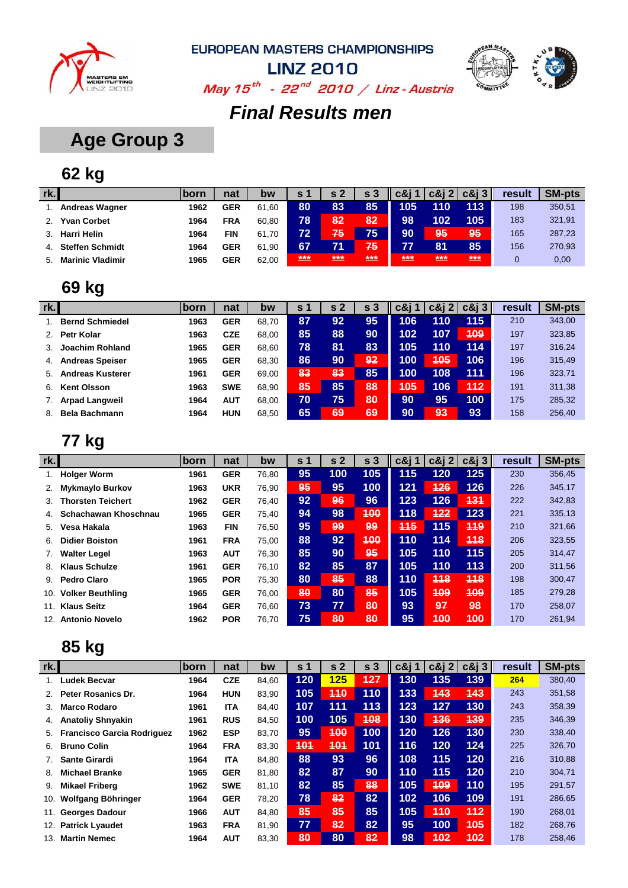



**LINZ 2010** May  $15^{th}$  - 22<sup>nd</sup> 2010 / Linz - Austria

## *Final Results men*

## **Age Group 3**

## **62 kg**

| rk. |                         | <b>born</b> | nat        | bw    | S 1 | s <sub>2</sub> | s <sub>3</sub> | c&i | $c\&i2$                         | $c\&i3$ | result | <b>SM-pts</b> |
|-----|-------------------------|-------------|------------|-------|-----|----------------|----------------|-----|---------------------------------|---------|--------|---------------|
|     | <b>Andreas Wagner</b>   | 1962        | <b>GER</b> | 61.60 | 80  | 83             | 85             | 105 | 110                             | 113     | 198    | 350,51        |
|     | <b>Yvan Corbet</b>      | 1964        | <b>FRA</b> | 60.80 | 78  | 82             | 82             | 98  | 102                             | 105     | 183    | 321,91        |
|     | <b>Harri Helin</b>      | 1964        | <b>FIN</b> | 61.70 | 72  | 75             | 75             | 90  | 95                              | 95      | 165    | 287,23        |
|     | <b>Steffen Schmidt</b>  | 1964        | <b>GER</b> | 61.90 | 67  |                | 75             | 77  | 81                              | 85      | 156    | 270,93        |
| 5.  | <b>Marinic Vladimir</b> | 1965        | <b>GER</b> | 62.00 | *** | ***            | ***            | *** | ***<br><b>PERSONAL PROPERTY</b> | ***     |        | 0,00          |

### **69 kg**

| rk. |                         | born | nat        | bw    | S. | s <sub>2</sub> | 3<br>s | <b>c&amp;i</b> 1 | $c\&i\&i$ | $c\&i3$ | result | <b>SM-pts</b> |
|-----|-------------------------|------|------------|-------|----|----------------|--------|------------------|-----------|---------|--------|---------------|
|     | <b>Bernd Schmiedel</b>  | 1963 | <b>GER</b> | 68.70 | 87 | 92             | 95     | 106              | 110       | 115     | 210    | 343,00        |
| 2.  | Petr Kolar              | 1963 | <b>CZE</b> | 68,00 | 85 | 88             | 90     | 102              | 107       | 409     | 197    | 323,85        |
| 3.  | Joachim Rohland         | 1965 | <b>GER</b> | 68,60 | 78 | 81             | 83     | 105              | 110       | 114     | 197    | 316,24        |
| 4.  | <b>Andreas Speiser</b>  | 1965 | <b>GER</b> | 68.30 | 86 | 90             | 92     | 100              | 405       | 106     | 196    | 315,49        |
| 5.  | <b>Andreas Kusterer</b> | 1961 | <b>GER</b> | 69.00 | 83 | 83             | 85     | 100              | 108       | 111     | 196    | 323,71        |
| 6.  | <b>Kent Olsson</b>      | 1963 | <b>SWE</b> | 68,90 | 85 | 85             | 88     | 405              | 106       | 442     | 191    | 311,38        |
|     | <b>Arpad Langweil</b>   | 1964 | <b>AUT</b> | 68.00 | 70 | 75             | 80     | 90               | 95        | 100     | 175    | 285,32        |
| 8.  | <b>Bela Bachmann</b>    | 1964 | <b>HUN</b> | 68.50 | 65 | 69             | 69     | 90               | 93        | 93      | 158    | 256.40        |

#### **77 kg**

| rk.            |                          | <b>Iborn</b> | nat        | bw    | s <sub>1</sub>  | s <sub>2</sub> | s <sub>3</sub> | $c\&$ j 1  | $c\&$ j 2  | $c\&13$    | result | <b>SM-pts</b> |
|----------------|--------------------------|--------------|------------|-------|-----------------|----------------|----------------|------------|------------|------------|--------|---------------|
|                | <b>Holger Worm</b>       | 1961         | <b>GER</b> | 76,80 | 95              | 100            | 105            | 115        | 120        | 125        | 230    | 356,45        |
| 2.             | <b>Mykmaylo Burkov</b>   | 1963         | <b>UKR</b> | 76.90 | 95              | 95             | 100            | 121        | 126        | 126        | 226    | 345,17        |
| 3.             | <b>Thorsten Teichert</b> | 1962         | <b>GER</b> | 76,40 | 92 <sub>2</sub> | 96             | 96             | 123        | 126        | 131        | 222    | 342,83        |
| 4 <sup>1</sup> | Schachawan Khoschnau     | 1965         | <b>GER</b> | 75,40 | 94              | 98             | 400            | 118        | 422        | 123        | 221    | 335,13        |
| 5.             | Vesa Hakala              | 1963         | <b>FIN</b> | 76.50 | 95              | 99             | 99             | <b>445</b> | 115        | <b>119</b> | 210    | 321,66        |
| 6.             | <b>Didier Boiston</b>    | 1961         | <b>FRA</b> | 75,00 | 88              | 92             | 400            | 110        | 114        | 118        | 206    | 323,55        |
| 7.             | <b>Walter Legel</b>      | 1963         | <b>AUT</b> | 76.30 | 85              | 90             | 95             | 105        | 110        | 115        | 205    | 314,47        |
| 8.             | <b>Klaus Schulze</b>     | 1961         | <b>GER</b> | 76.10 | 82              | 85             | 87             | 105        | 110        | 113        | 200    | 311,56        |
| 9.             | <b>Pedro Claro</b>       | 1965         | <b>POR</b> | 75,30 | 80              | 85             | 88             | 110        | 448        | 418        | 198    | 300,47        |
| 10.            | <b>Volker Beuthling</b>  | 1965         | <b>GER</b> | 76.00 | 80              | 80             | 85             | 105        | <b>409</b> | 409        | 185    | 279,28        |
| 11.            | <b>Klaus Seitz</b>       | 1964         | <b>GER</b> | 76,60 | 73              | 77             | 80             | 93         | 97         | 98         | 170    | 258,07        |
| 12.            | <b>Antonio Novelo</b>    | 1962         | <b>POR</b> | 76.70 | 75              | 80             | 80             | 95         | 400        | 400        | 170    | 261,94        |

| rk. |                                   | born | nat        | bw    | s <sub>1</sub> | s <sub>2</sub> | s <sub>3</sub> | $c\&$ j 1 | $c\&12$ | $c\&i3$    | result | <b>SM-pts</b> |
|-----|-----------------------------------|------|------------|-------|----------------|----------------|----------------|-----------|---------|------------|--------|---------------|
|     | <b>Ludek Becvar</b>               | 1964 | <b>CZE</b> | 84,60 | 120            | 125            | 127            | 130       | 135     | 139        | 264    | 380,40        |
| 2.  | Peter Rosanics Dr.                | 1964 | <b>HUN</b> | 83,90 | 105            | 440            | 110            | 133       | 443     | 443        | 243    | 351,58        |
| 3.  | <b>Marco Rodaro</b>               | 1961 | <b>ITA</b> | 84,40 | 107            | 111            | 113            | 123       | 127     | 130        | 243    | 358,39        |
| 4.  | <b>Anatoliy Shnyakin</b>          | 1961 | <b>RUS</b> | 84,50 | 100            | 105            | 408            | 130       | 436     | <b>139</b> | 235    | 346,39        |
| 5.  | <b>Francisco Garcia Rodriguez</b> | 1962 | <b>ESP</b> | 83,70 | 95             | 400            | 100            | 120       | 126     | 130        | 230    | 338,40        |
| 6.  | <b>Bruno Colin</b>                | 1964 | <b>FRA</b> | 83,30 | 401            | 401            | 101            | 116       | 120     | 124        | 225    | 326,70        |
|     | <b>Sante Girardi</b>              | 1964 | <b>ITA</b> | 84,80 | 88             | 93             | 96             | 108       | 115     | 120        | 216    | 310,88        |
| 8.  | <b>Michael Branke</b>             | 1965 | <b>GER</b> | 81,80 | 82             | 87             | 90             | 110       | 115     | 120        | 210    | 304,71        |
| 9.  | <b>Mikael Friberg</b>             | 1962 | <b>SWE</b> | 81,10 | 82             | 85             | 88             | 105       | 409     | 110        | 195    | 291,57        |
| 10. | Wolfgang Böhringer                | 1964 | <b>GER</b> | 78,20 | 78             | 82             | 82             | 102       | 106     | 109        | 191    | 286,65        |
| 11. | <b>Georges Dadour</b>             | 1966 | <b>AUT</b> | 84,80 | 85             | 85             | 85             | 105       | 410     | 112        | 190    | 268,01        |
| 12. | <b>Patrick Lyaudet</b>            | 1963 | <b>FRA</b> | 81,90 | 77             | 82             | 82             | 95        | 100     | 405        | 182    | 268,76        |
| 13. | <b>Martin Nemec</b>               | 1964 | <b>AUT</b> | 83,30 | 80             | 80             | 82             | 98        | 402     | 402        | 178    | 258,46        |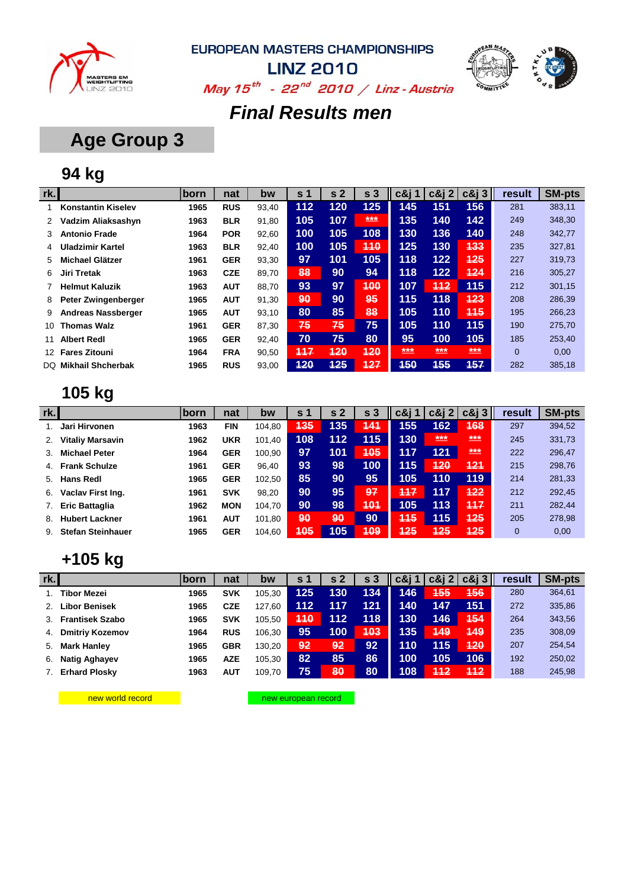



**LINZ 2010** May  $15^{th}$  - 22<sup>nd</sup> 2010 / Linz - Austria

## *Final Results men*

## **Age Group 3**

## **94 kg**

| rk. |                           | born | nat        | bw    | s <sub>1</sub> | s <sub>2</sub> | s <sub>3</sub> | c&i 1 | $c\&12$ | $c\&i3$ | result         | <b>SM-pts</b> |
|-----|---------------------------|------|------------|-------|----------------|----------------|----------------|-------|---------|---------|----------------|---------------|
|     | <b>Konstantin Kiselev</b> | 1965 | <b>RUS</b> | 93,40 | 112            | 120            | 125            | 145   | 151     | 156     | 281            | 383,11        |
| 2   | Vadzim Aliaksashyn        | 1963 | <b>BLR</b> | 91,80 | 105            | 107            | ***            | 135   | 140     | 142     | 249            | 348,30        |
| 3   | <b>Antonio Frade</b>      | 1964 | <b>POR</b> | 92,60 | 100            | 105            | 108            | 130   | 136     | 140     | 248            | 342,77        |
| 4   | <b>Uladzimir Kartel</b>   | 1963 | <b>BLR</b> | 92.40 | 100            | 105            | 440            | 125   | 130     | 133     | 235            | 327,81        |
| 5.  | <b>Michael Glätzer</b>    | 1961 | <b>GER</b> | 93,30 | 97             | 101            | 105            | 118   | $122$   | 425     | 227            | 319,73        |
| 6   | Jiri Tretak               | 1963 | <b>CZE</b> | 89,70 | 88             | 90             | 94             | 118   | $122$   | 424     | 216            | 305,27        |
|     | <b>Helmut Kaluzik</b>     | 1963 | <b>AUT</b> | 88,70 | 93             | 97             | 400            | 107   | 412     | 115     | 212            | 301,15        |
| 8   | Peter Zwingenberger       | 1965 | <b>AUT</b> | 91,30 | 90             | 90             | 95             | 115   | 118     | 423     | 208            | 286,39        |
| 9   | <b>Andreas Nassberger</b> | 1965 | <b>AUT</b> | 93,10 | 80             | 85             | 88             | 105   | 110     | 445     | 195            | 266,23        |
| 10  | <b>Thomas Walz</b>        | 1961 | <b>GER</b> | 87,30 | 75             | 75             | 75             | 105   | 110     | 115     | 190            | 275,70        |
| 11  | <b>Albert Redl</b>        | 1965 | <b>GER</b> | 92.40 | 70             | 75             | 80             | 95    | 100     | 105     | 185            | 253,40        |
| 12. | <b>Fares Zitouni</b>      | 1964 | <b>FRA</b> | 90,50 | 447            | 420            | 420            | ***   | ***     | ***     | $\overline{0}$ | 0,00          |
| DQ. | <b>Mikhail Shcherbak</b>  | 1965 | <b>RUS</b> | 93,00 | 120            | 425            | 127            | 450   | 455     | 157     | 282            | 385,18        |

## **105 kg**

| rk.            |                          | lborn | nat        | bw     | s 1 | s <sub>2</sub> | s <sub>3</sub> | $c\&$ j 1 | $c\&12$    | $c\&i3$ | result | <b>SM-pts</b> |
|----------------|--------------------------|-------|------------|--------|-----|----------------|----------------|-----------|------------|---------|--------|---------------|
|                | Jari Hirvonen            | 1963  | <b>FIN</b> | 104.80 | 435 | 135            | 444            | 155       | 162        | 168     | 297    | 394,52        |
| 2.             | <b>Vitaliy Marsavin</b>  | 1962  | <b>UKR</b> | 101,40 | 108 | 112            | 115            | 130       | $***$      | ***     | 245    | 331,73        |
| 3.             | <b>Michael Peter</b>     | 1964  | <b>GER</b> | 100,90 | 97  | 101            | 405            | 117       | 121        | ***     | 222    | 296,47        |
| 4 <sup>1</sup> | <b>Frank Schulze</b>     | 1961  | <b>GER</b> | 96,40  | 93  | 98             | 100            | 115       | <b>120</b> | 421     | 215    | 298,76        |
| 5.             | <b>Hans Redl</b>         | 1965  | <b>GER</b> | 102.50 | 85  | 90             | 95             | 105       | 110        | 119     | 214    | 281,33        |
| 6.             | Vaclav First Ing.        | 1961  | <b>SVK</b> | 98,20  | 90  | 95             | 97             | 117       | 117        | 422     | 212    | 292,45        |
|                | <b>Eric Battaglia</b>    | 1962  | <b>MON</b> | 104,70 | 90  | 98             | 401            | 105       | 113        | 447     | 211    | 282,44        |
| 8.             | <b>Hubert Lackner</b>    | 1961  | <b>AUT</b> | 101,80 | 90  | 90             | 90             | 445       | 115        | 425     | 205    | 278,98        |
| 9.             | <b>Stefan Steinhauer</b> | 1965  | <b>GER</b> | 104,60 | 405 | 105            | 409            | 425       | 425        | 425     | 0      | 0,00          |

#### **+105 kg**

| rk.l |                        | <b>born</b> | nat        | bw     | s 1 | s <sub>2</sub> | s   | c&i 1 | $c\&12$ | $c\&i3$    | result | <b>SM-pts</b> |
|------|------------------------|-------------|------------|--------|-----|----------------|-----|-------|---------|------------|--------|---------------|
|      | Tibor Mezei            | 1965        | <b>SVK</b> | 105.30 | 125 | 130            | 134 | 146   | 455     | <b>456</b> | 280    | 364,61        |
| 2.   | <b>Libor Benisek</b>   | 1965        | <b>CZE</b> | 127,60 | 112 | 117            | 121 | 140   | 147     | 151        | 272    | 335,86        |
|      | 3. Frantisek Szabo     | 1965        | <b>SVK</b> | 105.50 | 110 | 112            | 118 | 130   | 146     | 454        | 264    | 343,56        |
| 4.   | <b>Dmitriy Kozemov</b> | 1964        | <b>RUS</b> | 106.30 | 95  | 100            | 403 | 135   | 449     | 449        | 235    | 308,09        |
|      | 5. Mark Hanley         | 1965        | <b>GBR</b> | 130.20 | 92  | 92             | 92  | 110   | 115     | 420        | 207    | 254,54        |
| 6.   | <b>Natig Aghayev</b>   | 1965        | <b>AZE</b> | 105,30 | 82  | 85             | 86  | 100   | 105     | 106        | 192    | 250,02        |
| 7.   | <b>Erhard Plosky</b>   | 1963        | <b>AUT</b> | 109.70 | 75  | 80             | 80  | 108   | 442     | 412        | 188    | 245,98        |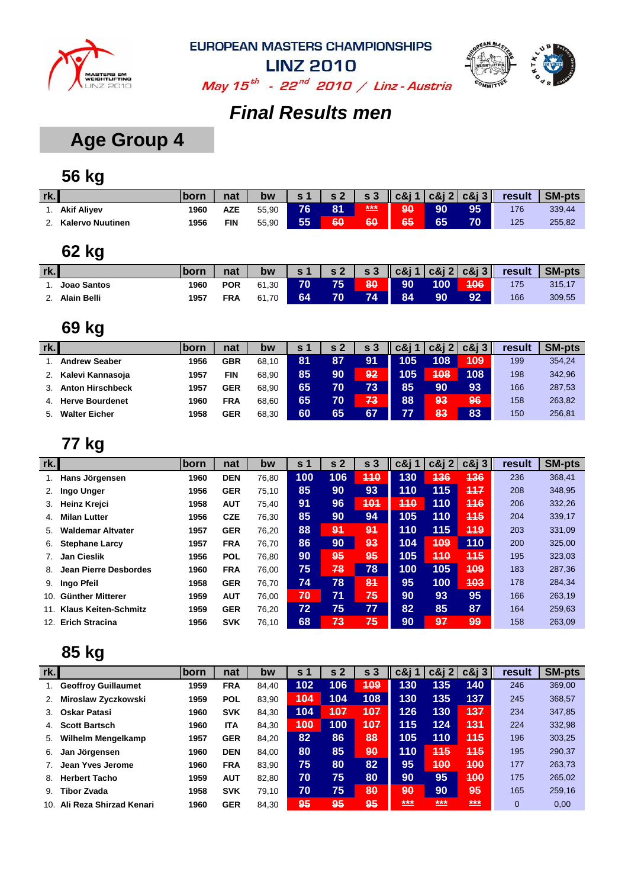



May  $15^{th}$  - 22<sup>nd</sup> 2010 / Linz - Austria

### *Final Results men*

## **Age Group 4**

## **56 kg**

| rk. |                         | born | nat | bw    | $\sim$ | $\epsilon$ 2 | s <sub>3</sub> |    |    | $ c\&j1 c\&j2 c\&j3 $ | result | <b>SM-pts</b> |
|-----|-------------------------|------|-----|-------|--------|--------------|----------------|----|----|-----------------------|--------|---------------|
|     | <b>Akif Aliyev</b>      | 1960 | AZE | 55,90 | 76     | 81           | ***            | 90 | 90 | 95                    | 176    | 339,44        |
|     | <b>Kalervo Nuutinen</b> | 1956 | FIN | 55,90 | 55     | 60           | 60             | 65 | 65 | 70                    | 125    | 255,82        |

### **62 kg**

| rk. |                    |      | nat        | bw    | $\mathsf{s}$ 1 |     |     |    |     |     | $\vert$ s 2 $\vert$ s 3 $\vert$ c&j 1 $\vert$ c&j 2 $\vert$ c&j 3 $\vert$ result | SM-pts |
|-----|--------------------|------|------------|-------|----------------|-----|-----|----|-----|-----|----------------------------------------------------------------------------------|--------|
|     | Joao Santos        | 1960 | <b>POR</b> | 61.30 | 70             | 75. | 80. | 90 | 100 | 106 | 175                                                                              | 315.17 |
|     | <b>Alain Belli</b> | 1957 | <b>FRA</b> | 61.70 | 64             |     | 74  | 84 | 90  | 92  | 166                                                                              | 309,55 |

### **69 kg**

| rk. |                         | <b>born</b> | nat        | bw    | s · |    | s 3 | c8r | $c\&12$ | $c\&13$ | result | <b>SM-pts</b> |
|-----|-------------------------|-------------|------------|-------|-----|----|-----|-----|---------|---------|--------|---------------|
|     | <b>Andrew Seaber</b>    | 1956        | GBR        | 68.10 | 81  | 87 | 91  | 105 | 108     | 409     | 199    | 354,24        |
|     | Kalevi Kannasoja        | 1957        | <b>FIN</b> | 68.90 | 85  | 90 | 92  | 105 | 408     | 108     | 198    | 342,96        |
|     | <b>Anton Hirschbeck</b> | 1957        | GER        | 68.90 | 65  | 70 | 73  | 85  | 90      | 93      | 166    | 287,53        |
| 4.  | <b>Herve Bourdenet</b>  | 1960        | FRA        | 68.60 | 65  | 70 | 73  | 88  | 93      | 96      | 158    | 263,82        |
| 5.  | <b>Walter Eicher</b>    | 1958        | <b>GER</b> | 68.30 | 60  | 65 | 67  | 77  | 83      | 83      | 150    | 256,81        |

#### **77 kg**

| rk.          |                             | ∣born | nat        | bw    | s 1 | s <sub>2</sub> | s <sub>3</sub> | c&i 1 l    | $c\&$ j 2 | $c\&$ $3$  | result | <b>SM-pts</b> |
|--------------|-----------------------------|-------|------------|-------|-----|----------------|----------------|------------|-----------|------------|--------|---------------|
|              | Hans Jörgensen              | 1960  | <b>DEN</b> | 76,80 | 100 | 106            | 440            | 130        | 436       | 436        | 236    | 368,41        |
| 2.           | Ingo Unger                  | 1956  | <b>GER</b> | 75,10 | 85  | 90             | 93             | 110        | 115       | 117        | 208    | 348,95        |
| 3.           | <b>Heinz Kreici</b>         | 1958  | <b>AUT</b> | 75,40 | 91  | 96             | 401            | <b>110</b> | 110       | 116        | 206    | 332,26        |
| $\mathbf{4}$ | <b>Milan Lutter</b>         | 1956  | <b>CZE</b> | 76,30 | 85  | 90             | 94             | 105        | 110       | 115        | 204    | 339,17        |
| 5.           | Waldemar Altvater           | 1957  | <b>GER</b> | 76,20 | 88  | 94             | 94             | 110        | 115       | 449        | 203    | 331,09        |
| 6.           | <b>Stephane Larcy</b>       | 1957  | <b>FRA</b> | 76,70 | 86  | 90             | 93             | 104        | 409       | 110        | 200    | 325,00        |
| 7.           | <b>Jan Cieslik</b>          | 1956  | <b>POL</b> | 76,80 | 90  | 95             | 95             | 105        | 410       | <b>115</b> | 195    | 323,03        |
| 8.           | Jean Pierre Desbordes       | 1960  | <b>FRA</b> | 76.00 | 75  | 78             | 78             | 100        | 105       | 409        | 183    | 287,36        |
| 9.           | Ingo Pfeil                  | 1958  | <b>GER</b> | 76,70 | 74  | 78             | 84             | 95         | 100       | 403        | 178    | 284,34        |
| 10.          | Günther Mitterer            | 1959  | <b>AUT</b> | 76.00 | 70  | 71             | 75             | 90         | 93        | 95         | 166    | 263,19        |
| 11.          | <b>Klaus Keiten-Schmitz</b> | 1959  | <b>GER</b> | 76,20 | 72  | 75             | 77             | 82         | 85        | 87         | 164    | 259,63        |
| 12.          | <b>Erich Stracina</b>       | 1956  | <b>SVK</b> | 76,10 | 68  | 73             | 75             | 90         | 97        | 99         | 158    | 263,09        |

| rk. |                            | <b>born</b> | nat        | bw    | S.  | -2<br>S | s <sub>3</sub> | c&i 1 | $c\&i$ 2   | $c\&i3$ | result         | <b>SM-pts</b> |
|-----|----------------------------|-------------|------------|-------|-----|---------|----------------|-------|------------|---------|----------------|---------------|
|     | <b>Geoffroy Guillaumet</b> | 1959        | <b>FRA</b> | 84.40 | 102 | 106     | 409            | 130   | 135        | 140     | 246            | 369,00        |
| 2.  | Miroslaw Zyczkowski        | 1959        | <b>POL</b> | 83.90 | 404 | 104     | 108            | 130   | 135        | 137     | 245            | 368,57        |
| 3.  | <b>Oskar Patasi</b>        | 1960        | <b>SVK</b> | 84.30 | 104 | 407     | 407            | 126   | 130        | 437     | 234            | 347,85        |
| 4.  | <b>Scott Bartsch</b>       | 1960        | ITA        | 84,30 | 400 | 100     | 407            | 115   | 124        | 431     | 224            | 332,98        |
| 5.  | <b>Wilhelm Mengelkamp</b>  | 1957        | <b>GER</b> | 84,20 | 82  | 86      | 88             | 105   | 110        | 445     | 196            | 303,25        |
| 6.  | Jan Jörgensen              | 1960        | <b>DEN</b> | 84,00 | 80  | 85      | 90             | 110   | <b>445</b> | 445     | 195            | 290,37        |
|     | Jean Yves Jerome           | 1960        | <b>FRA</b> | 83,90 | 75  | 80      | 82             | 95    | 400        | 400     | 177            | 263,73        |
| 8.  | <b>Herbert Tacho</b>       | 1959        | <b>AUT</b> | 82.80 | 70  | 75      | 80             | 90    | 95         | 400     | 175            | 265,02        |
| 9.  | <b>Tibor Zvada</b>         | 1958        | <b>SVK</b> | 79,10 | 70  | 75      | 80             | 90    | 90         | 95      | 165            | 259,16        |
| 10. | Ali Reza Shirzad Kenari    | 1960        | <b>GER</b> | 84.30 | 95  | 95      | 95             | ***   | ***        | ***     | $\overline{0}$ | 0,00          |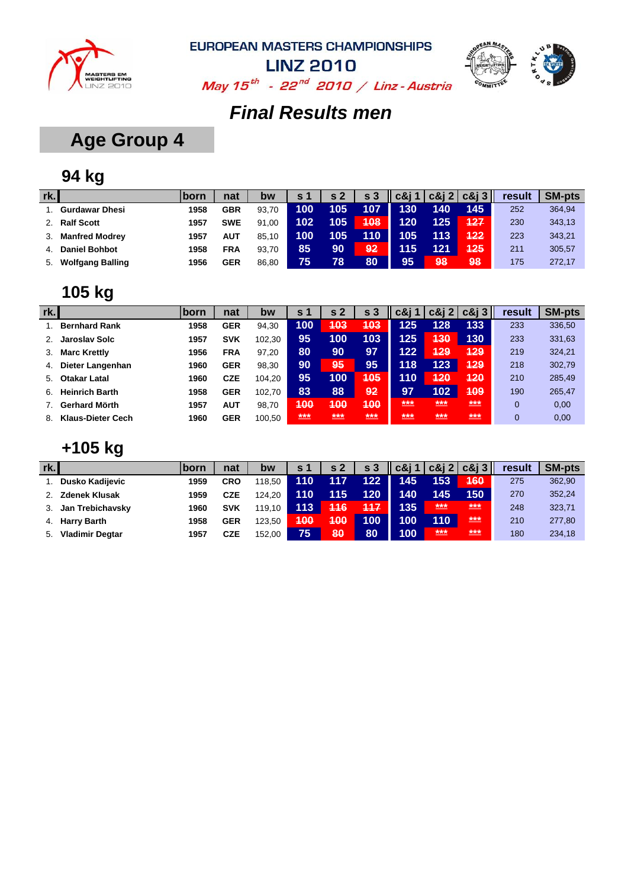



May  $15^{th}$  - 22<sup>nd</sup> 2010 / Linz - Austria

## *Final Results men*

## **Age Group 4**

## **94 kg**

| rk. |                         | born | nat        | bw    | <b>s</b> 1 | s <sub>2</sub> | s <sub>3</sub> | $c\&i1$ |     | $ c\&$ i 2 $ c\&$ i 3 $  $ | result | <b>SM-pts</b> |
|-----|-------------------------|------|------------|-------|------------|----------------|----------------|---------|-----|----------------------------|--------|---------------|
|     | <b>Gurdawar Dhesi</b>   | 1958 | <b>GBR</b> | 93.70 | 100        | 105            | 107            | 130     | 140 | 145                        | 252    | 364,94        |
|     | <b>Ralf Scott</b>       | 1957 | <b>SWE</b> | 91.00 | 102        | 105            | 408            | 120     | 125 | 427                        | 230    | 343,13        |
|     | <b>Manfred Modrey</b>   | 1957 | AUT        | 85.10 | 100        | 105            | 110            | 105     | 113 | 422                        | 223    | 343,21        |
|     | <b>Daniel Bohbot</b>    | 1958 | <b>FRA</b> | 93.70 | 85         | 90             | 92             | 115     | 121 | 125                        | 211    | 305,57        |
| 5.  | <b>Wolfgang Balling</b> | 1956 | <b>GER</b> | 86.80 | 75         | 78             | 80             | 95      | 198 | 98                         | 175    | 272.17        |

### **105 kg**

| rk. |                       | born | nat        | bw     | s 1 | s <sub>2</sub> | s <sub>3</sub> | c&i ' | $c\&i2$ | $c\&i3$ | result | <b>SM-pts</b> |
|-----|-----------------------|------|------------|--------|-----|----------------|----------------|-------|---------|---------|--------|---------------|
|     | <b>Bernhard Rank</b>  | 1958 | <b>GER</b> | 94,30  | 100 | 403            | 403            | 125   | 128     | 133     | 233    | 336,50        |
| 2.  | Jaroslav Solc         | 1957 | <b>SVK</b> | 102,30 | 95  | 100            | 103            | 125   | 430     | 130     | 233    | 331,63        |
| 3.  | <b>Marc Krettly</b>   | 1956 | <b>FRA</b> | 97.20  | 80  | 90             | 97             | 122   | 429     | 429     | 219    | 324,21        |
| 4.  | Dieter Langenhan      | 1960 | <b>GER</b> | 98.30  | 90  | 95             | 95             | 118   | 123     | 429     | 218    | 302,79        |
| 5.  | <b>Otakar Latal</b>   | 1960 | <b>CZE</b> | 104.20 | 95  | 100            | 405            | 110   | 420     | 420     | 210    | 285,49        |
| 6.  | <b>Heinrich Barth</b> | 1958 | <b>GER</b> | 102.70 | 83  | 88             | 92             | 97    | 102     | 409     | 190    | 265,47        |
|     | Gerhard Mörth         | 1957 | <b>AUT</b> | 98.70  | 400 | 400            | 400            | ***   | ***     | ***     | 0      | 0,00          |
| 8.  | Klaus-Dieter Cech     | 1960 | <b>GER</b> | 100.50 | *** | $***$          | $***$          | ***   | $***$   | $***$   | 0      | 0,00          |

## **+105 kg**

| rk. |                        | lborn | nat        | bw     | s <sub>1</sub> | s <sub>2</sub> | s <sub>3</sub> | $c\&i1$ |       | $\vert$ c&j 2 c&j 3 | result | <b>SM-pts</b> |
|-----|------------------------|-------|------------|--------|----------------|----------------|----------------|---------|-------|---------------------|--------|---------------|
|     | <b>Dusko Kadijevic</b> | 1959  | <b>CRO</b> | 118.50 | 110            | 117            | 122            | 145     | 153   | 460                 | 275    | 362,90        |
| 2.  | <b>Zdenek Klusak</b>   | 1959  | <b>CZE</b> | 124.20 | 110            | 115            | 120            | 140     | 145   | 150                 | 270    | 352,24        |
| 3.  | Jan Trebichavsky       | 1960  | <b>SVK</b> | 119.10 | 113            | 446            | 447            | 135     | ***   | ***                 | 248    | 323,71        |
| 4.  | <b>Harry Barth</b>     | 1958  | <b>GER</b> | 123.50 | 400            | 400            | 100            | 100     | 110   | $***$               | 210    | 277,80        |
| 5.  | <b>Vladimir Degtar</b> | 1957  | <b>CZE</b> | 152,00 | 75             | 80             | 80             | 100     | $***$ | ***                 | 180    | 234,18        |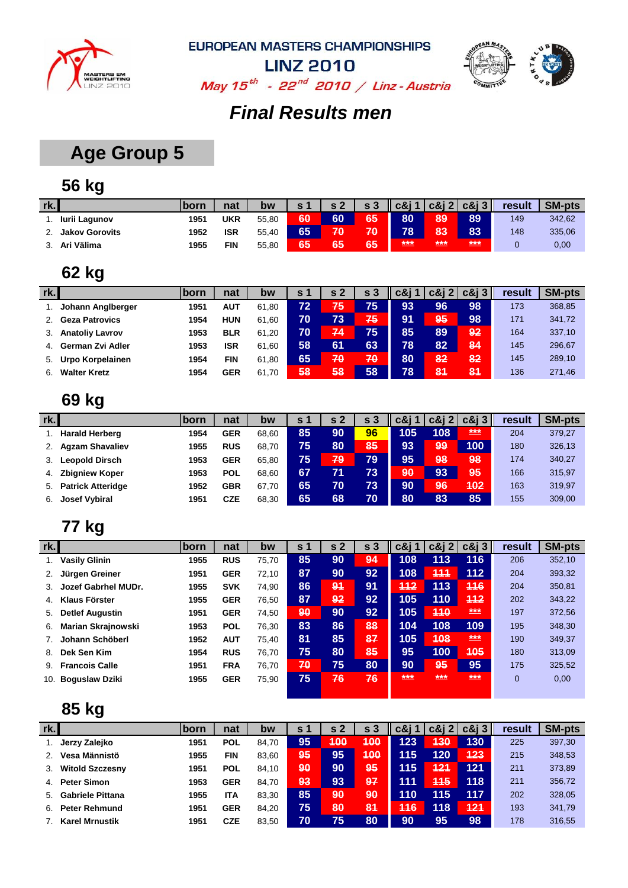



May  $15^{th}$  - 22<sup>nd</sup> 2010 / Linz - Austria

## *Final Results men*

## **Age Group 5**

## **56 kg**

| rk.                   | <b>Iborn</b> | nat        | bw    | <b>c</b> 1   | $\sim$ 2 | s <sub>3</sub> | $c\&11$ |     | $ c\&j2 c\&j3 $ | result | <b>SM-pts</b> |
|-----------------------|--------------|------------|-------|--------------|----------|----------------|---------|-----|-----------------|--------|---------------|
| Iurii Lagunov         | 1951         | UKR        | 55.80 | 60           | 60       | 65             | 80      | 89  | 89              | 149    | 342,62        |
| <b>Jakov Gorovits</b> | 1952         | ISR        | 55.40 | $65^{\circ}$ | 70       | 70             | 78      | 83  | 83              | 148    | 335,06        |
| Ari Välima            | 1955         | <b>FIN</b> | 55,80 | 65           | 65       | 65             | ***     | *** | ***             |        | 0,00          |

#### **62 kg**

| rk. |                        | <b>Iborn</b> | nat        | bw    | s 1 | s <sub>2</sub> | s <sub>3</sub> | c&i | $c\&i$ 2 | c&i | result | <b>SM-pts</b> |
|-----|------------------------|--------------|------------|-------|-----|----------------|----------------|-----|----------|-----|--------|---------------|
|     | Johann Anglberger      | 1951         | AUT        | 61.80 | 72  | 75             | 75             | 93  | 96       | 98  | 173    | 368,85        |
|     | <b>Geza Patrovics</b>  | 1954         | <b>HUN</b> | 61.60 | 70  | 73             | 75             | 91  | 95       | 98  | 171    | 341,72        |
| 3.  | <b>Anatoliy Lavrov</b> | 1953         | <b>BLR</b> | 61.20 | 70  | 74             | 75             | 85  | 89       | 92  | 164    | 337,10        |
| 4.  | German Zvi Adler       | 1953         | <b>ISR</b> | 61.60 | 58  | 61             | 63             | 78  | 82       | 84  | 145    | 296,67        |
| 5.  | Urpo Korpelainen       | 1954         | FIN        | 61.80 | 65  | 70             | 70             | 80  | 82       | 82  | 145    | 289,10        |
| 6.  | <b>Walter Kretz</b>    | 1954         | <b>GER</b> | 61.70 | 58  | 58             | 58             | 78  | 81       | 84  | 136    | 271,46        |

#### **69 kg**

| rk. |                          | <b>born</b> | nat        | bw    | S 1 | s <sub>2</sub> | s <sub>3</sub> | c&i | $c\&12$ | $c\&i3$ | result | <b>SM-pts</b> |
|-----|--------------------------|-------------|------------|-------|-----|----------------|----------------|-----|---------|---------|--------|---------------|
|     | <b>Harald Herberg</b>    | 1954        | <b>GER</b> | 68.60 | 85  | 90             | 96             | 105 | 108     | ***     | 204    | 379,27        |
|     | <b>Agzam Shavaliev</b>   | 1955        | <b>RUS</b> | 68.70 | 75  | 80             | 85             | 93  | 99      | 100     | 180    | 326,13        |
|     | <b>Leopold Dirsch</b>    | 1953        | GER        | 65.80 | 75  | 79             | 79             | 95  | 98      | 98      | 174    | 340,27        |
| 4.  | <b>Zbigniew Koper</b>    | 1953        | <b>POL</b> | 68.60 | 67  | 71             | 73             | 90  | 93      | 95      | 166    | 315,97        |
| 5.  | <b>Patrick Atteridge</b> | 1952        | <b>GBR</b> | 67.70 | 65  | 70             | 73             | 90  | 96      | 402     | 163    | 319,97        |
| 6.  | <b>Josef Vybiral</b>     | 1951        | CZE        | 68.30 | 65  | 68             | 70             | 80  | 83      | 85      | 155    | 309,00        |

#### **77 kg**

| rk.            |                           | lborn | nat        | bw    | s 1 | s <sub>2</sub> | s <sub>3</sub>  | $c\&j$ 1 | $c\&j2$ | $c\&13$ | result       | <b>SM-pts</b> |
|----------------|---------------------------|-------|------------|-------|-----|----------------|-----------------|----------|---------|---------|--------------|---------------|
|                | <b>Vasily Glinin</b>      | 1955  | <b>RUS</b> | 75.70 | 85  | 90             | 94              | 108      | 113     | 116     | 206          | 352,10        |
| 2.             | Jürgen Greiner            | 1951  | <b>GER</b> | 72,10 | 87  | 90             | 92              | 108      | 444     | $112$   | 204          | 393,32        |
| 3.             | Jozef Gabrhel MUDr.       | 1955  | <b>SVK</b> | 74.90 | 86  | 91             | 91              | 442      | 113     | 446     | 204          | 350,81        |
| 4 <sup>1</sup> | <b>Klaus Förster</b>      | 1955  | <b>GER</b> | 76.50 | 87  | 92             | 92 <sub>1</sub> | 105      | 110     | 442     | 202          | 343,22        |
| 5.             | <b>Detlef Augustin</b>    | 1951  | <b>GER</b> | 74.50 | 90  | 90             | 92              | 105      | 440     | ***     | 197          | 372,56        |
| 6.             | <b>Marian Skrajnowski</b> | 1953  | <b>POL</b> | 76,30 | 83  | 86             | 88              | 104      | 108     | 109     | 195          | 348,30        |
|                | Johann Schöberl           | 1952  | AUT        | 75.40 | 81  | 85             | 87              | 105      | 408     | ***     | 190          | 349,37        |
| 8.             | Dek Sen Kim               | 1954  | <b>RUS</b> | 76,70 | 75  | 80             | 85              | 95       | 100     | 405     | 180          | 313,09        |
| 9.             | <b>Francois Calle</b>     | 1951  | <b>FRA</b> | 76.70 | 70  | 75             | 80              | 90       | 95      | 95      | 175          | 325,52        |
| 10.            | <b>Boguslaw Dziki</b>     | 1955  | <b>GER</b> | 75,90 | 75  | 76             | 76              | ***      | ***     | $***$   | $\mathbf{0}$ | 0,00          |
|                |                           |       |            |       |     |                |                 |          |         |         |              |               |

| rk. |                         | <b>born</b> | nat        | bw    | S <sub>1</sub> | $s_{2}$ | s <sub>3</sub> | c&i        | c&i 2 l | $c\&i3$ | result | <b>SM-pts</b> |
|-----|-------------------------|-------------|------------|-------|----------------|---------|----------------|------------|---------|---------|--------|---------------|
|     | Jerzy Zalejko           | 1951        | <b>POL</b> | 84.70 | 95             | 400     | 400            | 123'       | 430     | 130     | 225    | 397,30        |
|     | Vesa Männistö           | 1955        | <b>FIN</b> | 83.60 | 95             | 95      | 400            | 115        | 120     | 423     | 215    | 348,53        |
| 3.  | <b>Witold Szczesny</b>  | 1951        | <b>POL</b> | 84.10 | 90             | 90      | 95             | 115        | 121     | 121     | 211    | 373,89        |
| 4.  | <b>Peter Simon</b>      | 1953        | <b>GER</b> | 84.70 | 93             | 93      | 97             | 111        | 445     | 118     | 211    | 356,72        |
| 5.  | <b>Gabriele Pittana</b> | 1955        | <b>ITA</b> | 83.30 | 85             | 90      | 90             | 110        | 115     | 117     | 202    | 328,05        |
| 6.  | <b>Peter Rehmund</b>    | 1951        | <b>GER</b> | 84.20 | 75             | 80      | 81             | <b>116</b> | 118     | 421     | 193    | 341,79        |
|     | <b>Karel Mrnustik</b>   | 1951        | <b>CZE</b> | 83,50 | 70             | 75      | 80             | 90         | 95      | 98      | 178    | 316,55        |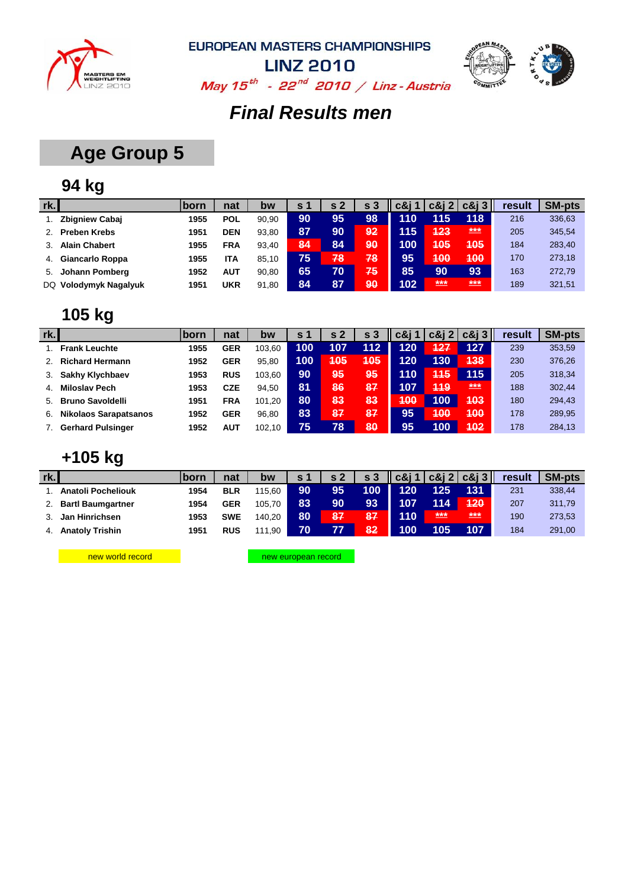



**LINZ 2010** May  $15^{th}$  - 22<sup>nd</sup> 2010 / Linz - Austria

### *Final Results men*

## **Age Group 5**

## **94 kg**

| rk. |                        | born | nat        | bw    | S <sub>1</sub> | s <sub>2</sub> |    | c&i 1 | $c\&12$      | $c\&13$        | result | <b>SM-pts</b> |
|-----|------------------------|------|------------|-------|----------------|----------------|----|-------|--------------|----------------|--------|---------------|
|     | <b>Zbigniew Cabaj</b>  | 1955 | <b>POL</b> | 90.90 | 90             | 95             | 98 | 110   | 115          | 118            | 216    | 336,63        |
|     | <b>Preben Krebs</b>    | 1951 | <b>DEN</b> | 93.80 | 87             | 90             | 92 | 115   | 423          | ***            | 205    | 345,54        |
|     | <b>Alain Chabert</b>   | 1955 | <b>FRA</b> | 93.40 | 84             | 84             | 90 | 100   | 405          | 405            | 184    | 283,40        |
| 4.  | <b>Giancarlo Roppa</b> | 1955 | ITA        | 85.10 | 75             | 78             | 78 | 95    | 400          | 400            | 170    | 273,18        |
| 5.  | Johann Pomberg         | 1952 | AUT        | 90.80 | 65             | 70             | 75 | 85    | 90           | 93             | 163    | 272,79        |
|     | DQ Volodymyk Nagalyuk  | 1951 | <b>UKR</b> | 91.80 | 84             | 87             | 90 | 102   | $***$<br>___ | $***$<br>_____ | 189    | 321,51        |

### **105 kg**

| rk.            |                              | <b>born</b> | nat        | bw     | s 1 | s <sub>2</sub> | s <sub>3</sub> | c&i 1 |            | $c\&12$ $c\&13$ | result | <b>SM-pts</b> |
|----------------|------------------------------|-------------|------------|--------|-----|----------------|----------------|-------|------------|-----------------|--------|---------------|
|                | <b>Frank Leuchte</b>         | 1955        | <b>GER</b> | 103.60 | 100 | 107            | 112            | 120   | 427        | 127             | 239    | 353,59        |
|                | <b>Richard Hermann</b>       | 1952        | <b>GER</b> | 95.80  | 100 | 405            | 405            | 120   | 130        | 438             | 230    | 376,26        |
| 3.             | <b>Sakhy Klychbaev</b>       | 1953        | <b>RUS</b> | 103.60 | 90  | 95             | 95             | 110   | <b>415</b> | 115             | 205    | 318,34        |
| 4 <sup>1</sup> | <b>Miloslav Pech</b>         | 1953        | CZE        | 94.50  | 81  | 86             | 87             | 107   | <b>419</b> | ***             | 188    | 302,44        |
| 5.             | <b>Bruno Savoldelli</b>      | 1951        | <b>FRA</b> | 101.20 | 80  | 83             | 83             | 400   | 100        | 403             | 180    | 294,43        |
| 6.             | <b>Nikolaos Sarapatsanos</b> | 1952        | <b>GER</b> | 96.80  | 83  | 87             | 87             | 95    | 400        | 400             | 178    | 289,95        |
|                | <b>Gerhard Pulsinger</b>     | 1952        | AUT        | 102.10 | 75  | 78             | 80             | 95    | 100        | 402             | 178    | 284,13        |

#### **+105 kg**

| rk. |                           | <b>lborn</b> | nat        | bw     | s <sub>1</sub> | s <sub>2</sub> | s <sub>3</sub> | $\parallel$ c&j 1 |       | $\vert$ $\vert$ c&j 2 $\vert$ c&j 3 $\vert\vert$ | result | <b>SM-pts</b> |
|-----|---------------------------|--------------|------------|--------|----------------|----------------|----------------|-------------------|-------|--------------------------------------------------|--------|---------------|
|     | <b>Anatoli Pocheliouk</b> | 1954         | <b>BLR</b> | 115.60 | 90             | 95             | 100            | 120               |       | 131                                              | 231    | 338,44        |
|     | <b>Bartl Baumgartner</b>  | 1954         | <b>GER</b> | 105.70 | 83             | 90             | 93             | 107               | 114   | 420                                              | 207    | 311,79        |
|     | Jan Hinrichsen            | 1953         | <b>SWE</b> | 140.20 | 80             | 87             | 87             | 110               | $***$ | ***                                              | 190    | 273,53        |
|     | <b>Anatoly Trishin</b>    | 1951         | <b>RUS</b> | 111.90 | 70             |                | 82             | 100               | 105   | 107                                              | 184    | 291,00        |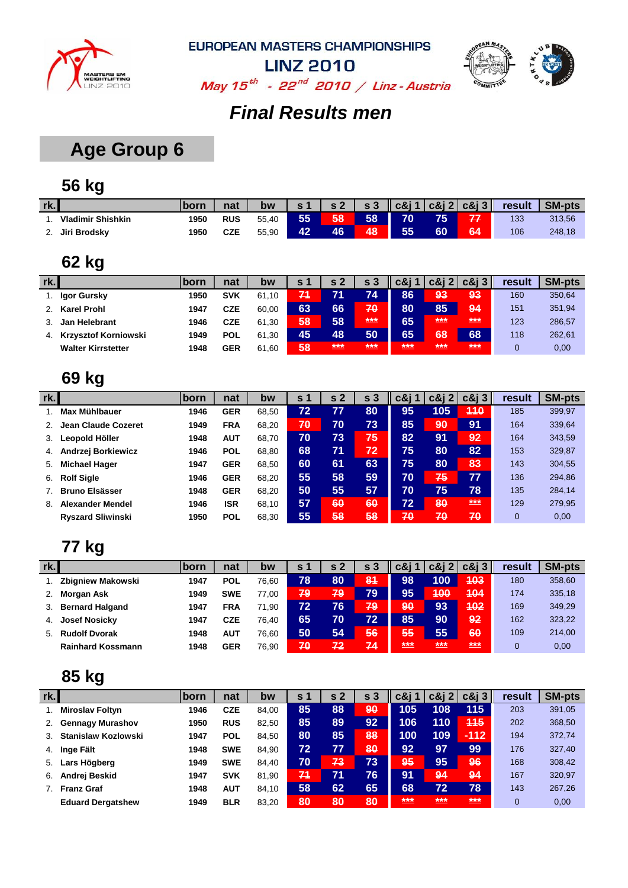



May  $15^{th}$  - 22<sup>nd</sup> 2010 / Linz - Austria

### *Final Results men*

## **Age Group 6**

## **56 kg**

| rk.      |                          | <b>Iborn</b> | nat        | bw    |    | s <sub>2</sub> | s <sub>3</sub> | $\vert \vert$ c&j 1 $\vert$ c&j 2 $\vert$ c&j 3 $\vert \vert$ |    |    | result | <b>SM-pts</b> |
|----------|--------------------------|--------------|------------|-------|----|----------------|----------------|---------------------------------------------------------------|----|----|--------|---------------|
|          | <b>Vladimir Shishkin</b> | 1950         | <b>RUS</b> | 55.40 | 55 | 58             | 58             | 70                                                            | 75 | 77 | 133    | 313,56        |
| <u>.</u> | Jiri Brodsky             | 1950         | CZE        | 55,90 | 42 | 46             | 48             | 55                                                            | 60 | 64 | 106    | 248,18        |

### **62 kg**

| rk. |                             | <b>born</b> | nat        | bw    | S 1 |     | s 3                               | c&i | c&i 2                           | $c\&i3$ | result | <b>SM-pts</b> |
|-----|-----------------------------|-------------|------------|-------|-----|-----|-----------------------------------|-----|---------------------------------|---------|--------|---------------|
|     | Igor Gursky                 | 1950        | SVK        | 61.10 | 71  |     | 74                                | 86  | 93                              | 93      | 160    | 350,64        |
|     | Karel Prohl                 | 1947        | CZE        | 60.00 | 63  | 66  | 70                                | 80  | 85                              | 94      | 151    | 351,94        |
|     | Jan Helebrant               | 1946        | CZE        | 61.30 | 58  | 58  | $***$                             | 65  | ***                             | $***$   | 123    | 286,57        |
| 4.  | <b>Krzysztof Korniowski</b> | 1949        | <b>POL</b> | 61.30 | 45  | 48  | 50                                | 65  | 68                              | 68      | 118    | 262,61        |
|     | <b>Walter Kirrstetter</b>   | 1948        | GER        | 61.60 | 58  | *** | $***$<br><b>PERSONAL PROPERTY</b> | *** | ***<br><b>PERSONAL PROPERTY</b> | ***     | 0      | 0,00          |

### **69 kg**

| rk. |                          | ∣born | nat        | bw    | s <sub>1</sub> | -2<br>S | s <sub>3</sub> | c&j 1 | $c\&i2$ | $c\&i3$ | result         | <b>SM-pts</b> |
|-----|--------------------------|-------|------------|-------|----------------|---------|----------------|-------|---------|---------|----------------|---------------|
|     | <b>Max Mühlbauer</b>     | 1946  | <b>GER</b> | 68.50 | 72             | 77      | 80             | 95    | 105     | 440     | 185            | 399,97        |
|     | Jean Claude Cozeret      | 1949  | <b>FRA</b> | 68.20 | 70             | 70      | 73             | 85    | 90      | 91      | 164            | 339,64        |
| 3.  | Leopold Höller           | 1948  | <b>AUT</b> | 68,70 | 70             | 73      | 75             | 82    | 91      | 92      | 164            | 343,59        |
| 4.  | Andrzej Borkiewicz       | 1946  | <b>POL</b> | 68.80 | 68             | 71      | 72             | 75    | 80      | 82      | 153            | 329,87        |
| 5.  | <b>Michael Hager</b>     | 1947  | <b>GER</b> | 68.50 | 60             | 61      | 63             | 75    | 80      | 83      | 143            | 304,55        |
| 6.  | <b>Rolf Sigle</b>        | 1946  | <b>GER</b> | 68.20 | 55             | 58      | 59             | 70    | 75      | 77      | 136            | 294,86        |
|     | <b>Bruno Elsässer</b>    | 1948  | <b>GER</b> | 68.20 | 50             | 55      | 57             | 70    | 75      | 78      | 135            | 284,14        |
| 8.  | Alexander Mendel         | 1946  | <b>ISR</b> | 68,10 | 57             | 60      | 60             | 72    | 80      | $***$   | 129            | 279,95        |
|     | <b>Ryszard Sliwinski</b> | 1950  | <b>POL</b> | 68,30 | 55             | 58      | 58             | 70    | 70      | 70      | $\overline{0}$ | 0,00          |

### **77 kg**

| rk. |                          | <b>born</b> | nat        | bw    | S 1 | s 2 | s <sub>3</sub> | c&i | $c\&12$ $c\&13$ |       | result | <b>SM-pts</b> |
|-----|--------------------------|-------------|------------|-------|-----|-----|----------------|-----|-----------------|-------|--------|---------------|
|     | <b>Zbigniew Makowski</b> | 1947        | <b>POL</b> | 76.60 | 78  | 80  | 81             | 98  | 100             | 403   | 180    | 358,60        |
|     | Morgan Ask               | 1949        | <b>SWE</b> | 77.00 | 79  | 79  | 79             | 95  | 400             | 404   | 174    | 335,18        |
| 3.  | <b>Bernard Halgand</b>   | 1947        | <b>FRA</b> | 71.90 | 72  | 76  | 79             | 90  | 93              | 402   | 169    | 349,29        |
| 4.  | <b>Josef Nosicky</b>     | 1947        | CZE        | 76.40 | 65  | 70  | 72             | 85  | 90              | 92    | 162    | 323,22        |
| 5.  | <b>Rudolf Dvorak</b>     | 1948        | AUT        | 76.60 | 50  | 54  | 56             | 55  | 55              | 60    | 109    | 214,00        |
|     | <b>Rainhard Kossmann</b> | 1948        | GER        | 76.90 | 70  | 72  | 74             | *** | ***             | $***$ | 0      | 0,00          |

| rk. |                          | <b>born</b> | nat        | bw    | s 1 | s <sub>2</sub> | -3<br>S | c&i 1 | c&i<br>$\mathbf{2}$ | $c\&i3$ | result       | <b>SM-pts</b> |
|-----|--------------------------|-------------|------------|-------|-----|----------------|---------|-------|---------------------|---------|--------------|---------------|
|     | <b>Miroslav Foltyn</b>   | 1946        | <b>CZE</b> | 84.00 | 85  | 88             | 90      | 105   | 108                 | 115     | 203          | 391,05        |
| 2.  | <b>Gennagy Murashov</b>  | 1950        | <b>RUS</b> | 82.50 | 85  | 89             | 92      | 106   | 110                 | 445     | 202          | 368,50        |
| 3.  | Stanislaw Kozlowski      | 1947        | <b>POL</b> | 84.50 | 80  | 85             | 88      | 100   | 109                 | $-112$  | 194          | 372,74        |
| 4.  | Inge Fält                | 1948        | <b>SWE</b> | 84.90 | 72  | 77             | 80      | 92    | <b>97</b>           | 99      | 176          | 327,40        |
| 5.  | Lars Högberg             | 1949        | <b>SWE</b> | 84.40 | 70  | 73             | 73      | 95    | 95                  | 96      | 168          | 308,42        |
| 6.  | Andrej Beskid            | 1947        | <b>SVK</b> | 81.90 | 71  | 71             | 76      | 91    | 94                  | 94      | 167          | 320,97        |
|     | <b>Franz Graf</b>        | 1948        | <b>AUT</b> | 84.10 | 58  | 62             | 65      | 68    | 72                  | 78      | 143          | 267,26        |
|     | <b>Eduard Dergatshew</b> | 1949        | <b>BLR</b> | 83.20 | 80  | 80             | 80      | ***   | ***                 | ***     | $\mathbf{0}$ | 0,00          |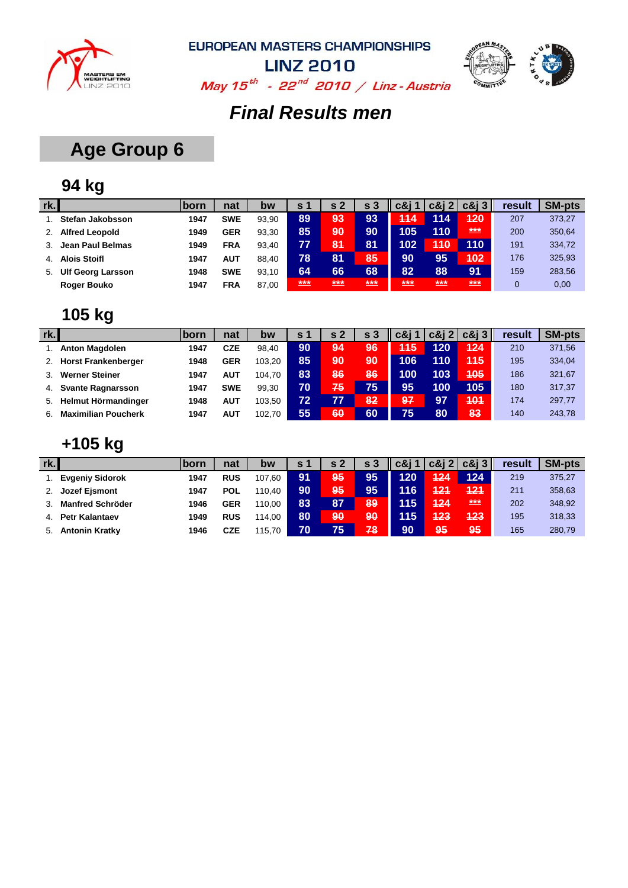



**LINZ 2010** May  $15^{th}$  - 22<sup>nd</sup> 2010 / Linz - Austria

### *Final Results men*

## **Age Group 6**

## **94 kg**

| rk. |                          | <b>Iborn</b> | nat        | bw    | <b>S</b> 1 | s <sub>2</sub> | s <sub>3</sub> | c&i |     | $c\&12 c\&13 $ | result | <b>SM-pts</b> |
|-----|--------------------------|--------------|------------|-------|------------|----------------|----------------|-----|-----|----------------|--------|---------------|
|     | Stefan Jakobsson         | 1947         | <b>SWE</b> | 93.90 | 89         | 93             | 93             | 444 | 114 | 120            | 207    | 373,27        |
|     | <b>Alfred Leopold</b>    | 1949         | <b>GER</b> | 93.30 | 85         | 90             | 90             | 105 | 110 | ***            | 200    | 350,64        |
|     | Jean Paul Belmas         | 1949         | <b>FRA</b> | 93.40 | 77         | 81             | 81             | 102 | 440 | 110            | 191    | 334,72        |
| 4.  | <b>Alois Stoifl</b>      | 1947         | AUT        | 88.40 | 78         | 81             | 85             | 90  | 95  | 402            | 176    | 325,93        |
| 5.  | <b>Ulf Georg Larsson</b> | 1948         | <b>SWE</b> | 93.10 | 64         | 66             | 68             | 82  | 88  | 91             | 159    | 283,56        |
|     | <b>Roger Bouko</b>       | 1947         | <b>FRA</b> | 87,00 | ***<br>___ | ***            | $***$<br>___   | *** | *** | $***$<br>_____ | 0      | 0,00          |

### **105 kg**

| rk. |                            | lborn | nat        | bw     | s 1 | s <sub>2</sub> | s <sub>3</sub> | $c\&j$ 1 |     | $c\&12$ $c\&13$ | result | <b>SM-pts</b> |
|-----|----------------------------|-------|------------|--------|-----|----------------|----------------|----------|-----|-----------------|--------|---------------|
|     | <b>Anton Magdolen</b>      | 1947  | CZE        | 98.40  | 90  | .94            | 96             | 445      | 120 | 124             | 210    | 371,56        |
|     | <b>Horst Frankenberger</b> | 1948  | <b>GER</b> | 103.20 | 85  | 90             | 90             | 106      | 110 | 445             | 195    | 334,04        |
|     | <b>Werner Steiner</b>      | 1947  | <b>AUT</b> | 104.70 | 83  | 86             | 86             | 100      | 103 | 405             | 186    | 321,67        |
| 4.  | <b>Svante Ragnarsson</b>   | 1947  | <b>SWE</b> | 99.30  | 70. | 75             | 75             | 95       | 100 | 105             | 180    | 317,37        |
| 5.  | Helmut Hörmandinger        | 1948  | <b>AUT</b> | 103.50 | 72  | 77             | 82             | 97       | 97  | 404             | 174    | 297,77        |
| 6.  | <b>Maximilian Poucherk</b> | 1947  | <b>AUT</b> | 102.70 | 55  | 60             | 60             | 75       | 80  | 83              | 140    | 243,78        |

### **+105 kg**

| rk. |                         | <b>Iborn</b> | nat        | bw     | s 1 | s <sub>2</sub> | s <sub>3</sub> | $c\&j$ 1 |     | $c\&12 c\&13 $ | result | <b>SM-pts</b> |
|-----|-------------------------|--------------|------------|--------|-----|----------------|----------------|----------|-----|----------------|--------|---------------|
|     | <b>Evgeniy Sidorok</b>  | 1947         | <b>RUS</b> | 107.60 | 91  | <b>95</b>      | 95             | 120      | 424 | 124            | 219    | 375,27        |
|     | <b>Jozef Ejsmont</b>    | 1947         | <b>POL</b> | 110.40 | 90  | 95             | 95             | 116      | 121 | 121            | 211    | 358,63        |
|     | <b>Manfred Schröder</b> | 1946         | <b>GER</b> | 110.00 | 83  | 87             | 89             | 115      | 424 | ***            | 202    | 348,92        |
| 4.  | <b>Petr Kalantaev</b>   | 1949         | <b>RUS</b> | 114.00 | 80  | 90             | 90             | 115      | 423 | 423            | 195    | 318,33        |
| 5.  | <b>Antonin Kratky</b>   | 1946         | <b>CZE</b> | 115.70 | 70  | 75             | 78             | 90       | 95  | 95             | 165    | 280,79        |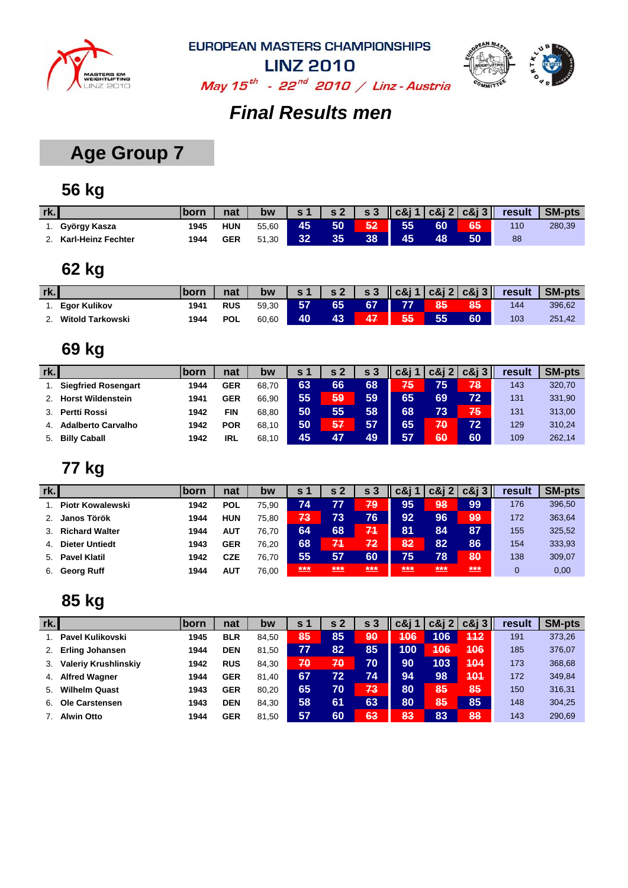



**LINZ 2010** May  $15^{th}$  - 22<sup>nd</sup> 2010 / Linz - Austria

## *Final Results men*

## **Age Group 7**

## **56 kg**

| rk. |                    | born | nat        | bw    |    | $\sim$ 2 | $\mathbf{s}$ 3 |    |    |    | $\ \cos 1  \cos 2  \cos 3\ $ result | <b>SM-pts</b> |
|-----|--------------------|------|------------|-------|----|----------|----------------|----|----|----|-------------------------------------|---------------|
|     | György Kasza       | 1945 | <b>HUN</b> | 55.60 | 45 | 50       | 52             | 55 | 60 | 65 | 110                                 | 280,39        |
|     | Karl-Heinz Fechter | 1944 | <b>GER</b> | 51,30 | 32 | 35       | 38             | 45 | 48 | 50 | 88                                  |               |

### **62 kg**

| rk. |                     | <b>lborn</b> | nat        | bw    | $\sim$ 1   | s <sub>2</sub> | $\sqrt{s}3$ |    |    |    | $\ \cos 1  \cos 2  \cos 3\ $ result | <b>SM-pts</b> |
|-----|---------------------|--------------|------------|-------|------------|----------------|-------------|----|----|----|-------------------------------------|---------------|
|     | <b>Egor Kulikov</b> | 1941         | <b>RUS</b> | 59.30 | <b>457</b> | 65             | 67          |    | 85 | 85 | 144                                 | 396,62        |
|     | Witold Tarkowski    | 1944         | <b>POL</b> | 60,60 | 40         | 43             |             | 55 | 55 | 60 | 103                                 | 251,42        |

#### **69 kg**

| rk. |                            | <b>born</b> | nat        | bw    | S 1 | s 2 | s <sub>3</sub> | c8i1 |    | $c\&12$ $c\&13$ | result | <b>SM-pts</b> |
|-----|----------------------------|-------------|------------|-------|-----|-----|----------------|------|----|-----------------|--------|---------------|
|     | <b>Siegfried Rosengart</b> | 1944        | <b>GER</b> | 68.70 | 63  | 66  | 68             | 75   | 75 | 78              | 143    | 320,70        |
|     | <b>Horst Wildenstein</b>   | 1941        | <b>GER</b> | 66.90 | 55  | 59  | 59             | 65   | 69 | 72              | 131    | 331,90        |
|     | <b>Pertti Rossi</b>        | 1942        | <b>FIN</b> | 68.80 | 50  | 55  | 58             | 68   | 73 | 75              | 131    | 313,00        |
| 4.  | <b>Adalberto Carvalho</b>  | 1942        | <b>POR</b> | 68.10 | 50  | 57  | 57             | 65   | 70 | 72              | 129    | 310,24        |
| 5.  | <b>Billy Caball</b>        | 1942        | <b>IRL</b> | 68.10 | 45  | 47  | 49             | 57   | 60 | 60              | 109    | 262,14        |

#### **77 kg**

| rk.            |                         | <b>Iborn</b> | nat        | bw    | s 1 | s 2 |       | c&i          | $c\&i$ 2       | $c\&i3$         | result   | <b>SM-pts</b> |
|----------------|-------------------------|--------------|------------|-------|-----|-----|-------|--------------|----------------|-----------------|----------|---------------|
|                | <b>Piotr Kowalewski</b> | 1942         | <b>POL</b> | 75.90 | 74  | 77  | 79    | 95           | 98             | 99              | 176      | 396,50        |
| 2.             | Janos Török             | 1944         | <b>HUN</b> | 75.80 | 73  | 73  | 76    | 92           | 96             | 99              | 172      | 363,64        |
|                | 3. Richard Walter       | 1944         | <b>AUT</b> | 76.70 | 64  | 68  | 71    | 81           | 84             | 87              | 155      | 325,52        |
| 4 <sup>1</sup> | <b>Dieter Untiedt</b>   | 1943         | <b>GER</b> | 76.20 | 68  | 71  | 72    | 82           | 82             | 86              | 154      | 333,93        |
|                | 5. Pavel Klatil         | 1942         | <b>CZE</b> | 76.70 | 55  | 57  | 60    | 75           | 78             | 80              | 138      | 309,07        |
| 6.             | Georg Ruff              | 1944         | <b>AUT</b> | 76.00 | *** | *** | $***$ | ***<br>_____ | $***$<br>_____ | ***<br><u>.</u> | $\Omega$ | 0,00          |

| rk. |                             | born | nat        | bw    | S <sub>1</sub> | s <sub>2</sub> | s <sub>3</sub> | c&i |     | $c\&12$ $c\&13$ | result | <b>SM-pts</b> |
|-----|-----------------------------|------|------------|-------|----------------|----------------|----------------|-----|-----|-----------------|--------|---------------|
|     | Pavel Kulikovski            | 1945 | <b>BLR</b> | 84.50 | 85             | 85             | 90             | 406 | 106 | 112             | 191    | 373,26        |
| 2.  | <b>Erling Johansen</b>      | 1944 | <b>DEN</b> | 81.50 | 77             | 82             | 85             | 100 | 406 | 406             | 185    | 376,07        |
| 3.  | <b>Valeriy Krushlinskiy</b> | 1942 | <b>RUS</b> | 84.30 | 70             | 70             | 70             | 90  | 103 | 404             | 173    | 368,68        |
| 4.  | <b>Alfred Wagner</b>        | 1944 | <b>GER</b> | 81.40 | 67             | 72             | 74             | 94  | 98  | 401             | 172    | 349,84        |
| 5.  | <b>Wilhelm Quast</b>        | 1943 | <b>GER</b> | 80.20 | 65             | 70             | 73             | 80  | 85  | 85              | 150    | 316,31        |
| 6.  | Ole Carstensen              | 1943 | <b>DEN</b> | 84.30 | 58             | 61             | 63             | 80  | 85  | 85              | 148    | 304,25        |
|     | <b>Alwin Otto</b>           | 1944 | <b>GER</b> | 81.50 | 57             | 60             | 63             | 83  | 83  | 88              | 143    | 290.69        |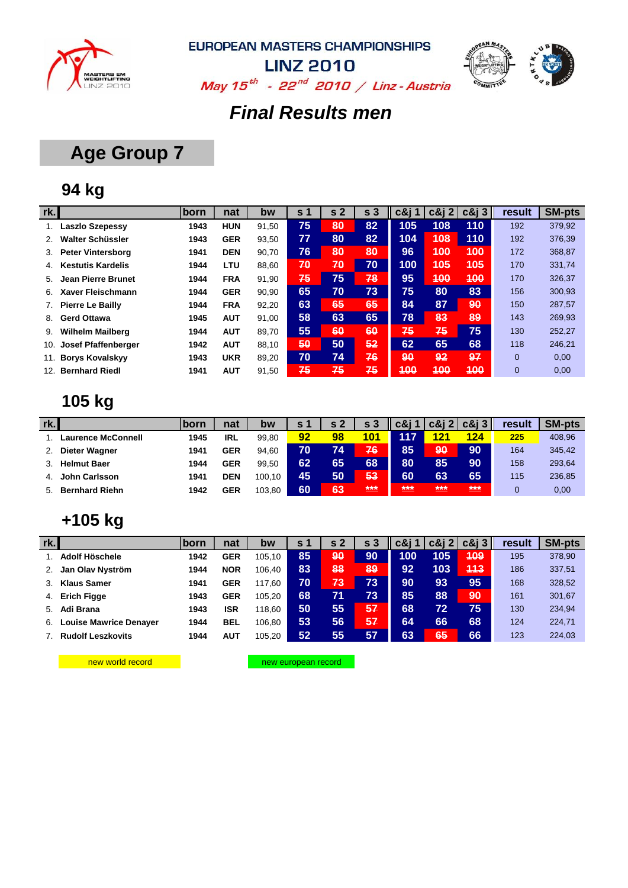



May  $15^{th}$  - 22<sup>nd</sup> 2010 / Linz - Austria

#### *Final Results men*

## **Age Group 7**

### **94 kg**

| rk. |                            | born | nat        | bw    | s <sub>1</sub> | s <sub>2</sub> | s <sub>3</sub> | c&i 1 | $c\&12$    | $c\&i3$    | result         | <b>SM-pts</b> |
|-----|----------------------------|------|------------|-------|----------------|----------------|----------------|-------|------------|------------|----------------|---------------|
|     | <b>Laszlo Szepessy</b>     | 1943 | <b>HUN</b> | 91,50 | 75             | 80             | 82             | 105   | 108        | 110        | 192            | 379,92        |
|     | Walter Schüssler           | 1943 | <b>GER</b> | 93,50 | 77             | 80             | 82             | 104   | 408        | 110        | 192            | 376,39        |
| 3.  | <b>Peter Vintersborg</b>   | 1941 | <b>DEN</b> | 90,70 | 76             | 80             | 80             | 96    | 400        | 400        | 172            | 368,87        |
| 4.  | <b>Kestutis Kardelis</b>   | 1944 | <b>LTU</b> | 88,60 | 70             | 70             | 70             | 100   | <b>405</b> | <b>405</b> | 170            | 331,74        |
| 5.  | Jean Pierre Brunet         | 1944 | <b>FRA</b> | 91,90 | 75             | 75             | 78             | 95    | 400        | 400        | 170            | 326,37        |
| 6.  | Xaver Fleischmann          | 1944 | <b>GER</b> | 90,90 | 65             | 70             | 73             | 75    | 80         | 83         | 156            | 300,93        |
|     | <b>Pierre Le Bailly</b>    | 1944 | <b>FRA</b> | 92,20 | 63             | 65             | 65             | 84    | 87         | 90         | 150            | 287,57        |
| 8.  | <b>Gerd Ottawa</b>         | 1945 | <b>AUT</b> | 91,00 | 58             | 63             | 65             | 78    | 83         | 89         | 143            | 269,93        |
| 9.  | <b>Wilhelm Mailberg</b>    | 1944 | <b>AUT</b> | 89.70 | 55             | 60             | 60             | 75    | 75         | 75         | 130            | 252,27        |
| 10. | <b>Josef Pfaffenberger</b> | 1942 | <b>AUT</b> | 88,10 | 50             | 50             | 52             | 62    | 65         | 68         | 118            | 246,21        |
| 11. | <b>Borys Kovalskyy</b>     | 1943 | <b>UKR</b> | 89,20 | 70             | 74             | 76             | 90    | 92         | 97         | $\overline{0}$ | 0,00          |
| 12. | <b>Bernhard Riedl</b>      | 1941 | <b>AUT</b> | 91,50 | 75             | 75             | 75             | 400   | 400        | 400        | $\mathbf{0}$   | 0,00          |

## **105 kg**

| rk. |                           | <u>Iborn</u> | nat        | bw     | s 1 | s 2             | s <sub>3</sub> | c&i             | $c\&i\;2$ | $c\&i3$ | result | <b>SM-pts</b> |
|-----|---------------------------|--------------|------------|--------|-----|-----------------|----------------|-----------------|-----------|---------|--------|---------------|
|     | <b>Laurence McConnell</b> | 1945         | IRL        | 99,80  | 92  | 98              | 101            | <b>117</b>      | 121       | 124     | 225    | 408,96        |
|     | Dieter Wagner             | 1941         | <b>GER</b> | 94.60  | 70  | 74              | 76             | 85              | 90        | 90      | 164    | 345,42        |
|     | <b>Helmut Baer</b>        | 1944         | <b>GER</b> | 99.50  | 62  | 65              | 68             | 80              | 85        | 90      | 158    | 293,64        |
| 4.  | John Carlsson             | 1941         | <b>DEN</b> | 100.10 | 45  | 50 <sub>l</sub> | 53             | 60              | 63        | 65      | 115    | 236,85        |
| 5.  | <b>Bernhard Riehn</b>     | 1942         | <b>GER</b> | 103,80 | 60  | 63              | $***$          | $***$<br>$\sim$ | ***       | $***$   |        | 0,00          |

## **+105 kg**

| rk.          |                               | <b>Iborn</b> | nat        | bw     | S 1 | s 2 | s <sub>3</sub> | c&i             | $c\&i$ 2 | $c\&i3$ | result | <b>SM-pts</b> |
|--------------|-------------------------------|--------------|------------|--------|-----|-----|----------------|-----------------|----------|---------|--------|---------------|
|              | Adolf Höschele                | 1942         | <b>GER</b> | 105.10 | 85  | 90  | 90             | 100             | 105      | 409     | 195    | 378,90        |
|              | Jan Olav Nyström              | 1944         | <b>NOR</b> | 106.40 | 83  | 88  | 89             | 92 <sub>1</sub> | 103      | 443     | 186    | 337,51        |
| $\mathbf{3}$ | <b>Klaus Samer</b>            | 1941         | <b>GER</b> | 117.60 | 70  | 73. | 73             | 90              | 93       | 95      | 168    | 328,52        |
| 4.           | <b>Erich Figge</b>            | 1943         | <b>GER</b> | 105.20 | 68  | 71  | 73             | 85              | 88       | 90      | 161    | 301,67        |
| .5.          | Adi Brana                     | 1943         | <b>ISR</b> | 118.60 | 50  | 55  | 57             | 68              | 72       | 75      | 130    | 234,94        |
| 6.           | <b>Louise Mawrice Denayer</b> | 1944         | <b>BEL</b> | 106.80 | 53  | 56  | 57             | 64              | 66       | 68      | 124    | 224,71        |
|              | <b>Rudolf Leszkovits</b>      | 1944         | AUT        | 105,20 | 52  | 55  | 57             | 63              | 65       | 66      | 123    | 224,03        |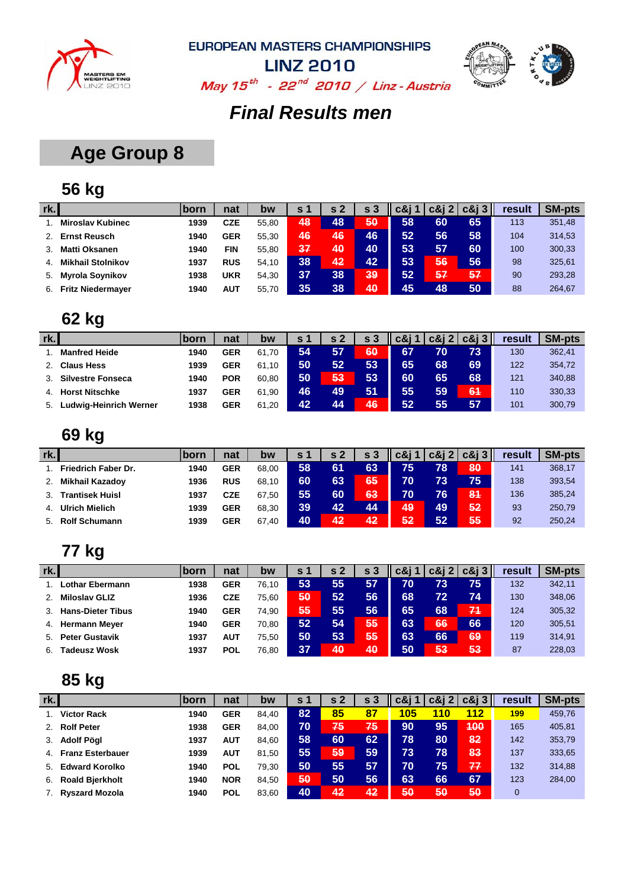



**LINZ 2010** May  $15^{th}$  - 22<sup>nd</sup> 2010 / Linz - Austria

### *Final Results men*

## **Age Group 8**

## **56 kg**

| rk. |                          | ∣born | nat        | bw    | S 1             | s <sub>2</sub> | s <sub>3</sub> | c&i | $c\&12$ | $c\&i3$ | result | <b>SM-pts</b> |
|-----|--------------------------|-------|------------|-------|-----------------|----------------|----------------|-----|---------|---------|--------|---------------|
|     | <b>Miroslav Kubinec</b>  | 1939  | CZE        | 55.80 | 48              | 48             | 50             | 58  | 60      | 65      | 113    | 351,48        |
|     | <b>Ernst Reusch</b>      | 1940  | GER        | 55.30 | 46              | 46             | 46             | 52  | 56      | 58      | 104    | 314,53        |
|     | <b>Matti Oksanen</b>     | 1940  | FIN        | 55.80 | 37              | 40             | 40             | 53  | 57      | 60      | 100    | 300,33        |
| 4.  | <b>Mikhail Stolnikov</b> | 1937  | <b>RUS</b> | 54.10 | 38              | 42             | 42             | 53  | 56      | 56      | 98     | 325,61        |
| 5.  | <b>Myrola Soynikov</b>   | 1938  | UKR        | 54.30 | 37              | 38             | 39             | 52  | 57      | 57      | 90     | 293,28        |
| 6.  | <b>Fritz Niedermayer</b> | 1940  | AUT        | 55.70 | 35 <sub>1</sub> | 38             | 40             | 45  | 48      | 50      | 88     | 264,67        |

## **62 kg**

| rk. |                          | <b>lborn</b> | nat        | bw    | <b>S</b> 1 |    | s 3 | c&i |     | $c\&i\&i\&i\&j\ $ | result | <b>SM-pts</b> |
|-----|--------------------------|--------------|------------|-------|------------|----|-----|-----|-----|-------------------|--------|---------------|
|     | <b>Manfred Heide</b>     | 1940         | <b>GER</b> | 61.70 | 54         | 57 | 60  | 67  | 70  | 73                | 130    | 362,41        |
|     | <b>Claus Hess</b>        | 1939         | GER        | 61.10 | 50         | 52 | 53  | 65  | 68  | 69                | 122    | 354,72        |
|     | <b>Silvestre Fonseca</b> | 1940         | <b>POR</b> | 60.80 | 50         | 53 | 53  | 60  | 65  | 68                | 121    | 340,88        |
| 4.  | <b>Horst Nitschke</b>    | 1937         | GER        | 61.90 | 46         | 49 | 51  | 55  | 59  | 64                | 110    | 330,33        |
| 5.  | Ludwig-Heinrich Werner   | 1938         | <b>GER</b> | 61,20 | 42         | 44 | 46  | 52  | 55/ | 57                | 101    | 300,79        |

### **69 kg**

| rk. |                            | <b>Iborn</b> | nat        | bw    | s <sub>1</sub>  | s 2 | s 3 | <b>c&amp;i</b> 1 | $c\&12$ | $c\&i3$   | result | <b>SM-pts</b> |
|-----|----------------------------|--------------|------------|-------|-----------------|-----|-----|------------------|---------|-----------|--------|---------------|
|     | <b>Friedrich Faber Dr.</b> | 1940         | <b>GER</b> | 68.00 | 58              | 61  | 63  | 75               | 78      | 80        | 141    | 368,17        |
|     | <b>Mikhail Kazadoy</b>     | 1936         | <b>RUS</b> | 68.10 | 60              | 63  | 65  | 70               | 73      | 75        | 138    | 393,54        |
|     | <b>Trantisek Huisl</b>     | 1937         | CZE        | 67.50 | 55              | 60  | 63  | 70               | 76      | <b>84</b> | 136    | 385,24        |
| 4.  | <b>Ulrich Mielich</b>      | 1939         | <b>GER</b> | 68.30 | 39 <sub>1</sub> | 42  | 44  | 49               | 49      | 52        | 93     | 250,79        |
| 5.  | <b>Rolf Schumann</b>       | 1939         | <b>GER</b> | 67,40 | 40              | 42  | 42  | 52               | 52      | 55,       | 92     | 250,24        |

### **77 kg**

| rk. |                          | <b>lborn</b> | nat        | bw    | s 1 | s 2 | s  | c&i | c&i | $c\&i3$ | result | <b>SM-pts</b> |
|-----|--------------------------|--------------|------------|-------|-----|-----|----|-----|-----|---------|--------|---------------|
|     | Lothar Ebermann          | 1938         | <b>GER</b> | 76.10 | 53  | 55  | 57 | 70  | 73  | 75      | 132    | 342,11        |
|     | <b>Miloslav GLIZ</b>     | 1936         | <b>CZE</b> | 75.60 | 50  | 52  | 56 | 68  | 72  | 74      | 130    | 348,06        |
|     | <b>Hans-Dieter Tibus</b> | 1940         | <b>GER</b> | 74.90 | 55  | 55  | 56 | 65  | 68  | 74      | 124    | 305,32        |
| 4.  | <b>Hermann Meyer</b>     | 1940         | <b>GER</b> | 70.80 | 52  | 54  | 55 | 63  | 66  | 66      | 120    | 305,51        |
| 5.  | <b>Peter Gustavik</b>    | 1937         | AUT        | 75.50 | 50  | 53  | 55 | 63  | 66  | 69      | 119    | 314,91        |
| 6.  | Tadeusz Wosk             | 1937         | <b>POL</b> | 76.80 | 37  | 40  | 40 | 50  | 53  | 53      | 87     | 228,03        |

| rk. |                         | born | nat        | bw    | s 1 | s <sub>2</sub> | -3<br>S | c&i 1 | $c\&12$ | $c\&i3$ | result       | <b>SM-pts</b> |
|-----|-------------------------|------|------------|-------|-----|----------------|---------|-------|---------|---------|--------------|---------------|
|     | <b>Victor Rack</b>      | 1940 | <b>GER</b> | 84.40 | 82  | 85             | 87      | 105   | 110     | 112     | 199          | 459,76        |
|     | <b>Rolf Peter</b>       | 1938 | <b>GER</b> | 84.00 | 70  | 75             | 75      | 90    | 95      | 400     | 165          | 405,81        |
| 3.  | <b>Adolf Pögl</b>       | 1937 | <b>AUT</b> | 84.60 | 58  | 60             | 62      | 78    | 80      | 82      | 142          | 353,79        |
| 4.  | <b>Franz Esterbauer</b> | 1939 | <b>AUT</b> | 81.50 | 55  | 59             | 59      | 73    | 78      | 83      | 137          | 333,65        |
| 5.  | <b>Edward Korolko</b>   | 1940 | <b>POL</b> | 79.30 | 50  | 55             | 57      | 70    | 75      | 77      | 132          | 314,88        |
| 6.  | <b>Roald Bjerkholt</b>  | 1940 | <b>NOR</b> | 84.50 | 50  | 50             | 56      | 63    | 66      | 67      | 123          | 284,00        |
|     | <b>Ryszard Mozola</b>   | 1940 | <b>POL</b> | 83,60 | 40  | 42             | 42      | 50    | 50      | 50      | $\mathbf{0}$ |               |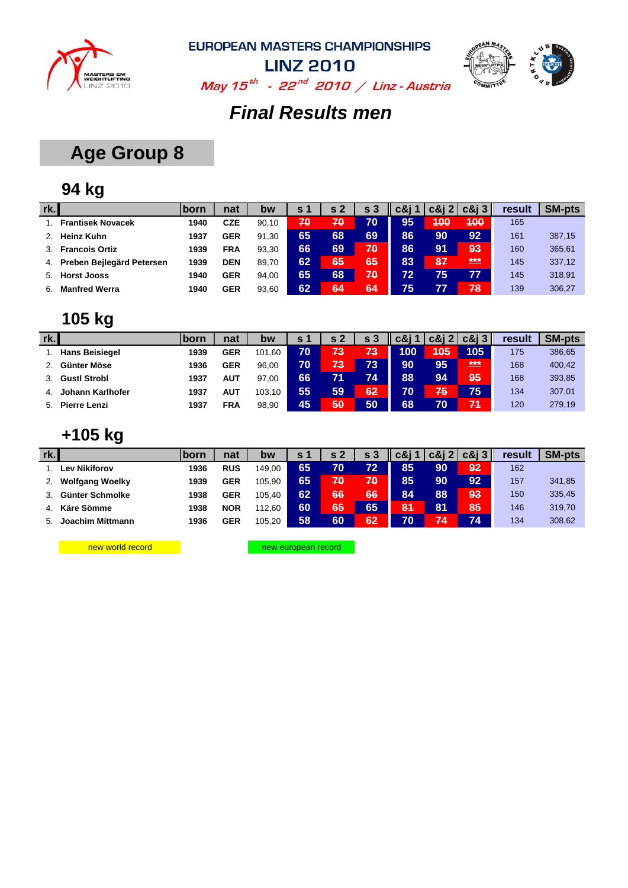



May  $15^{th}$  - 22<sup>nd</sup> 2010 / Linz - Austria

#### *Final Results men*

## **Age Group 8**

### **94 kg**

| rk. |                           | <b>born</b> | nat        | bw    | s 1 | s 2 | s <sub>3</sub> | c&i 1 |     | $c\&12$ $c\&13$ | result | <b>SM-pts</b> |
|-----|---------------------------|-------------|------------|-------|-----|-----|----------------|-------|-----|-----------------|--------|---------------|
|     | <b>Frantisek Novacek</b>  | 1940        | <b>CZE</b> | 90.10 | 70  | 70  | 70             | 95    | 400 | 400             | 165    |               |
|     | <b>Heinz Kuhn</b>         | 1937        | <b>GER</b> | 91.30 | 65  | 68  | 69             | 86    | 90  | 92              | 161    | 387,15        |
| 3.  | <b>Francois Ortiz</b>     | 1939        | <b>FRA</b> | 93.30 | 66  | 69  | 70             | 86    | 91  | 93              | 160    | 365,61        |
| 4.  | Preben Bejlegärd Petersen | 1939        | <b>DEN</b> | 89.70 | 62  | 65  | 65             | 83    | 87  | ***             | 145    | 337,12        |
| 5.  | <b>Horst Jooss</b>        | 1940        | <b>GER</b> | 94.00 | 65  | 68  | 70             | 72    | 75  | 77              | 145    | 318,91        |
| 6.  | <b>Manfred Werra</b>      | 1940        | <b>GER</b> | 93.60 | 62  | 64  | 64             | 75    |     | 78              | 139    | 306,27        |

## **105 kg**

| rk. |                       | born | nat        | bw     | s 1 | s 2 | s 3 | c&i 1 | $c\&i2$ | $c\&13$ | result | <b>SM-pts</b> |
|-----|-----------------------|------|------------|--------|-----|-----|-----|-------|---------|---------|--------|---------------|
|     | <b>Hans Beisiegel</b> | 1939 | <b>GER</b> | 101,60 | 70  | 73  | 73  | 100   | 405     | 105     | 175    | 386,65        |
|     | Günter Möse           | 1936 | <b>GER</b> | 96.00  | 70  | 73  | 73  | 90    | 95      | ***     | 168    | 400,42        |
|     | <b>Gustl Strobl</b>   | 1937 | <b>AUT</b> | 97.00  | 66  |     | 74  | 88    | 94      | 95/     | 168    | 393,85        |
| 4.  | Johann Karlhofer      | 1937 | AUT        | 103.10 | 55  | 59  | 62  | 70    | 75      | 75      | 134    | 307,01        |
| 5.  | Pierre Lenzi          | 1937 | <b>FRA</b> | 98.90  | 45  | 50  | 50  | 68    | 70      | 71      | 120    | 279,19        |

### **+105 kg**

| rk. |                        | born | nat        | bw     | S <sub>1</sub> | s <sub>2</sub> | s 3 | c&i ' | $c\&i2$ | $c\&i3$ | result | <b>SM-pts</b> |
|-----|------------------------|------|------------|--------|----------------|----------------|-----|-------|---------|---------|--------|---------------|
|     | Lev Nikiforov          | 1936 | <b>RUS</b> | 149.00 | 65             | 70             | 72  | 85    | 90      | 92      | 162    |               |
|     | <b>Wolfgang Woelky</b> | 1939 | <b>GER</b> | 105.90 | 65             | 70             | 70  | 85    | 90      | 92      | 157    | 341,85        |
|     | Günter Schmolke        | 1938 | <b>GER</b> | 105.40 | 62             | 66             | 66  | 84    | 88      | 93      | 150    | 335,45        |
| 4.  | Käre Sömme             | 1938 | <b>NOR</b> | 112.60 | 60             | 65             | 65  | 84    | 81      | 85      | 146    | 319,70        |
|     | Joachim Mittmann       | 1936 | <b>GER</b> | 105,20 | 58             | 60             | 62  | 70    | 74      | 74      | 134    | 308,62        |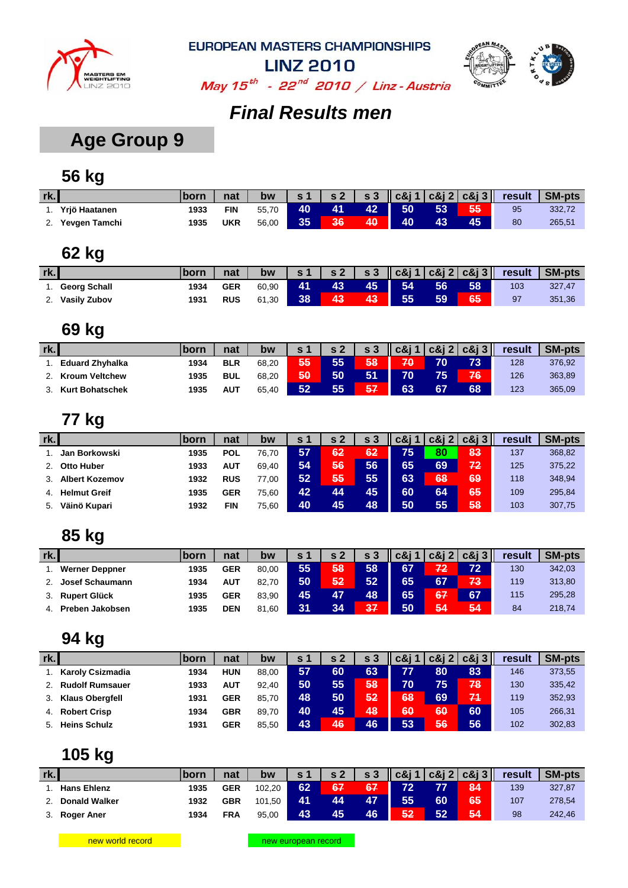



May  $15^{th}$  - 22<sup>nd</sup> 2010 / Linz - Austria

### *Final Results men*

## **Age Group 9**

### **56 kg**

| rk. |               | born | nat        | bw    | s <sub>1</sub> |    |    |    |    |    | s 2   s 3    c&j 1   c&j 2   c&j 3    result | SM-pts |
|-----|---------------|------|------------|-------|----------------|----|----|----|----|----|----------------------------------------------|--------|
|     | Yriö Haatanen | 1933 | FIN        | 55,70 | 40             | 41 | 42 | 50 | 53 | 55 | 95                                           | 332,72 |
| 2.  | Yevgen Tamchi | 1935 | <b>UKR</b> | 56,00 | 35             | 36 | 40 | 40 | 43 | 45 | 80                                           | 265,51 |

#### **62 kg**

| rk. |                     | <b>born</b> | nat        | bw    | $\epsilon$ 1 | s <sub>2</sub> |    | $ $ s 3 $ $ c&j 1 $ $ c&j 2 $ $ c&j 3 $ $ |    |    | result | <b>SM-pts</b> |
|-----|---------------------|-------------|------------|-------|--------------|----------------|----|-------------------------------------------|----|----|--------|---------------|
|     | <b>Georg Schall</b> | 1934        | <b>GER</b> | 60.90 | 41           | 43             | 45 | 54                                        | 56 | 58 | 103    | 327.47        |
| z.  | Vasily Zubov        | 1931        | <b>RUS</b> | 61,30 | 38           | 43             | 43 | 55                                        | 59 | 65 | 97     | 351,36        |

#### **69 kg**

| rk. |                        | lborn | nat        | bw    | c 1 | $\epsilon$ 2 | c <sub>2</sub> | $c\&i1$ |    | $c\&i\&i\&i\&j\ $ | result | <b>SM-pts</b> |
|-----|------------------------|-------|------------|-------|-----|--------------|----------------|---------|----|-------------------|--------|---------------|
|     | <b>Eduard Zhyhalka</b> | 1934  | <b>BLR</b> | 68.20 | 55  | 55           | 58             | 70      | 70 | 73                | 128    | 376,92        |
|     | <b>Kroum Veltchew</b>  | 1935  | <b>BUL</b> | 68.20 | 50  | 50           | 51             | 70      | 75 | 76                | 126    | 363,89        |
|     | <b>Kurt Bohatschek</b> | 1935  | <b>AUT</b> | 65.40 | 52  | 55           | 57             | 63      | 67 | 68                | 123    | 365,09        |

### **77 kg**

| rk. |                       | <b>lborn</b> | nat        | bw    | S 1 | s <sub>2</sub> | s 3 | c&i | $c\&$ j 2 | $c\&13$ | result | <b>SM-pts</b> |
|-----|-----------------------|--------------|------------|-------|-----|----------------|-----|-----|-----------|---------|--------|---------------|
|     | Jan Borkowski         | 1935         | <b>POL</b> | 76.70 | 57  | 62             | 62  | 75  | 80        | 83      | 137    | 368,82        |
|     | <b>Otto Huber</b>     | 1933         | AUT        | 69.40 | 54  | 56             | 56  | 65  | 69        | 72      | 125    | 375,22        |
|     | <b>Albert Kozemov</b> | 1932         | <b>RUS</b> | 77.00 | 52  | 55             | 55  | 63  | 68        | 69      | 118    | 348,94        |
| 4.  | <b>Helmut Greif</b>   | 1935         | <b>GER</b> | 75.60 | 42  | 44             | 45  | 60  | 64        | 65      | 109    | 295,84        |
| 5.  | Väinö Kupari          | 1932         | FIN        | 75,60 | 40  | 45             | 48  | 50  | 55        | 58      | 103    | 307,75        |

#### **85 kg**

| rk. |                       | born | nat        | bw    | s 1 | s <sub>2</sub> | c <sub>2</sub> | c&i 1 |           | $c\&12 c\&13 $ | <b>result</b> | <b>SM-pts</b> |
|-----|-----------------------|------|------------|-------|-----|----------------|----------------|-------|-----------|----------------|---------------|---------------|
|     | <b>Werner Deppner</b> | 1935 | <b>GER</b> | 80.00 | 55  | 58             | 58             | 67    | 72        | 72             | 130           | 342,03        |
|     | Josef Schaumann       | 1934 | <b>AUT</b> | 82.70 | 50  | 52             | 52             | 65    |           | 73             | 119           | 313,80        |
|     | <b>Rupert Glück</b>   | 1935 | <b>GER</b> | 83.90 | 45  |                | 48             | 65    | <b>67</b> | 67             | 115           | 295,28        |
|     | Preben Jakobsen       | 1935 | <b>DEN</b> | 81.60 | 31  | 34             | 37             | 50    | 54        | 54             | 84            | 218,74        |

#### **94 kg**

| rk. |                         | <u>Iborn</u> | nat        | bw    | <b>S</b> 1 | s 2 | s 3 | c&i | $c\&i2$ | $c\&i3$ | result | <b>SM-pts</b> |
|-----|-------------------------|--------------|------------|-------|------------|-----|-----|-----|---------|---------|--------|---------------|
|     | <b>Karoly Csizmadia</b> | 1934         | <b>HUN</b> | 88.00 | 57         | 60  | 63  | 77  | 80      | 83      | 146    | 373,55        |
|     | <b>Rudolf Rumsauer</b>  | 1933         | AUT        | 92.40 | 50         | 55  | 58  | 70  | 75      | 78      | 130    | 335,42        |
|     | <b>Klaus Obergfell</b>  | 1931         | <b>GER</b> | 85.70 | 48         | 50  | 52  | 68  | 69      | 74      | 119    | 352,93        |
| 4.  | <b>Robert Crisp</b>     | 1934         | <b>GBR</b> | 89.70 | 40         | 45  | 48  | 60  | 60      | 60      | 105    | 266,31        |
| 5.  | <b>Heins Schulz</b>     | 1931         | <b>GER</b> | 85.50 | 43         | 46  | 46  | 53  | 56      | 56      | 102    | 302,83        |

| rk. |                      | <b>Iborn</b> | nat        | bw     | s 1 | $\epsilon$ 2 | $\mathsf{S}3$ | $\vert \vert$ c&j 1 $\vert$ c&j 2 $\vert$ c&j 3 $\vert \vert$ |    |    | result | SM-pts |
|-----|----------------------|--------------|------------|--------|-----|--------------|---------------|---------------------------------------------------------------|----|----|--------|--------|
|     | <b>Hans Ehlenz</b>   | 1935         | <b>GER</b> | 102.20 | 62  | 67           | 67            | 72                                                            |    | 84 | 139    | 327,87 |
|     | <b>Donald Walker</b> | 1932         | <b>GBR</b> | 101.50 | 41  | 44           | 47            | 55                                                            | 60 | 65 | 107    | 278,54 |
|     | Roger Aner           | 1934         | <b>FRA</b> | 95.00  | 43  | 45           | 46            | 52                                                            | 52 | 54 | 98     | 242.46 |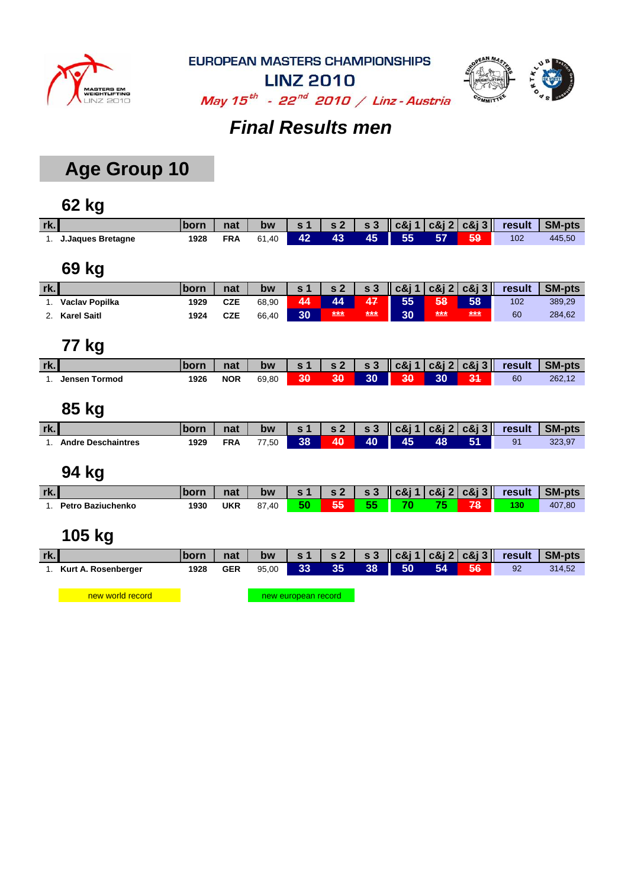



**LINZ 2010** May  $15^{th}$  - 22<sup>nd</sup> 2010 / Linz - Austria

## *Final Results men*

## **Age Group 10**

### **62 kg**

| rk. |                          | born        | nat        | bw    | s <sub>1</sub> | s <sub>2</sub> | s <sub>3</sub> | $c\&11$         | c8i2 | $c\&13$                           | result | <b>SM-pts</b> |
|-----|--------------------------|-------------|------------|-------|----------------|----------------|----------------|-----------------|------|-----------------------------------|--------|---------------|
| 1.  | <b>J.Jaques Bretagne</b> | 1928        | <b>FRA</b> | 61,40 | 42             | 43             | 45             | 55              | 57   | 59                                | 102    | 445,50        |
|     |                          |             |            |       |                |                |                |                 |      |                                   |        |               |
|     | 69 kg                    |             |            |       |                |                |                |                 |      |                                   |        |               |
| rk. |                          | born        | nat        | bw    | s 1            | s <sub>2</sub> | s <sub>3</sub> | c8i1            | c8j2 | $c\&$ j 3                         | result | <b>SM-pts</b> |
| 1.  | Vaclav Popilka           | 1929        | <b>CZE</b> | 68,90 | 44             | 44             | 47             | 55              | 58   | 58                                | 102    | 389,29        |
| 2.  | <b>Karel Saitl</b>       | 1924        | <b>CZE</b> | 66,40 | 30             | $***$          | $***$          | 30 <sub>1</sub> | ***  | $***$                             | 60     | 284,62        |
|     |                          |             |            |       |                |                |                |                 |      |                                   |        |               |
|     | 77 kg                    |             |            |       |                |                |                |                 |      |                                   |        |               |
| rk. |                          | <b>born</b> | nat        | bw    | s <sub>1</sub> | s <sub>2</sub> | s <sub>3</sub> | $c\&j$ 1        | c8j2 | $c\&j3$                           | result | <b>SM-pts</b> |
|     | <b>Jensen Tormod</b>     | 1926        | <b>NOR</b> | 69,80 | 30             | 30             | 30             | 30              | 30   | 34                                | 60     | 262,12        |
|     |                          |             |            |       |                |                |                |                 |      |                                   |        |               |
|     | 85 kg                    |             |            |       |                |                |                |                 |      |                                   |        |               |
| rk. |                          | <b>born</b> | nat        | bw    | s <sub>1</sub> | s <sub>2</sub> | s <sub>3</sub> |                 |      | $\vert$ c&j 1 c&j 2 c&j 3 $\vert$ | result | <b>SM-pts</b> |

#### **94 kg**

| rk. |                          | born | nat | bw    | $\sim$ 2 | $\sim$ s 3 | $\ c\&1 c\&1 c\&1 c\&1 $ |    | result | <b>SM-pts</b> |
|-----|--------------------------|------|-----|-------|----------|------------|--------------------------|----|--------|---------------|
|     | <b>Petro Baziuchenko</b> | 1930 | UKR | 87,40 | æ        | 55         | 70                       | 78 | 130    | 407,80        |

1. **Andre Deschaintres 1929 FRA** 77,50 **38 40 40 45 48 51** 91 323,97

### **105 kg**

| rk.                 | <b>Iborn</b> | nat |       |  |  |                   |    | bw $ s1 s2 s3 c8j1 c8j2 c8j3 $ result SM-pts |
|---------------------|--------------|-----|-------|--|--|-------------------|----|----------------------------------------------|
| Kurt A. Rosenberger | 1928         | GER | 95.00 |  |  | 33 35 38 50 54 56 | 92 | 314.52                                       |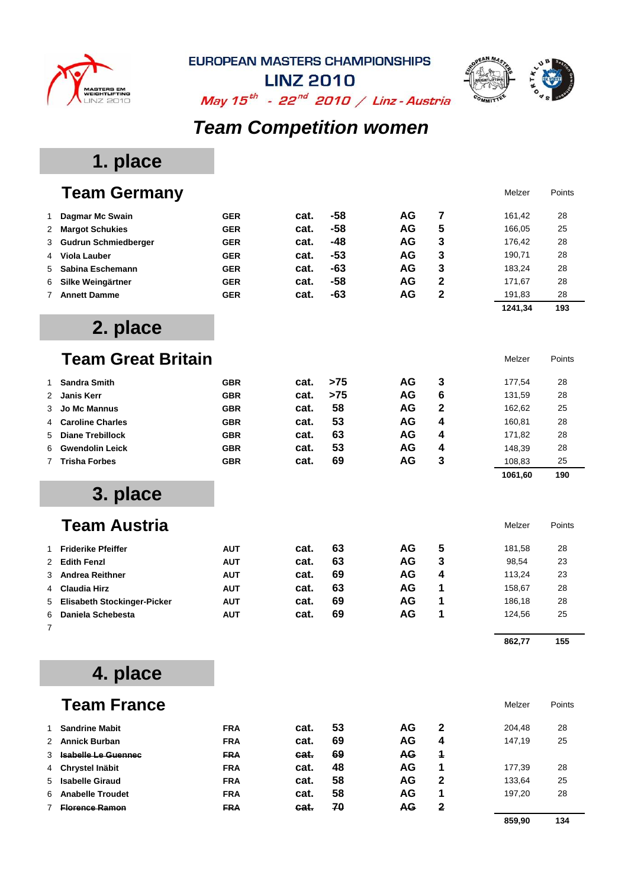

**LINZ 2010** 



May  $15^{th}$  - 22<sup>nd</sup> 2010 / Linz - Austria

## *Team Competition women*

## **1. place**

|   | <b>Team Germany</b>                |            |      |       |           |                | Melzer  | Points |
|---|------------------------------------|------------|------|-------|-----------|----------------|---------|--------|
| 1 | <b>Dagmar Mc Swain</b>             | <b>GER</b> | cat. | -58   | AG        | 7              | 161,42  | 28     |
| 2 | <b>Margot Schukies</b>             | <b>GER</b> | cat. | $-58$ | AG        | 5              | 166,05  | 25     |
| 3 | <b>Gudrun Schmiedberger</b>        | <b>GER</b> | cat. | $-48$ | <b>AG</b> | 3              | 176,42  | 28     |
| 4 | <b>Viola Lauber</b>                | <b>GER</b> | cat. | $-53$ | AG        | 3              | 190,71  | 28     |
| 5 | Sabina Eschemann                   | <b>GER</b> | cat. | $-63$ | AG        | 3              | 183,24  | 28     |
| 6 | Silke Weingärtner                  | <b>GER</b> | cat. | $-58$ | <b>AG</b> | $\overline{2}$ | 171,67  | 28     |
| 7 | <b>Annett Damme</b>                | <b>GER</b> | cat. | $-63$ | AG        | $\overline{2}$ | 191,83  | 28     |
|   |                                    |            |      |       |           |                | 1241,34 | 193    |
|   | 2. place                           |            |      |       |           |                |         |        |
|   | <b>Team Great Britain</b>          |            |      |       |           |                | Melzer  | Points |
| 1 | <b>Sandra Smith</b>                | <b>GBR</b> | cat. | >75   | AG        | 3              | 177,54  | 28     |
| 2 | <b>Janis Kerr</b>                  | <b>GBR</b> | cat. | >75   | AG        | 6              | 131,59  | 28     |
| 3 | <b>Jo Mc Mannus</b>                | <b>GBR</b> | cat. | 58    | AG        | 2              | 162,62  | 25     |
| 4 | <b>Caroline Charles</b>            | <b>GBR</b> | cat. | 53    | AG        | 4              | 160,81  | 28     |
| 5 | <b>Diane Trebillock</b>            | <b>GBR</b> | cat. | 63    | AG        | 4              | 171,82  | 28     |
| 6 | <b>Gwendolin Leick</b>             | <b>GBR</b> | cat. | 53    | AG        | 4              | 148,39  | 28     |
| 7 | <b>Trisha Forbes</b>               | <b>GBR</b> | cat. | 69    | AG        | 3              | 108,83  | 25     |
|   |                                    |            |      |       |           |                | 1061,60 | 190    |
|   | 3. place                           |            |      |       |           |                |         |        |
|   | <b>Team Austria</b>                |            |      |       |           |                | Melzer  | Points |
| 1 | <b>Friderike Pfeiffer</b>          | <b>AUT</b> | cat. | 63    | AG        | 5              | 181,58  | 28     |
| 2 | <b>Edith Fenzl</b>                 | <b>AUT</b> | cat. | 63    | <b>AG</b> | 3              | 98,54   | 23     |
| 3 | <b>Andrea Reithner</b>             | <b>AUT</b> | cat. | 69    | AG        | 4              | 113,24  | 23     |
| 4 | <b>Claudia Hirz</b>                | <b>AUT</b> | cat. | 63    | AG        | 1              | 158,67  | 28     |
| 5 | <b>Elisabeth Stockinger-Picker</b> | <b>AUT</b> | cat. | 69    | AG        | 1              | 186,18  | 28     |
| 6 | Daniela Schebesta                  | <b>AUT</b> | cat. | 69    | AG        | 1              | 124,56  | 25     |
| 7 |                                    |            |      |       |           |                | 862,77  | 155    |
|   | 4. place                           |            |      |       |           |                |         |        |
|   | <b>Team France</b>                 |            |      |       |           |                | Melzer  | Points |
| 1 | <b>Sandrine Mabit</b>              | <b>FRA</b> | cat. | 53    | AG        | 2              | 204,48  | 28     |
| 2 | <b>Annick Burban</b>               | <b>FRA</b> | cat. | 69    | AG        | 4              | 147,19  | 25     |
| 3 | <b>Isabelle Le Guennec</b>         | <b>FRA</b> | cat. | 69    | AG        | 4              |         |        |
| 4 | Chrystel Inäbit                    | <b>FRA</b> | cat. | 48    | AG        | 1              | 177,39  | 28     |
| 5 | <b>Isabelle Giraud</b>             | <b>FRA</b> | cat. | 58    | AG        | 2              | 133,64  | 25     |
| 6 | <b>Anabelle Troudet</b>            | <b>FRA</b> | cat. | 58    | AG        | 1              | 197,20  | 28     |
|   | <b>Florence Ramon</b>              | <b>FRA</b> | cat. | 70    | <b>AG</b> | 2              |         |        |

**859,90 134**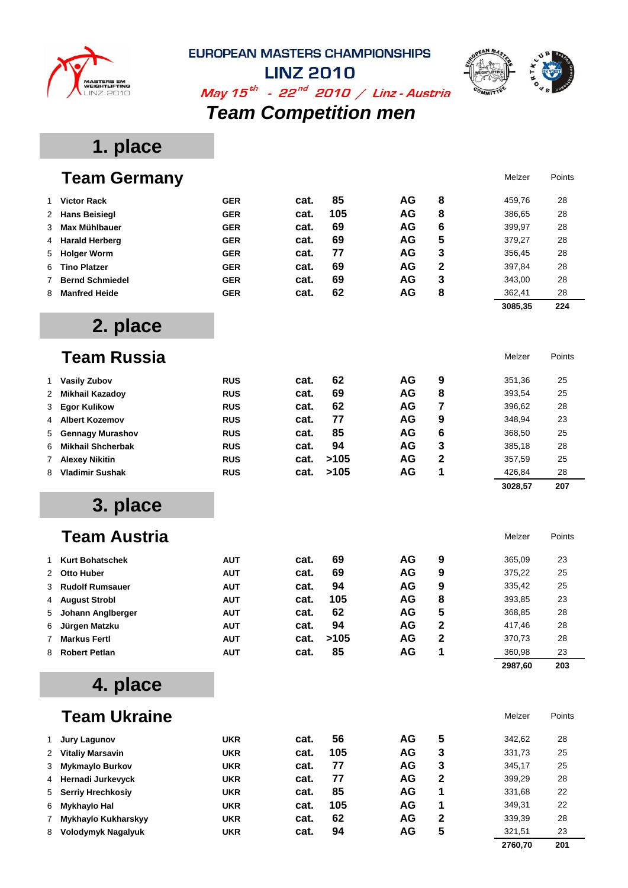



**2760,70 201**

**LINZ 2010** 

## May  $15^{th}$  - 22<sup>nd</sup> 2010 / Linz - Austria *Team Competition men*

## **1. place**

|   | <b>Team Germany</b>        |            |      |      |    |                         | Melzer  | Points |
|---|----------------------------|------------|------|------|----|-------------------------|---------|--------|
| 1 | <b>Victor Rack</b>         | <b>GER</b> | cat. | 85   | AG | 8                       | 459,76  | 28     |
| 2 | <b>Hans Beisiegl</b>       | <b>GER</b> | cat. | 105  | AG | 8                       | 386,65  | 28     |
| 3 | Max Mühlbauer              | <b>GER</b> | cat. | 69   | AG | 6                       | 399,97  | 28     |
| 4 | <b>Harald Herberg</b>      | <b>GER</b> | cat. | 69   | AG | 5                       | 379,27  | 28     |
| 5 | <b>Holger Worm</b>         | <b>GER</b> | cat. | 77   | AG | 3                       | 356,45  | 28     |
| 6 | <b>Tino Platzer</b>        | <b>GER</b> | cat. | 69   | AG | $\overline{2}$          | 397,84  | 28     |
| 7 | <b>Bernd Schmiedel</b>     | <b>GER</b> | cat. | 69   | AG | 3                       | 343,00  | 28     |
| 8 | <b>Manfred Heide</b>       | <b>GER</b> | cat. | 62   | AG | 8                       | 362,41  | 28     |
|   |                            |            |      |      |    |                         | 3085,35 | 224    |
|   | 2. place                   |            |      |      |    |                         |         |        |
|   | <b>Team Russia</b>         |            |      |      |    |                         | Melzer  | Points |
| 1 | <b>Vasily Zubov</b>        | <b>RUS</b> | cat. | 62   | AG | 9                       | 351,36  | 25     |
| 2 | <b>Mikhail Kazadov</b>     | <b>RUS</b> | cat. | 69   | AG | 8                       | 393,54  | 25     |
| 3 | <b>Egor Kulikow</b>        | <b>RUS</b> | cat. | 62   | AG | 7                       | 396,62  | 28     |
| 4 | <b>Albert Kozemov</b>      | <b>RUS</b> | cat. | 77   | AG | 9                       | 348,94  | 23     |
| 5 | <b>Gennagy Murashov</b>    | <b>RUS</b> | cat. | 85   | AG | 6                       | 368,50  | 25     |
| 6 | <b>Mikhail Shcherbak</b>   | <b>RUS</b> | cat. | 94   | AG | 3                       | 385,18  | 28     |
| 7 | <b>Alexey Nikitin</b>      | <b>RUS</b> | cat. | >105 | AG | $\overline{2}$          | 357,59  | 25     |
| 8 | <b>Vladimir Sushak</b>     | <b>RUS</b> | cat. | >105 | AG | 1                       | 426,84  | 28     |
|   |                            |            |      |      |    |                         | 3028,57 | 207    |
|   | 3. place                   |            |      |      |    |                         |         |        |
|   | <b>Team Austria</b>        |            |      |      |    |                         | Melzer  | Points |
| 1 | <b>Kurt Bohatschek</b>     | <b>AUT</b> | cat. | 69   | AG | 9                       | 365,09  | 23     |
| 2 | <b>Otto Huber</b>          | <b>AUT</b> | cat. | 69   | AG | 9                       | 375,22  | 25     |
| 3 | <b>Rudolf Rumsauer</b>     | <b>AUT</b> | cat. | 94   | AG | 9                       | 335,42  | 25     |
| 4 | <b>August Strobl</b>       | <b>AUT</b> | cat. | 105  | AG | 8                       | 393,85  | 23     |
| 5 | Johann Anglberger          | <b>AUT</b> | cat. | 62   | AG | 5                       | 368,85  | 28     |
| 6 | Jürgen Matzku              | <b>AUT</b> | cat. | 94   | AG | $\overline{\mathbf{2}}$ | 417,46  | 28     |
| 7 | <b>Markus Fertl</b>        | <b>AUT</b> | cat. | >105 | AG | $\overline{2}$          | 370,73  | 28     |
| 8 | <b>Robert Petlan</b>       | <b>AUT</b> | cat. | 85   | AG | 1                       | 360,98  | 23     |
|   |                            |            |      |      |    |                         | 2987,60 | 203    |
|   | 4. place                   |            |      |      |    |                         |         |        |
|   | <b>Team Ukraine</b>        |            |      |      |    |                         | Melzer  | Points |
| 1 | <b>Jury Lagunov</b>        | <b>UKR</b> | cat. | 56   | AG | 5                       | 342,62  | 28     |
| 2 | <b>Vitaliy Marsavin</b>    | <b>UKR</b> | cat. | 105  | AG | 3                       | 331,73  | 25     |
| 3 | <b>Mykmaylo Burkov</b>     | <b>UKR</b> | cat. | 77   | AG | 3                       | 345,17  | 25     |
| 4 | Hernadi Jurkevyck          | <b>UKR</b> | cat. | 77   | AG | 2                       | 399,29  | 28     |
| 5 | <b>Serriy Hrechkosiy</b>   | <b>UKR</b> | cat. | 85   | AG | 1                       | 331,68  | 22     |
| 6 | <b>Mykhaylo Hal</b>        | <b>UKR</b> | cat. | 105  | AG | 1                       | 349,31  | 22     |
| 7 | <b>Mykhaylo Kukharskyy</b> | <b>UKR</b> | cat. | 62   | AG | 2                       | 339,39  | 28     |
| 8 | <b>Volodymyk Nagalyuk</b>  | <b>UKR</b> | cat. | 94   | AG | 5                       | 321,51  | 23     |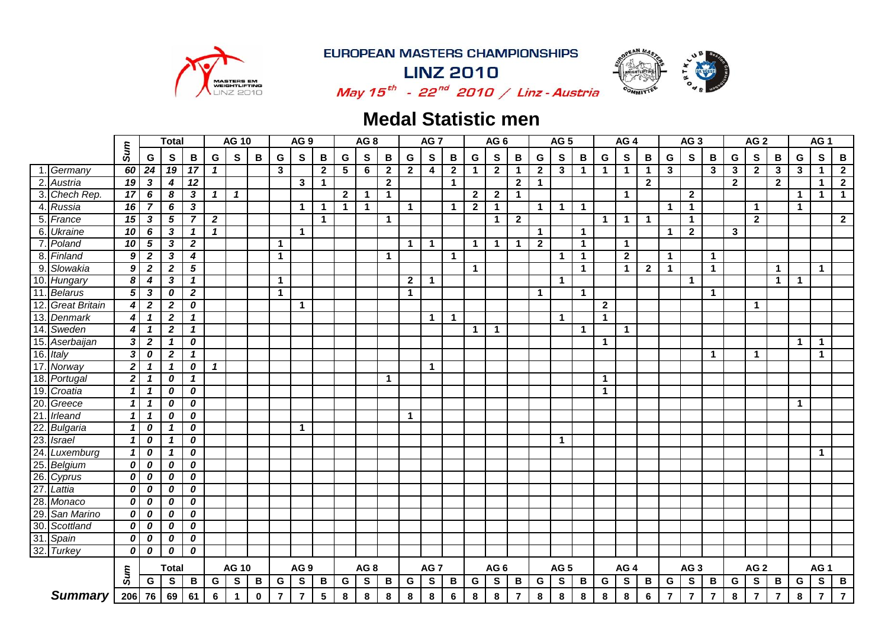

**LINZ 2010** 



May  $15^{th}$  - 22<sup>nd</sup> 2010 / Linz - Austria

## **Medal Statistic men**

|                 |                      |                  |                  | <b>Total</b>     |                            |                  | <b>AG 10</b> |              |             | AG <sub>9</sub>         |              |                | AG <sub>8</sub> |                |                | AG <sub>7</sub> |                      |              | AG <sub>6</sub> |                |              | AG <sub>5</sub> |              |              | AG <sub>4</sub> |                |                         | AG <sub>3</sub> |                 |                | AG <sub>2</sub>         |                |              | AG <sub>1</sub> |                 |
|-----------------|----------------------|------------------|------------------|------------------|----------------------------|------------------|--------------|--------------|-------------|-------------------------|--------------|----------------|-----------------|----------------|----------------|-----------------|----------------------|--------------|-----------------|----------------|--------------|-----------------|--------------|--------------|-----------------|----------------|-------------------------|-----------------|-----------------|----------------|-------------------------|----------------|--------------|-----------------|-----------------|
|                 |                      | Sum              | G                | S                | B                          | G                | $\mathbf{s}$ | $\, {\bf B}$ | G           | S                       | В            | G              | S               | B              | G              | $\mathbf{s}$    | $\, {\bf B}$         | G            | S               | B              | G            | $\mathbf{s}$    | B            | G            | $\mathbf{s}$    | В              | G                       | $\mathbf{s}$    | B               | G              | $\mathbf{s}$            | B              | G            | S               | $\, {\bf B} \,$ |
|                 | Germany              | 60               | 24               | 19               | 17                         | $\mathbf{1}$     |              |              | 3           |                         | $\mathbf{2}$ | 5              | 6               | $\overline{2}$ | $\mathbf{2}$   | 4               | $\mathbf{2}$         | $\mathbf{1}$ | $\mathbf{2}$    | $\mathbf 1$    | $\mathbf{2}$ | $\mathbf{3}$    | $\mathbf{1}$ | $\mathbf 1$  | $\mathbf{1}$    | 1              | $\mathbf{3}$            |                 | 3               | $\mathbf{3}$   | $\mathbf{2}$            | $\mathbf{3}$   | $\mathbf{3}$ | $\mathbf 1$     | $\overline{2}$  |
| $\overline{2}$  | Austria              | 19               | $\mathbf{3}$     | 4                | 12                         |                  |              |              |             | 3                       | $\mathbf 1$  |                |                 | $\mathbf{2}$   |                |                 | $\blacktriangleleft$ |              |                 | $\mathbf{2}$   | $\mathbf{1}$ |                 |              |              |                 | $\mathbf{2}$   |                         |                 |                 | $\overline{2}$ |                         | $\overline{2}$ |              | $\mathbf{1}$    | $\overline{2}$  |
| 3.              | Chech Rep.           | 17               | 6                | 8                | 3                          | $\mathbf{1}$     | $\mathbf{1}$ |              |             |                         |              | $\overline{2}$ | $\mathbf{1}$    | $\overline{1}$ |                |                 |                      | $\mathbf{2}$ | $\overline{2}$  | $\mathbf 1$    |              |                 |              |              | $\mathbf{1}$    |                |                         | $\mathbf{2}$    |                 |                |                         |                | $\mathbf{1}$ | $\mathbf{1}$    | $\mathbf 1$     |
| 4.              | Russia               | 16               | $\overline{7}$   | 6                | 3                          |                  |              |              |             | 1                       | -1           | $\mathbf 1$    | $\mathbf 1$     |                | $\mathbf{1}$   |                 | $\mathbf 1$          | $\mathbf{2}$ | $\mathbf{1}$    |                | $\mathbf{1}$ | $\mathbf{1}$    | $\mathbf{1}$ |              |                 |                | $\mathbf 1$             | $\mathbf 1$     |                 |                | $\mathbf 1$             |                | $\mathbf{1}$ |                 |                 |
| 5.              | France               | 15 <sup>1</sup>  | 3                | 5                | $\overline{7}$             | $\boldsymbol{2}$ |              |              |             |                         | $\mathbf 1$  |                |                 | $\mathbf 1$    |                |                 |                      |              | $\mathbf 1$     | $\overline{2}$ |              |                 |              | -1           | $\mathbf 1$     | $\mathbf 1$    |                         | $\mathbf 1$     |                 |                | $\mathbf{2}$            |                |              |                 | $\overline{2}$  |
| 6.              | <b>Ukraine</b>       | 10 <sup>1</sup>  | 6                | 3                | 1                          | $\mathbf{1}$     |              |              |             | $\blacktriangleleft$    |              |                |                 |                |                |                 |                      |              |                 |                | $\mathbf{1}$ |                 | $\mathbf{1}$ |              |                 |                | $\mathbf 1$             | $\overline{2}$  |                 | $\mathbf{3}$   |                         |                |              |                 |                 |
| $\overline{7}$  | Poland               | $\overline{10}$  | 5                | 3                | $\boldsymbol{2}$           |                  |              |              | 1           |                         |              |                |                 |                | $\mathbf{1}$   | $\mathbf{1}$    |                      | $\mathbf{1}$ | $\mathbf{1}$    | $\mathbf 1$    | $\mathbf{2}$ |                 | $\mathbf{1}$ |              | $\mathbf 1$     |                |                         |                 |                 |                |                         |                |              |                 |                 |
| 8               | Finland              | 9                | $\boldsymbol{2}$ | 3                | 4                          |                  |              |              | $\mathbf 1$ |                         |              |                |                 | $\mathbf{1}$   |                |                 | $\mathbf{1}$         |              |                 |                |              | $\mathbf{1}$    | $\mathbf{1}$ |              | $\mathbf{2}$    |                | $\mathbf{1}$            |                 | $\mathbf 1$     |                |                         |                |              |                 |                 |
| $\overline{9}$  | Slowakia             | 9                | $\mathbf{2}$     | $\boldsymbol{2}$ | $\overline{5}$             |                  |              |              |             |                         |              |                |                 |                |                |                 |                      | $\mathbf{1}$ |                 |                |              |                 | $\mathbf{1}$ |              | $\mathbf 1$     | $\overline{2}$ | $\mathbf{1}$            |                 | $\mathbf{1}$    |                |                         | $\mathbf 1$    |              | $\mathbf{1}$    |                 |
| 10.             | Hungary              | 8                | 4                | 3                | $\mathbf{1}$               |                  |              |              | $\mathbf 1$ |                         |              |                |                 |                | $\overline{2}$ | $\mathbf 1$     |                      |              |                 |                |              | $\mathbf{1}$    |              |              |                 |                |                         | 1               |                 |                |                         | $\mathbf 1$    | $\mathbf{1}$ |                 |                 |
| 11              | <b>Belarus</b>       | $\mathbf{5}$     | 3                | 0                | $\boldsymbol{2}$           |                  |              |              | 1           |                         |              |                |                 |                | $\mathbf 1$    |                 |                      |              |                 |                | $\mathbf{1}$ |                 | $\mathbf{1}$ |              |                 |                |                         |                 | $\mathbf{1}$    |                |                         |                |              |                 |                 |
| 12              | <b>Great Britain</b> | 4                | $\boldsymbol{2}$ | $\boldsymbol{2}$ | 0                          |                  |              |              |             | $\mathbf 1$             |              |                |                 |                |                |                 |                      |              |                 |                |              |                 |              | $\mathbf{2}$ |                 |                |                         |                 |                 |                | $\mathbf 1$             |                |              |                 |                 |
| 13              | <b>Denmark</b>       | $\vert$          | $\mathbf{1}$     | $\boldsymbol{2}$ | $\mathbf{1}$               |                  |              |              |             |                         |              |                |                 |                |                | $\mathbf 1$     | $\mathbf{1}$         |              |                 |                |              | $\mathbf{1}$    |              | $\mathbf{1}$ |                 |                |                         |                 |                 |                |                         |                |              |                 |                 |
| 14.             | Sweden               | $\boldsymbol{4}$ | $\mathbf{1}$     | $\boldsymbol{2}$ | $\mathbf{1}$               |                  |              |              |             |                         |              |                |                 |                |                |                 |                      | $\mathbf{1}$ | $\mathbf{1}$    |                |              |                 | $\mathbf{1}$ |              | $\mathbf 1$     |                |                         |                 |                 |                |                         |                |              |                 |                 |
| 15.             | Aserbaijan           | 3                | $\boldsymbol{2}$ | $\mathbf{1}$     | 0                          |                  |              |              |             |                         |              |                |                 |                |                |                 |                      |              |                 |                |              |                 |              | $\mathbf 1$  |                 |                |                         |                 |                 |                |                         |                | $\mathbf{1}$ | $\mathbf{1}$    |                 |
| 16.             | <b>Italy</b>         | 3 <sup>1</sup>   | 0                | $\boldsymbol{2}$ | $\mathbf{1}$               |                  |              |              |             |                         |              |                |                 |                |                |                 |                      |              |                 |                |              |                 |              |              |                 |                |                         |                 | $\mathbf 1$     |                | $\mathbf 1$             |                |              | $\mathbf{1}$    |                 |
| 17.             | Norway               | $\overline{2}$   | $\mathbf{1}$     | $\mathbf{1}$     | 0                          | $\mathbf{1}$     |              |              |             |                         |              |                |                 |                |                | $\mathbf{1}$    |                      |              |                 |                |              |                 |              |              |                 |                |                         |                 |                 |                |                         |                |              |                 |                 |
| 18.             | Portugal             | 2 <sup>1</sup>   | $\mathbf{1}$     | 0                | $\boldsymbol{\mathcal{L}}$ |                  |              |              |             |                         |              |                |                 | $\overline{1}$ |                |                 |                      |              |                 |                |              |                 |              | $\mathbf 1$  |                 |                |                         |                 |                 |                |                         |                |              |                 |                 |
| 19.             | Croatia              | $\mathbf{1}$     | $\mathbf{1}$     | 0                | 0                          |                  |              |              |             |                         |              |                |                 |                |                |                 |                      |              |                 |                |              |                 |              | $\mathbf 1$  |                 |                |                         |                 |                 |                |                         |                |              |                 |                 |
| $\frac{20}{21}$ | Greece               | $\mathbf{1}$     | $\mathbf{1}$     | 0                | 0                          |                  |              |              |             |                         |              |                |                 |                |                |                 |                      |              |                 |                |              |                 |              |              |                 |                |                         |                 |                 |                |                         |                | $\mathbf 1$  |                 |                 |
|                 | Irleand              | $\mathbf{1}$     | $\mathbf{1}$     | 0                | 0                          |                  |              |              |             |                         |              |                |                 |                | $\mathbf{1}$   |                 |                      |              |                 |                |              |                 |              |              |                 |                |                         |                 |                 |                |                         |                |              |                 |                 |
| 22.             | Bulgaria             | $\mathbf{1}$     | 0                | $\mathbf{1}$     | 0                          |                  |              |              |             | $\mathbf{1}$            |              |                |                 |                |                |                 |                      |              |                 |                |              |                 |              |              |                 |                |                         |                 |                 |                |                         |                |              |                 |                 |
| 23.             | <b>Israel</b>        | $\mathbf{1}$     | 0                | $\mathbf{1}$     | 0                          |                  |              |              |             |                         |              |                |                 |                |                |                 |                      |              |                 |                |              | $\mathbf{1}$    |              |              |                 |                |                         |                 |                 |                |                         |                |              |                 |                 |
| 24.             | Luxemburg            | $\mathbf{1}$     | 0                | $\mathbf{1}$     | 0                          |                  |              |              |             |                         |              |                |                 |                |                |                 |                      |              |                 |                |              |                 |              |              |                 |                |                         |                 |                 |                |                         |                |              | $\mathbf{1}$    |                 |
| 25.             | Belgium              | $\boldsymbol{o}$ | 0                | 0                | 0                          |                  |              |              |             |                         |              |                |                 |                |                |                 |                      |              |                 |                |              |                 |              |              |                 |                |                         |                 |                 |                |                         |                |              |                 |                 |
| 26.             | Cyprus               | 0                | 0                | 0                | 0                          |                  |              |              |             |                         |              |                |                 |                |                |                 |                      |              |                 |                |              |                 |              |              |                 |                |                         |                 |                 |                |                         |                |              |                 |                 |
| 27              | Lattia               | 0                | 0                | 0                | 0                          |                  |              |              |             |                         |              |                |                 |                |                |                 |                      |              |                 |                |              |                 |              |              |                 |                |                         |                 |                 |                |                         |                |              |                 |                 |
| 28              | Monaco               | 0                | 0                | 0                | 0                          |                  |              |              |             |                         |              |                |                 |                |                |                 |                      |              |                 |                |              |                 |              |              |                 |                |                         |                 |                 |                |                         |                |              |                 |                 |
| 29              | San Marino           | 0                | 0                | 0                | 0                          |                  |              |              |             |                         |              |                |                 |                |                |                 |                      |              |                 |                |              |                 |              |              |                 |                |                         |                 |                 |                |                         |                |              |                 |                 |
| 30.             | Scottland            | 0                | 0                | 0                | 0                          |                  |              |              |             |                         |              |                |                 |                |                |                 |                      |              |                 |                |              |                 |              |              |                 |                |                         |                 |                 |                |                         |                |              |                 |                 |
| 31              | Spain                | 0                | 0                | 0                | 0                          |                  |              |              |             |                         |              |                |                 |                |                |                 |                      |              |                 |                |              |                 |              |              |                 |                |                         |                 |                 |                |                         |                |              |                 |                 |
|                 | 32. Turkey           | 0                | 0                | 0                | 0                          |                  |              |              |             |                         |              |                |                 |                |                |                 |                      |              |                 |                |              |                 |              |              |                 |                |                         |                 |                 |                |                         |                |              |                 |                 |
|                 |                      |                  |                  | <b>Total</b>     |                            |                  | <b>AG 10</b> |              |             | AG <sub>9</sub>         |              |                | AG <sub>8</sub> |                |                | AG <sub>7</sub> |                      |              | AG <sub>6</sub> |                |              | AG <sub>5</sub> |              |              | AG <sub>4</sub> |                |                         | AG <sub>3</sub> |                 |                | AG <sub>2</sub>         |                |              | AG <sub>1</sub> |                 |
|                 |                      | Sum              | G                | $\mathbf{s}$     | B                          | G                | S            | B            | G           | $\mathbf{s}$            | B            | G              | S               | B              | G              | S               | B                    | $\mathbf G$  | $\mathbf{s}$    | B              | G            | $\mathbf{s}$    | $\, {\bf B}$ | G            | $\mathbf s$     | В              | $\mathbf G$             | $\mathbf{s}$    | $\, {\bf B} \,$ | G              | S                       | B              | G            | $\mathbf{s}$    | $\mathbf{B}$    |
|                 | <b>Summary</b>       |                  | 206 76           | 69               | 61                         | 6                | 1            | $\bf{0}$     | 7           | $\overline{\mathbf{7}}$ | 5            | 8              | 8               | $\pmb{8}$      | 8              | $\bf8$          | $\bf 6$              | 8            | 8               | $\bf 7$        | 8            | 8               | 8            | $\pmb{8}$    | 8               | 6              | $\overline{\mathbf{r}}$ | $\overline{7}$  | $\overline{7}$  | 8              | $\overline{\mathbf{r}}$ | $\bf 7$        | 8            | $\overline{7}$  | $\overline{7}$  |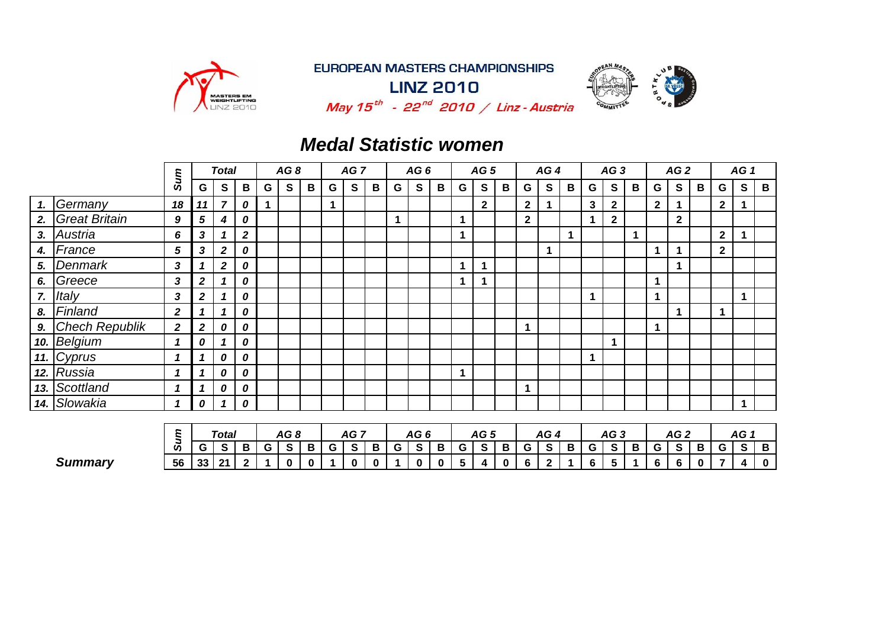

**LINZ 2010** 



May  $15^{th}$  - 22<sup>nd</sup> 2010 / Linz - Austria

 $G[S|B|G[S|B|G|S|B|G|S|B|G|S|B|G|S|B|G|S|B|G|S|B|G|S|B|G|S|B$ 

### *Medal Statistic women*

|    |                          | Sum          |                  | <b>Total</b>            |                  |   | AG8             |   |   | AG <sub>7</sub> |                |   | AG6 |   |                      | AG <sub>5</sub> |   |              | AG4          |                      |              | AG3             |   |             | AG2             |   |              | AG <sub>1</sub>      |             |
|----|--------------------------|--------------|------------------|-------------------------|------------------|---|-----------------|---|---|-----------------|----------------|---|-----|---|----------------------|-----------------|---|--------------|--------------|----------------------|--------------|-----------------|---|-------------|-----------------|---|--------------|----------------------|-------------|
|    |                          |              | G                | S                       | B                | G | S               | B | G | $\mathbf{s}$    | B              | G | S   | B | G                    | $\mathbf{s}$    | B | G            | S            | B                    | G            | $\mathbf{s}$    | B | G           | S               | B | G            | ${\bf S}$            | $\mathbf B$ |
| 1. | Germany                  | 18           | 11               | $\overline{7}$          | 0                |   |                 |   | 1 |                 |                |   |     |   |                      | $\mathbf{2}$    |   | $\mathbf{2}$ |              |                      | $\mathbf{3}$ | $\mathbf{2}$    |   | $2^{\circ}$ |                 |   | $\mathbf{2}$ |                      |             |
| 2. | <b>Great Britain</b>     | 9            | 5                | 4                       | 0                |   |                 |   |   |                 |                | 1 |     |   | 1                    |                 |   | $\mathbf{2}$ |              |                      | 1            | $\mathbf{2}$    |   |             | $\mathbf{2}$    |   |              |                      |             |
| 3. | Austria                  | 6            | 3                |                         | $\boldsymbol{2}$ |   |                 |   |   |                 |                |   |     |   | $\blacktriangleleft$ |                 |   |              |              | $\blacktriangleleft$ |              |                 | 1 |             |                 |   | $\mathbf{2}$ |                      |             |
| 4. | France                   | 5            | $\mathbf{3}$     | $\boldsymbol{2}$        | 0                |   |                 |   |   |                 |                |   |     |   |                      |                 |   |              |              |                      |              |                 |   | 1           |                 |   | $\mathbf 2$  |                      |             |
| 5. | Denmark                  | 3            |                  | $\overline{\mathbf{2}}$ | 0                |   |                 |   |   |                 |                |   |     |   | 1                    |                 |   |              |              |                      |              |                 |   |             |                 |   |              |                      |             |
| 6. | Greece                   | 3            | $\boldsymbol{2}$ |                         | 0                |   |                 |   |   |                 |                |   |     |   | 1                    |                 |   |              |              |                      |              |                 |   |             |                 |   |              |                      |             |
| 7. | Italy                    | 3            | $\boldsymbol{2}$ |                         | 0                |   |                 |   |   |                 |                |   |     |   |                      |                 |   |              |              |                      | 1            |                 |   |             |                 |   |              | 1                    |             |
| 8. | Finland                  | $\mathbf{2}$ | 1                |                         | 0                |   |                 |   |   |                 |                |   |     |   |                      |                 |   |              |              |                      |              |                 |   |             |                 |   | 1            |                      |             |
| 9. | <b>Chech Republik</b>    | $\mathbf{2}$ | $\boldsymbol{2}$ | 0                       | 0                |   |                 |   |   |                 |                |   |     |   |                      |                 |   | 1            |              |                      |              |                 |   | 1           |                 |   |              |                      |             |
|    | 10. Belgium              | 1            | 0                |                         | 0                |   |                 |   |   |                 |                |   |     |   |                      |                 |   |              |              |                      |              | $\mathbf 1$     |   |             |                 |   |              |                      |             |
|    | $\overline{11}$ . Cyprus | 1            | 1                | 0                       | 0                |   |                 |   |   |                 |                |   |     |   |                      |                 |   |              |              |                      | 1            |                 |   |             |                 |   |              |                      |             |
|    | 12. Russia               | 1            | 1                | 0                       | 0                |   |                 |   |   |                 |                |   |     |   | 1                    |                 |   |              |              |                      |              |                 |   |             |                 |   |              |                      |             |
|    | 13. Scottland            | 1            | $\mathbf 1$      | 0                       | 0                |   |                 |   |   |                 |                |   |     |   |                      |                 |   | 1            |              |                      |              |                 |   |             |                 |   |              |                      |             |
|    | 14. Slowakia             | 1            | 0                |                         | 0                |   |                 |   |   |                 |                |   |     |   |                      |                 |   |              |              |                      |              |                 |   |             |                 |   |              | $\blacktriangleleft$ |             |
|    |                          |              |                  |                         |                  |   |                 |   |   |                 |                |   |     |   |                      |                 |   |              |              |                      |              |                 |   |             |                 |   |              |                      |             |
|    |                          | Sum          |                  | Total                   |                  |   | AG <sub>8</sub> |   |   | AG <sub>7</sub> |                |   | AG6 |   |                      | AG <sub>5</sub> |   |              | AG4          |                      |              | AG <sub>3</sub> |   |             | AG <sub>2</sub> |   |              | AG <sub>1</sub>      |             |
|    |                          |              | G                | $\mathbf{s}$            | B                | G | S               | B | G | $\mathbf{s}$    | $\overline{B}$ | G | S   | B | G                    | $\mathbf{s}$    | B | G            | $\mathbf{s}$ | B                    | G            | $\mathbf{s}$    | B | G           | S               | B | G            | S                    | $\mathbf B$ |

Summary | 56 | 33 | 21 | 2 | 1 | 0 | 0 | 1 | 0 | 0 | 1 | 0 | 0 | 5 | 4 | 0 | 6 | 2 | 1 | 6 | 5 | 1 | 6 | 6 | 0 | 7 | 4 | 0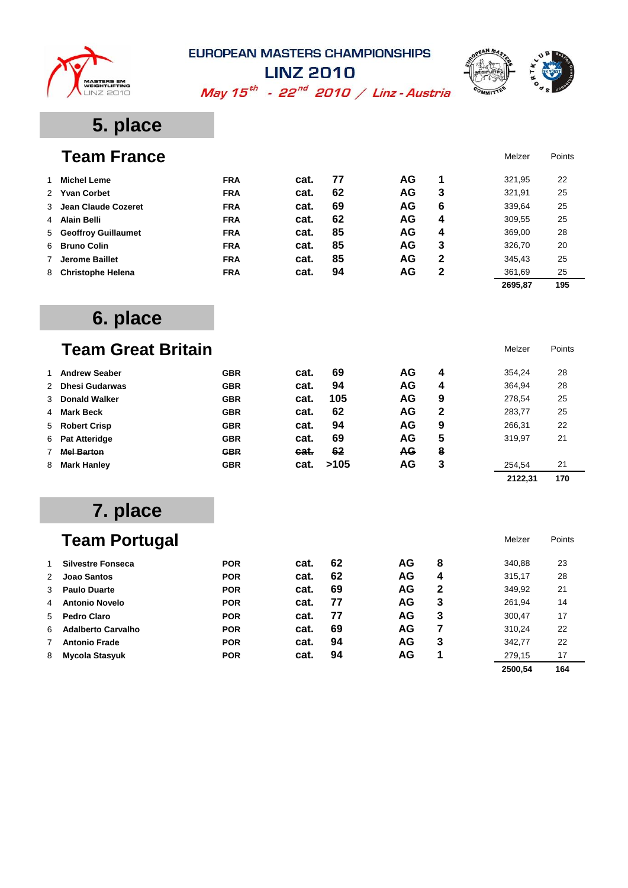



May  $15^{th}$  - 22<sup>nd</sup> 2010 / Linz - Austria

## **5. place**

|   | <b>Team France</b>       |            |      |    |    |   | Melzer  | Points |
|---|--------------------------|------------|------|----|----|---|---------|--------|
|   | <b>Michel Leme</b>       | <b>FRA</b> | cat. | 77 | AG | 1 | 321,95  | 22     |
|   | 2 Yvan Corbet            | <b>FRA</b> | cat. | 62 | AG | 3 | 321,91  | 25     |
|   | 3 Jean Claude Cozeret    | <b>FRA</b> | cat. | 69 | AG | 6 | 339,64  | 25     |
| 4 | Alain Belli              | <b>FRA</b> | cat. | 62 | AG | 4 | 309,55  | 25     |
|   | 5 Geoffroy Guillaumet    | <b>FRA</b> | cat. | 85 | AG | 4 | 369,00  | 28     |
|   | 6 Bruno Colin            | <b>FRA</b> | cat. | 85 | AG | 3 | 326,70  | 20     |
|   | Jerome Baillet           | <b>FRA</b> | cat. | 85 | AG | 2 | 345,43  | 25     |
| 8 | <b>Christophe Helena</b> | <b>FRA</b> | cat. | 94 | AG | 2 | 361,69  | 25     |
|   |                          |            |      |    |    |   | 2695.87 | 195    |

## **6. place**

# **Team Great Britain** Melzer Points

| <b>Andrew Seaber</b> | <b>GBR</b> | cat. | 69   | AG        | 4 | 354,24  | 28  |
|----------------------|------------|------|------|-----------|---|---------|-----|
| 2 Dhesi Gudarwas     | <b>GBR</b> | cat. | 94   | AG        | 4 | 364,94  | 28  |
| 3 Donald Walker      | <b>GBR</b> | cat. | 105  | AG        | 9 | 278,54  | 25  |
| 4 Mark Beck          | <b>GBR</b> | cat. | 62   | AG        | 2 | 283,77  | 25  |
| 5 Robert Crisp       | <b>GBR</b> | cat. | 94   | AG        | 9 | 266,31  | 22  |
| 6 Pat Atteridge      | <b>GBR</b> | cat. | 69   | AG        | 5 | 319.97  | 21  |
| <b>Mel Barton</b>    | <b>GBR</b> | cat. | 62   | <b>AG</b> | 8 |         |     |
| 8 Mark Hanley        | <b>GBR</b> | cat. | >105 | AG        | 3 | 254,54  | 21  |
|                      |            |      |      |           |   | 2122,31 | 170 |

## **7. place**

|   | <b>Team Portugal</b>      |            |      |    |    |   | Melzer  | Points |
|---|---------------------------|------------|------|----|----|---|---------|--------|
|   | <b>Silvestre Fonseca</b>  | <b>POR</b> | cat. | 62 | AG | 8 | 340,88  | 23     |
| 2 | Joao Santos               | <b>POR</b> | cat. | 62 | AG | 4 | 315,17  | 28     |
| 3 | <b>Paulo Duarte</b>       | <b>POR</b> | cat. | 69 | AG | 2 | 349,92  | 21     |
| 4 | <b>Antonio Novelo</b>     | <b>POR</b> | cat. | 77 | AG | 3 | 261,94  | 14     |
| 5 | Pedro Claro               | <b>POR</b> | cat. | 77 | AG | 3 | 300,47  | 17     |
| 6 | <b>Adalberto Carvalho</b> | <b>POR</b> | cat. | 69 | AG | 7 | 310,24  | 22     |
| 7 | <b>Antonio Frade</b>      | <b>POR</b> | cat. | 94 | AG | 3 | 342,77  | 22     |
| 8 | Mycola Stasyuk            | <b>POR</b> | cat. | 94 | AG | 1 | 279,15  | 17     |
|   |                           |            |      |    |    |   | 2500.54 | 164    |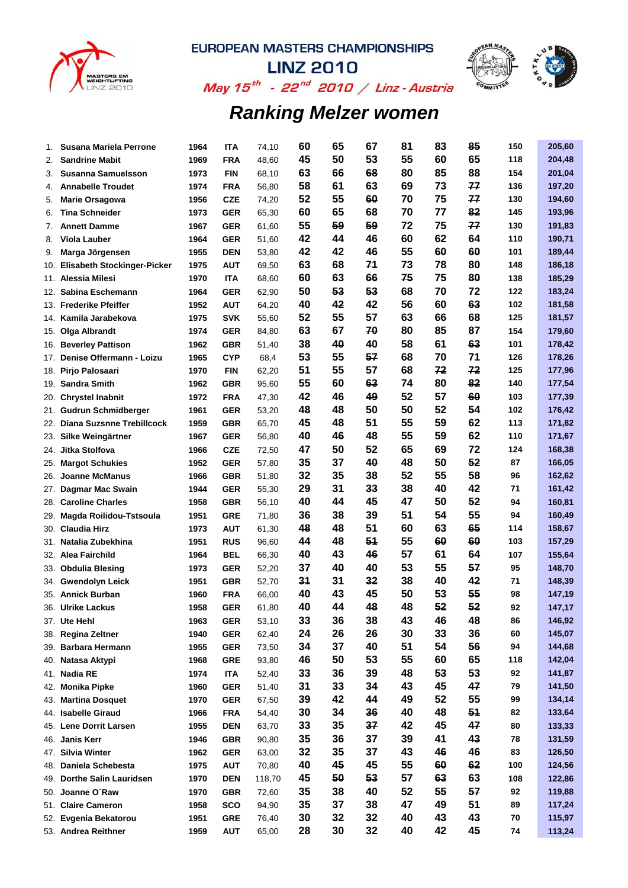



**LINZ 2010** May  $15^{th}$  - 22<sup>nd</sup> 2010 / Linz - Austria

| 1.  | Susana Mariela Perrone                  | 1964 | ITA        | 74,10          | 60 | 65 | 67       | 81       | 83       | 85       | 150      | 205,60 |
|-----|-----------------------------------------|------|------------|----------------|----|----|----------|----------|----------|----------|----------|--------|
| 2.  | <b>Sandrine Mabit</b>                   | 1969 | <b>FRA</b> | 48,60          | 45 | 50 | 53       | 55       | 60       | 65       | 118      | 204,48 |
| 3.  | <b>Susanna Samuelsson</b>               | 1973 | <b>FIN</b> | 68,10          | 63 | 66 | 68       | 80       | 85       | 88       | 154      | 201,04 |
| 4.  | <b>Annabelle Troudet</b>                | 1974 | <b>FRA</b> | 56,80          | 58 | 61 | 63       | 69       | 73       | 77       | 136      | 197,20 |
| 5.  | <b>Marie Orsagowa</b>                   | 1956 | <b>CZE</b> | 74,20          | 52 | 55 | 60       | 70       | 75       | 77       | 130      | 194,60 |
| 6.  | <b>Tina Schneider</b>                   | 1973 | <b>GER</b> | 65,30          | 60 | 65 | 68       | 70       | 77       | 82       | 145      | 193,96 |
| 7.  | <b>Annett Damme</b>                     | 1967 | <b>GER</b> | 61,60          | 55 | 59 | 59       | 72       | 75       | 77       | 130      | 191,83 |
| 8.  | Viola Lauber                            | 1964 | <b>GER</b> | 51,60          | 42 | 44 | 46       | 60       | 62       | 64       | 110      | 190,71 |
| 9.  | Marga Jörgensen                         | 1955 | <b>DEN</b> | 53,80          | 42 | 42 | 46       | 55       | 60       | 60       | 101      | 189,44 |
| 10. | <b>Elisabeth Stockinger-Picker</b>      | 1975 | <b>AUT</b> | 69,50          | 63 | 68 | 71       | 73       | 78       | 80       | 148      | 186,18 |
|     | 11. Alessia Milesi                      | 1970 | <b>ITA</b> | 68,60          | 60 | 63 | 66       | 75       | 75       | 80       | 138      | 185,29 |
|     | 12. Sabina Eschemann                    | 1964 | <b>GER</b> | 62,90          | 50 | 53 | 53       | 68       | 70       | 72       | 122      | 183,24 |
|     | 13. Frederike Pfeiffer                  | 1952 | <b>AUT</b> | 64,20          | 40 | 42 | 42       | 56       | 60       | 63       | 102      | 181,58 |
|     | 14. Kamila Jarabekova                   | 1975 | <b>SVK</b> | 55,60          | 52 | 55 | 57       | 63       | 66       | 68       | 125      | 181,57 |
|     | 15. Olga Albrandt                       | 1974 | <b>GER</b> | 84,80          | 63 | 67 | 70       | 80       | 85       | 87       | 154      | 179,60 |
|     | 16. Beverley Pattison                   | 1962 | <b>GBR</b> | 51,40          | 38 | 40 | 40       | 58       | 61       | 63       | 101      | 178,42 |
|     | 17. Denise Offermann - Loizu            | 1965 | <b>CYP</b> | 68,4           | 53 | 55 | 57       | 68       | 70       | 71       | 126      | 178,26 |
|     | 18. Pirjo Palosaari                     | 1970 | <b>FIN</b> | 62,20          | 51 | 55 | 57       | 68       | 72       | 72       | 125      | 177,96 |
|     | 19. Sandra Smith                        | 1962 | <b>GBR</b> | 95,60          | 55 | 60 | 63       | 74       | 80       | 82       | 140      | 177,54 |
|     | 20. Chrystel Inabnit                    | 1972 | <b>FRA</b> | 47,30          | 42 | 46 | 49       | 52       | 57       | 60       | 103      | 177,39 |
| 21. | <b>Gudrun Schmidberger</b>              | 1961 | <b>GER</b> | 53,20          | 48 | 48 | 50       | 50       | 52       | 54       | 102      | 176,42 |
| 22. | <b>Diana Suzsnne Trebillcock</b>        | 1959 | <b>GBR</b> | 65,70          | 45 | 48 | 51       | 55       | 59       | 62       | 113      | 171,82 |
|     | 23. Silke Weingärtner                   | 1967 | <b>GER</b> | 56,80          | 40 | 46 | 48       | 55       | 59       | 62       | 110      | 171,67 |
|     | 24. Jitka Stolfova                      | 1966 | <b>CZE</b> | 72,50          | 47 | 50 | 52       | 65       | 69       | 72       | 124      | 168,38 |
|     | 25. Margot Schukies                     | 1952 | <b>GER</b> | 57,80          | 35 | 37 | 40       | 48       | 50       | 52       | 87       | 166,05 |
|     | 26. Joanne McManus                      | 1966 | <b>GBR</b> | 51,80          | 32 | 35 | 38       | 52       | 55       | 58       | 96       | 162,62 |
|     | 27. Dagmar Mac Swain                    | 1944 | <b>GER</b> | 55,30          | 29 | 31 | 33       | 38       | 40       | 42       | 71       | 161,42 |
|     | 28. Caroline Charles                    | 1958 | <b>GBR</b> | 56,10          | 40 | 44 | 45       | 47       | 50       | 52       | 94       | 160,81 |
| 29. | Magda Roilidou-Tstsoula                 | 1951 | <b>GRE</b> | 71,80          | 36 | 38 | 39       | 51       | 54       | 55       | 94       | 160,49 |
|     | 30. Claudia Hirz                        | 1973 | <b>AUT</b> | 61,30          | 48 | 48 | 51       | 60       | 63       | 65       | 114      | 158,67 |
|     | 31. Natalia Zubekhina                   | 1951 | <b>RUS</b> | 96,60          | 44 | 48 | 51       | 55       | 60       | 60       | 103      | 157,29 |
|     | 32. Alea Fairchild                      | 1964 | <b>BEL</b> | 66,30          | 40 | 43 | 46       | 57       | 61       | 64       | 107      | 155,64 |
|     | 33. Obdulia Blesing                     | 1973 | <b>GER</b> | 52,20          | 37 | 40 | 40       | 53       | 55       | 57       | 95       | 148,70 |
|     | 34. Gwendolyn Leick                     | 1951 | <b>GBR</b> | 52,70          | 34 | 31 | 32       | 38       | 40       | 42       | 71       | 148,39 |
|     | 35. Annick Burban                       | 1960 | <b>FRA</b> | 66,00          | 40 | 43 | 45       | 50       | 53       | 55       | 98       | 147,19 |
|     | 36.  Ulrike Lackus                      | 1958 | <b>GER</b> | 61,80          | 40 | 44 | 48       | 48       | 52       | 52       | 92       | 147,17 |
|     | 37. Ute Hehl                            | 1963 | <b>GER</b> | 53,10          | 33 | 36 | 38       | 43       | 46       | 48       | 86       | 146,92 |
|     | 38. Regina Zeltner                      | 1940 | <b>GER</b> |                | 24 | 26 | 26       | 30       | 33       | 36       | 60       | 145,07 |
|     | 39. Barbara Hermann                     | 1955 | <b>GER</b> | 62,40<br>73,50 | 34 | 37 | 40       | 51       | 54       | 56       | 94       | 144,68 |
|     | 40. Natasa Aktypi                       | 1968 | <b>GRE</b> | 93,80          | 46 | 50 | 53       | 55       | 60       | 65       | 118      | 142,04 |
|     | 41. Nadia RE                            | 1974 | <b>ITA</b> |                | 33 | 36 | 39       | 48       | 53       | 53       | 92       | 141,87 |
|     |                                         | 1960 | <b>GER</b> | 52,40          | 31 | 33 | 34       | 43       | 45       | 47       | 79       | 141,50 |
|     | 42. Monika Pipke<br>43. Martina Dosquet | 1970 | <b>GER</b> | 51,40          | 39 | 42 | 44       | 49       | 52       | 55       | 99       | 134,14 |
|     | 44. Isabelle Giraud                     |      |            | 67,50          | 30 | 34 | 36       | 40       | 48       | 51       | 82       | 133,64 |
|     |                                         | 1966 | <b>FRA</b> | 54,40          | 33 | 35 | 37       | 42       | 45       | 47       | 80       |        |
|     | 45. Lene Dorrit Larsen                  | 1955 | <b>DEN</b> | 63,70          | 35 | 36 | 37       | 39       | 41       | 43       |          | 133,33 |
|     | 46. Janis Kerr                          | 1946 | <b>GBR</b> | 90,80          | 32 | 35 | 37       | 43       | 46       | 46       | 78<br>83 | 131,59 |
|     | 47. Silvia Winter                       | 1962 | <b>GER</b> | 63,00          |    | 45 | 45       |          | 60       |          | 100      | 126,50 |
|     | 48. Daniela Schebesta                   | 1975 | <b>AUT</b> | 70,80          | 40 |    | 53       | 55<br>57 |          | 62       |          | 124,56 |
|     | 49. Dorthe Salin Lauridsen              | 1970 | <b>DEN</b> | 118,70         | 45 | 50 |          |          | 63<br>55 | 63       | 108      | 122,86 |
|     | 50. Joanne O'Raw                        | 1970 | <b>GBR</b> | 72,60          | 35 | 38 | 40       | 52       |          | 57<br>51 | 92       | 119,88 |
|     | 51. Claire Cameron                      | 1958 | <b>SCO</b> | 94,90          | 35 | 37 | 38<br>32 | 47<br>40 | 49<br>43 |          | 89       | 117,24 |
|     | 52. Evgenia Bekatorou                   | 1951 | <b>GRE</b> | 76,40          | 30 | 32 |          |          |          | 43       | 70       | 115,97 |
|     | 53. Andrea Reithner                     | 1959 | <b>AUT</b> | 65,00          | 28 | 30 | 32       | 40       | 42       | 45       | 74       | 113,24 |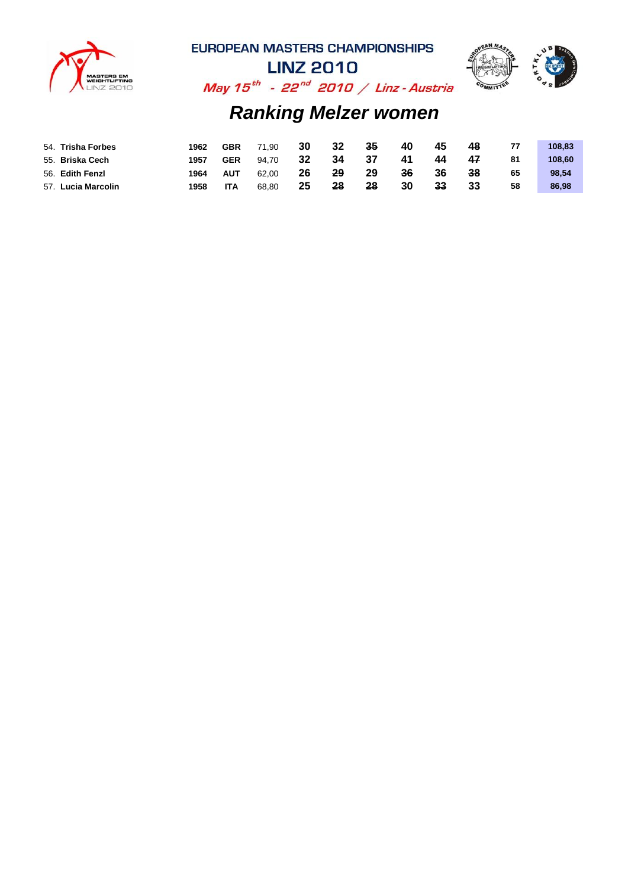



**LINZ 2010** May  $15^{th}$  - 22<sup>nd</sup> 2010 / Linz - Austria

| 54. Trisha Forbes  | 1962 | <b>GBR</b> | 71.90 | 30 | 32 | 35 | 40 | 45 | 48 | 77 | 108.83 |
|--------------------|------|------------|-------|----|----|----|----|----|----|----|--------|
| 55. Briska Cech    | 1957 | <b>GER</b> | 94.70 | 32 | 34 | 37 | 41 | 44 | 47 | 81 | 108.60 |
| 56. Edith Fenzl    | 1964 | AUT        | 62.00 | 26 | 29 | 29 | 36 | 36 | 38 | 65 | 98.54  |
| 57. Lucia Marcolin | 1958 | <b>ITA</b> | 68.80 | 25 | 28 | 28 | 30 | 33 | 33 | 58 | 86,98  |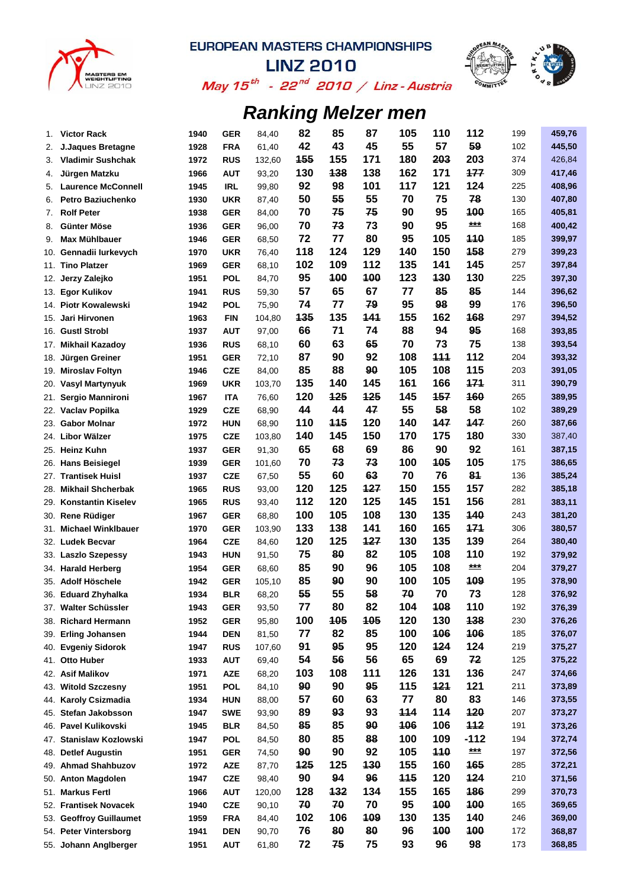



May 15 $^{th}$  - 22 $^{nd}$  2010 / Linz - Austria

| 1.         | <b>Victor Rack</b>                            | 1940         | <b>GER</b>               | 84,40          | 82       | 85         | 87       | 105       | 110       | 112        | 199        | 459,76           |
|------------|-----------------------------------------------|--------------|--------------------------|----------------|----------|------------|----------|-----------|-----------|------------|------------|------------------|
| 2.         | <b>J.Jaques Bretagne</b>                      | 1928         | <b>FRA</b>               | 61,40          | 42       | 43         | 45       | 55        | 57        | 59         | 102        | 445,50           |
| 3.         | <b>Vladimir Sushchak</b>                      | 1972         | <b>RUS</b>               | 132,60         | 155      | 155        | 171      | 180       | 203       | 203        | 374        | 426,84           |
| 4.         | Jürgen Matzku                                 | 1966         | <b>AUT</b>               | 93,20          | 130      | 138        | 138      | 162       | 171       | 177        | 309        | 417,46           |
| 5.         | <b>Laurence McConnell</b>                     | 1945         | <b>IRL</b>               | 99,80          | 92       | 98         | 101      | 117       | 121       | 124        | 225        | 408,96           |
| 6.         | <b>Petro Baziuchenko</b>                      | 1930         | <b>UKR</b>               | 87,40          | 50       | 55         | 55       | 70        | 75        | 78         | 130        | 407,80           |
| 7.         | <b>Rolf Peter</b>                             | 1938         | <b>GER</b>               | 84,00          | 70       | 75         | 75       | 90        | 95        | 400        | 165        | 405,81           |
| 8.         | Günter Möse                                   | 1936         | <b>GER</b>               | 96,00          | 70       | 73         | 73       | 90        | 95        | $***$      | 168        | 400,42           |
| 9.         | Max Mühlbauer                                 | 1946         | <b>GER</b>               | 68,50          | 72       | 77         | 80       | 95        | 105       | <b>110</b> | 185        | 399,97           |
| 10.        | Gennadii lurkevych                            | 1970         | <b>UKR</b>               | 76,40          | 118      | 124        | 129      | 140       | 150       | 158        | 279        | 399,23           |
| 11.        | <b>Tino Platzer</b>                           | 1969         | <b>GER</b>               | 68,10          | 102      | 109        | 112      | 135       | 141       | 145        | 257        | 397,84           |
| 12.        | Jerzy Zalejko                                 | 1951         | <b>POL</b>               | 84,70          | 95       | 100        | 100      | 123       | 130       | 130        | 225        | 397,30           |
| 13.        | Egor Kulikov                                  | 1941         | <b>RUS</b>               | 59,30          | 57       | 65         | 67       | 77        | 85        | 85         | 144        | 396,62           |
| 14.        | <b>Piotr Kowalewski</b>                       | 1942         | <b>POL</b>               | 75,90          | 74       | 77         | 79       | 95        | 98        | 99         | 176        | 396,50           |
| 15.        | Jari Hirvonen                                 | 1963         | <b>FIN</b>               | 104,80         | 135      | 135        | 141      | 155       | 162       | 168        | 297        | 394,52           |
|            | 16. Gustl Strobl                              | 1937         | <b>AUT</b>               | 97,00          | 66       | 71         | 74       | 88        | 94        | 95         | 168        | 393,85           |
| 17.        | <b>Mikhail Kazadoy</b>                        | 1936         | <b>RUS</b>               | 68,10          | 60       | 63         | 65       | 70        | 73        | 75         | 138        | 393,54           |
| 18.        | Jürgen Greiner                                | 1951         | <b>GER</b>               | 72,10          | 87       | 90         | 92       | 108       | 111       | 112        | 204        | 393,32           |
| 19.        | <b>Miroslav Foltyn</b>                        | 1946         | <b>CZE</b>               | 84,00          | 85       | 88         | 90       | 105       | 108       | 115        | 203        | 391,05           |
| 20.        | Vasyl Martynyuk                               | 1969         | <b>UKR</b>               | 103,70         | 135      | 140        | 145      | 161       | 166       | 171        | 311        | 390,79           |
| 21.        | Sergio Mannironi                              | 1967         | <b>ITA</b>               | 76,60          | 120      | 125        | 125      | 145       | 157       | 160        | 265        | 389,95           |
| 22.        | Vaclav Popilka                                | 1929         | <b>CZE</b>               | 68,90          | 44       | 44         | 47       | 55        | 58        | 58         | 102        | 389,29           |
| 23.        | <b>Gabor Molnar</b>                           | 1972         | <b>HUN</b>               | 68,90          | 110      | <b>115</b> | 120      | 140       | 147       | 147        | 260        | 387,66           |
| 24.        | Libor Wälzer                                  | 1975         | <b>CZE</b>               | 103,80         | 140      | 145        | 150      | 170       | 175       | 180        | 330        | 387,40           |
| 25.        | <b>Heinz Kuhn</b>                             | 1937         | <b>GER</b>               | 91,30          | 65       | 68         | 69       | 86        | 90        | 92         | 161        | 387,15           |
| 26.        | <b>Hans Beisiegel</b>                         | 1939         | <b>GER</b>               | 101,60         | 70       | 73         | 73       | 100       | 105       | 105        | 175        | 386,65           |
| 27.        | <b>Trantisek Huisl</b>                        | 1937         | <b>CZE</b>               | 67,50          | 55       | 60         | 63       | 70        | 76        | 81         | 136        | 385,24           |
| 28.        | <b>Mikhail Shcherbak</b>                      | 1965         | <b>RUS</b>               | 93,00          | 120      | 125        | 127      | 150       | 155       | 157        | 282        | 385,18           |
| 29.        | <b>Konstantin Kiselev</b>                     | 1965         | <b>RUS</b>               | 93,40          | 112      | 120        | 125      | 145       | 151       | 156        | 281        | 383,11           |
|            | 30. Rene Rüdiger                              | 1967         | <b>GER</b>               | 68,80          | 100      | 105        | 108      | 130       | 135       | 140        | 243        | 381,20           |
| 31.        | <b>Michael Winklbauer</b>                     | 1970         | <b>GER</b>               | 103,90         | 133      | 138        | 141      | 160       | 165       | 171        | 306        | 380,57           |
| 32.        | <b>Ludek Becvar</b>                           | 1964         | <b>CZE</b>               | 84,60          | 120      | 125        | 127      | 130       | 135       | 139        | 264        | 380,40           |
|            | 33. Laszlo Szepessy                           | 1943         | <b>HUN</b>               | 91,50          | 75       | 80         | 82       | 105       | 108       | 110        | 192        | 379,92           |
|            | 34. Harald Herberg                            | 1954         | <b>GER</b>               | 68,60          | 85       | 90         | 96       | 105       | 108       | $***$      | 204        | 379,27           |
| 35.        | Adolf Höschele                                | 1942         | <b>GER</b>               | 105,10         | 85       | 90         | 90       | 100       | 105       | 109        | 195        | 378,90           |
|            | 36. Eduard Zhyhalka                           | 1934         | <b>BLR</b>               | 68,20          | 55       | 55         | 58       | 70        | 70        | 73         | 128        | 376,92           |
|            | 37. Walter Schüssler                          | 1943         | <b>GER</b>               | 93,50          | 77       | 80         | 82       | 104       | 108       | 110        | 192        | 376,39           |
| 38.        | <b>Richard Hermann</b>                        | 1952         | <b>GER</b>               | 95,80          | 100      | <b>105</b> | 105      | 120       | 130       | 138        | 230        | 376,26           |
| 39.        | <b>Erling Johansen</b>                        | 1944         | <b>DEN</b>               | 81,50          | 77       | 82<br>95   | 85       | 100       | 106       | 106        | 185        | 376,07           |
| 40.        | <b>Evgeniy Sidorok</b>                        | 1947         | <b>RUS</b>               | 107,60         | 91<br>54 | 56         | 95<br>56 | 120<br>65 | 124<br>69 | 124<br>72  | 219        | 375,27           |
| 41.        | <b>Otto Huber</b>                             | 1933         | <b>AUT</b>               | 69,40          | 103      | 108        | 111      | 126       | 131       | 136        | 125<br>247 | 375,22<br>374,66 |
| 42.<br>43. | <b>Asif Malikov</b><br><b>Witold Szczesny</b> | 1971<br>1951 | <b>AZE</b><br><b>POL</b> | 68,20          | 90       | 90         | 95       | 115       | 121       | 121        | 211        | 373,89           |
|            | 44. Karoly Csizmadia                          | 1934         | <b>HUN</b>               | 84,10<br>88,00 | 57       | 60         | 63       | 77        | 80        | 83         | 146        | 373,55           |
|            | Stefan Jakobsson                              | 1947         | <b>SWE</b>               |                | 89       | 93         | 93       | 114       | 114       | 120        | 207        | 373,27           |
| 45.<br>46. | Pavel Kulikovski                              | 1945         | <b>BLR</b>               | 93,90<br>84,50 | 85       | 85         | 90       | 106       | 106       | 112        | 191        | 373,26           |
| 47.        | <b>Stanislaw Kozlowski</b>                    | 1947         | <b>POL</b>               | 84,50          | 80       | 85         | 88       | 100       | 109       | $-112$     | 194        | 372,74           |
| 48.        | <b>Detlef Augustin</b>                        | 1951         | <b>GER</b>               | 74,50          | 90       | 90         | 92       | 105       | 110       | $***$      | 197        | 372,56           |
| 49.        | <b>Ahmad Shahbuzov</b>                        | 1972         | <b>AZE</b>               |                | 125      | 125        | 130      | 155       | 160       | <b>165</b> | 285        | 372,21           |
| 50.        | <b>Anton Magdolen</b>                         | 1947         | CZE                      | 87,70<br>98,40 | 90       | 94         | 96       | 115       | 120       | 424        | 210        | 371,56           |
| 51.        | <b>Markus Fertl</b>                           | 1966         | <b>AUT</b>               | 120,00         | 128      | 132        | 134      | 155       | 165       | 186        | 299        | 370,73           |
| 52.        | <b>Frantisek Novacek</b>                      | 1940         | <b>CZE</b>               | 90,10          | 70       | 70         | 70       | 95        | 100       | <b>100</b> | 165        | 369,65           |
|            | 53. Geoffroy Guillaumet                       | 1959         | <b>FRA</b>               | 84,40          | 102      | 106        | 109      | 130       | 135       | 140        | 246        | 369,00           |
|            | 54. Peter Vintersborg                         | 1941         | <b>DEN</b>               | 90,70          | 76       | 80         | 80       | 96        | 100       | 100        | 172        | 368,87           |
|            | 55. Johann Anglberger                         | 1951         | <b>AUT</b>               | 61,80          | 72       | 75         | 75       | 93        | 96        | 98         | 173        | 368,85           |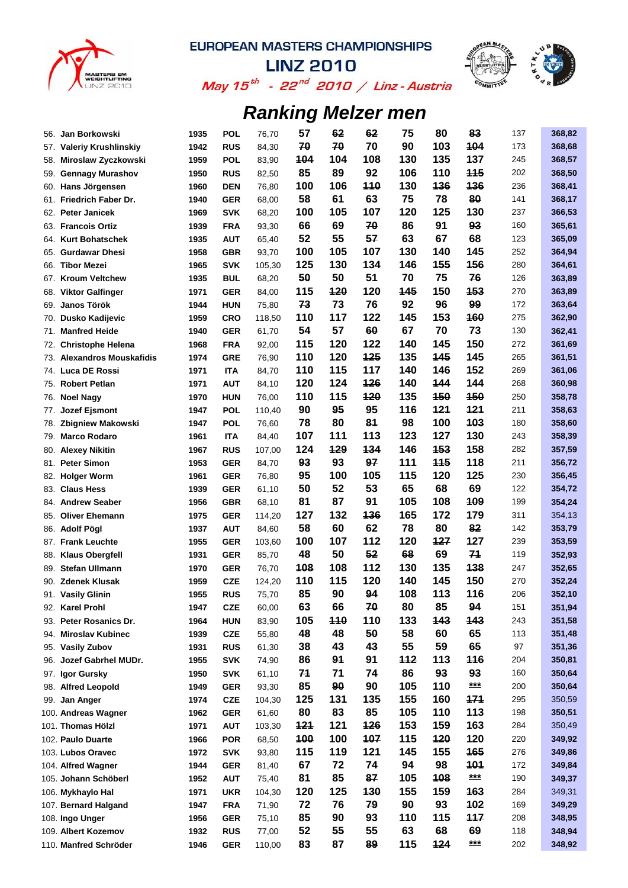



May 15<sup>th</sup> - 22<sup>nd</sup> 2010 / Linz-Austria

| 56. | Jan Borkowski                          | 1935         | <b>POL</b>               | 76,70           | 57         | 62  | 62         | 75  | 80         | 83         | 137 | 368,82           |
|-----|----------------------------------------|--------------|--------------------------|-----------------|------------|-----|------------|-----|------------|------------|-----|------------------|
| 57. | <b>Valeriy Krushlinskiy</b>            | 1942         | <b>RUS</b>               | 84,30           | 70         | 70  | 70         | 90  | 103        | 104        | 173 | 368,68           |
| 58. | Miroslaw Zyczkowski                    | 1959         | <b>POL</b>               | 83,90           | 104        | 104 | 108        | 130 | 135        | 137        | 245 | 368,57           |
| 59. | <b>Gennagy Murashov</b>                | 1950         | <b>RUS</b>               | 82,50           | 85         | 89  | 92         | 106 | 110        | <b>115</b> | 202 | 368,50           |
| 60. | Hans Jörgensen                         | 1960         | <b>DEN</b>               | 76,80           | 100        | 106 | <b>110</b> | 130 | 136        | 136        | 236 | 368,41           |
| 61. | Friedrich Faber Dr.                    | 1940         | <b>GER</b>               | 68,00           | 58         | 61  | 63         | 75  | 78         | 80         | 141 | 368,17           |
| 62. | <b>Peter Janicek</b>                   | 1969         | <b>SVK</b>               | 68,20           | 100        | 105 | 107        | 120 | 125        | 130        | 237 | 366,53           |
|     | 63. Francois Ortiz                     | 1939         | <b>FRA</b>               | 93,30           | 66         | 69  | 70         | 86  | 91         | 93         | 160 | 365,61           |
|     | 64. Kurt Bohatschek                    | 1935         | <b>AUT</b>               | 65,40           | 52         | 55  | 57         | 63  | 67         | 68         | 123 | 365,09           |
| 65. | <b>Gurdawar Dhesi</b>                  | 1958         | <b>GBR</b>               | 93,70           | 100        | 105 | 107        | 130 | 140        | 145        | 252 | 364,94           |
| 66. | <b>Tibor Mezei</b>                     | 1965         | <b>SVK</b>               | 105,30          | 125        | 130 | 134        | 146 | 455        | <b>456</b> | 280 | 364,61           |
| 67. | <b>Kroum Veltchew</b>                  | 1935         | <b>BUL</b>               | 68,20           | 50         | 50  | 51         | 70  | 75         | 76         | 126 | 363,89           |
| 68. | <b>Viktor Galfinger</b>                | 1971         | <b>GER</b>               | 84,00           | 115        | 120 | 120        | 145 | 150        | <b>153</b> | 270 | 363,89           |
| 69. | Janos Török                            | 1944         | <b>HUN</b>               | 75,80           | 73         | 73  | 76         | 92  | 96         | 99         | 172 | 363,64           |
| 70. | Dusko Kadijevic                        | 1959         | <b>CRO</b>               | 118,50          | 110        | 117 | 122        | 145 | 153        | 160        | 275 | 362,90           |
| 71. | <b>Manfred Heide</b>                   | 1940         | <b>GER</b>               | 61,70           | 54         | 57  | 60         | 67  | 70         | 73         | 130 | 362,41           |
| 72. | <b>Christophe Helena</b>               | 1968         | <b>FRA</b>               | 92,00           | 115        | 120 | 122        | 140 | 145        | 150        | 272 | 361,69           |
| 73. | <b>Alexandros Mouskafidis</b>          | 1974         | <b>GRE</b>               | 76,90           | 110        | 120 | 125        | 135 | 145        | 145        | 265 | 361,51           |
|     | 74. Luca DE Rossi                      | 1971         | <b>ITA</b>               | 84,70           | 110        | 115 | 117        | 140 | 146        | 152        | 269 | 361,06           |
| 75. | <b>Robert Petlan</b>                   | 1971         | <b>AUT</b>               | 84,10           | 120        | 124 | 126        | 140 | 144        | 144        | 268 | 360,98           |
| 76. | <b>Noel Nagy</b>                       | 1970         | <b>HUN</b>               | 76,00           | 110        | 115 | <b>120</b> | 135 | <b>150</b> | <b>450</b> | 250 | 358,78           |
| 77. | Jozef Ejsmont                          | 1947         | <b>POL</b>               | 110,40          | 90         | 95  | 95         | 116 | 121        | 121        | 211 | 358,63           |
| 78. | <b>Zbigniew Makowski</b>               | 1947         | <b>POL</b>               | 76,60           | 78         | 80  | 81         | 98  | 100        | 103        | 180 | 358,60           |
| 79. | <b>Marco Rodaro</b>                    | 1961         | <b>ITA</b>               | 84,40           | 107        | 111 | 113        | 123 | 127        | 130        | 243 | 358,39           |
| 80. | <b>Alexey Nikitin</b>                  | 1967         | <b>RUS</b>               | 107,00          | 124        | 129 | 134        | 146 | 153        | 158        | 282 | 357,59           |
| 81. | <b>Peter Simon</b>                     | 1953         | <b>GER</b>               | 84,70           | 93         | 93  | 97         | 111 | 115        | 118        | 211 | 356,72           |
| 82. | <b>Holger Worm</b>                     | 1961         | <b>GER</b>               | 76,80           | 95         | 100 | 105        | 115 | 120        | 125        | 230 | 356,45           |
| 83. | <b>Claus Hess</b>                      | 1939         | <b>GER</b>               | 61,10           | 50         | 52  | 53         | 65  | 68         | 69         | 122 | 354,72           |
| 84. | <b>Andrew Seaber</b>                   | 1956         | <b>GBR</b>               | 68,10           | 81         | 87  | 91         | 105 | 108        | 109        | 199 | 354,24           |
| 85. | <b>Oliver Ehemann</b>                  | 1975         | <b>GER</b>               | 114,20          | 127        | 132 | 136        | 165 | 172        | 179        | 311 | 354,13           |
| 86. | <b>Adolf Pögl</b>                      | 1937         | <b>AUT</b>               | 84,60           | 58         | 60  | 62         | 78  | 80         | 82         | 142 | 353,79           |
| 87. | <b>Frank Leuchte</b>                   | 1955         | <b>GER</b>               | 103,60          | 100        | 107 | 112        | 120 | 127        | 127        | 239 | 353,59           |
| 88. | <b>Klaus Obergfell</b>                 | 1931         | <b>GER</b>               | 85,70           | 48         | 50  | 52         | 68  | 69         | 71         | 119 | 352,93           |
| 89. | <b>Stefan Ullmann</b>                  | 1970         | <b>GER</b>               | 76,70           | <b>108</b> | 108 | 112        | 130 | 135        | 138        | 247 | 352,65           |
| 90. | <b>Zdenek Klusak</b>                   | 1959         | <b>CZE</b>               | 124,20          | 110        | 115 | 120        | 140 | 145        | 150        | 270 | 352,24           |
|     | 91. Vasily Glinin                      | 1955         | <b>RUS</b>               | 75,70           | 85         | 90  | 94         | 108 | 113        | 116        | 206 | 352,10           |
|     | 92. Karel Prohl                        | 1947         | <b>CZE</b>               | 60,00           | 63         | 66  | 70         | 80  | 85         | 94         | 151 | 351,94           |
|     | 93. Peter Rosanics Dr.                 | 1964         | <b>HUN</b>               | 83,90           | 105        | 110 | 110        | 133 | 143        | 143        | 243 | 351,58           |
| 94. | <b>Miroslav Kubinec</b>                | 1939         | <b>CZE</b>               | 55,80           | 48         | 48  | 50         | 58  | 60         | 65         | 113 | 351,48           |
| 95. | <b>Vasily Zubov</b>                    | 1931         | <b>RUS</b>               | 61,30           | 38         | 43  | 43         | 55  | 59         | 65         | 97  | 351,36           |
| 96. | Jozef Gabrhel MUDr.                    | 1955         | <b>SVK</b>               | 74,90           | 86         | 91  | 91         | 112 | 113        | 116        | 204 | 350,81           |
| 97. | Igor Gursky                            | 1950         | <b>SVK</b>               | 61,10           | 71         | 71  | 74         | 86  | 93         | 93         | 160 | 350,64           |
|     | 98. Alfred Leopold                     | 1949         | <b>GER</b>               | 93,30           | 85         | 90  | 90         | 105 | 110        | ***        | 200 | 350,64           |
|     | 99. Jan Anger                          | 1974         | <b>CZE</b>               | 104,30          | 125        | 131 | 135        | 155 | 160        | 171        | 295 | 350,59           |
|     | 100. Andreas Wagner                    | 1962         | <b>GER</b>               | 61,60           | 80         | 83  | 85         | 105 | 110        | 113        | 198 | 350,51           |
|     | 101. Thomas Hölzl                      | 1971         | <b>AUT</b>               | 103,30          | 121        | 121 | 126        | 153 | 159        | 163        | 284 | 350,49           |
|     | 102. Paulo Duarte                      | 1966         | <b>POR</b>               | 68,50           | 100        | 100 | 107        | 115 | 120        | 120        | 220 | 349,92           |
|     | 103. Lubos Oravec                      | 1972         | <b>SVK</b>               | 93,80           | 115        | 119 | 121        | 145 | 155        | 165        | 276 | 349,86           |
|     | 104. Alfred Wagner                     | 1944         | <b>GER</b>               | 81,40           | 67         | 72  | 74         | 94  | 98         | <b>401</b> | 172 | 349,84           |
|     | 105. Johann Schöberl                   | 1952         | <b>AUT</b>               | 75,40           | 81         | 85  | 87         | 105 | 108        | $***$      | 190 | 349,37           |
|     | 106. Mykhaylo Hal                      | 1971         | <b>UKR</b>               | 104,30          | 120        | 125 | 130        | 155 | 159        | 163        | 284 | 349,31           |
|     | 107. Bernard Halgand                   | 1947         | <b>FRA</b>               |                 | 72         | 76  | 79         | 90  | 93         | 102        | 169 | 349,29           |
|     |                                        |              |                          | 71,90           | 85         | 90  | 93         | 110 | 115        | 117        | 208 |                  |
|     | 108. Ingo Unger<br>109. Albert Kozemov | 1956         | <b>GER</b>               | 75,10           | 52         | 55  | 55         | 63  | 68         | 69         | 118 | 348,95<br>348,94 |
|     | 110. Manfred Schröder                  | 1932<br>1946 | <b>RUS</b><br><b>GER</b> | 77,00<br>110,00 | 83         | 87  | 89         | 115 | 124        | ***        | 202 | 348,92           |
|     |                                        |              |                          |                 |            |     |            |     |            |            |     |                  |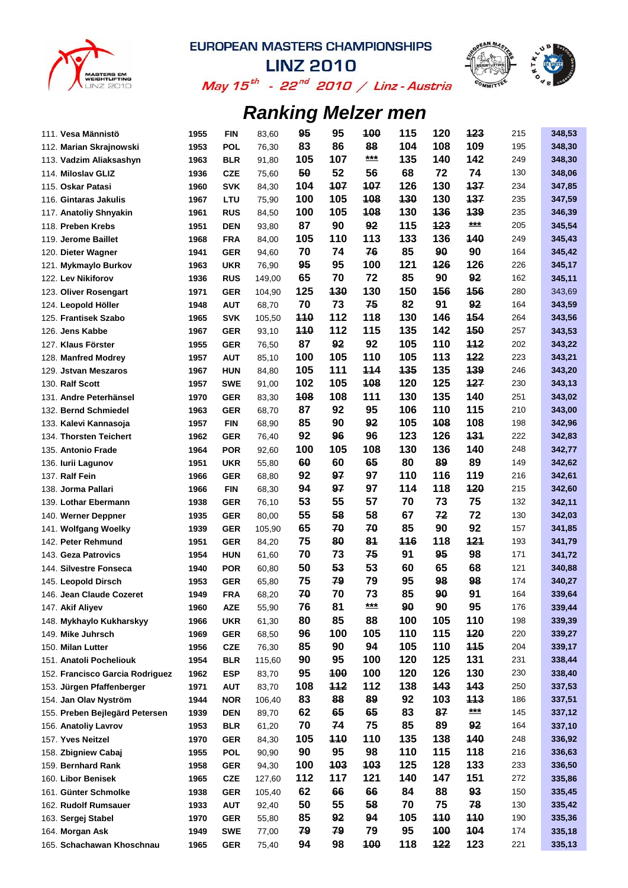



May 15<sup>th</sup> - 22<sup>nd</sup> 2010 / Linz-Austria

| 111. Vesa Männistö              | 1955 | <b>FIN</b>               | 83,60          | 95         | 95       | 100        | 115       | 120              | 123        | 215        | 348,53 |
|---------------------------------|------|--------------------------|----------------|------------|----------|------------|-----------|------------------|------------|------------|--------|
| 112. Marian Skrajnowski         | 1953 | <b>POL</b>               | 76,30          | 83         | 86       | 88         | 104       | 108              | 109        | 195        | 348,30 |
| 113. Vadzim Aliaksashyn         | 1963 | <b>BLR</b>               | 91,80          | 105        | 107      | $***$      | 135       | 140              | 142        | 249        | 348,30 |
| 114. Miloslav GLIZ              | 1936 | <b>CZE</b>               | 75,60          | 50         | 52       | 56         | 68        | 72               | 74         | 130        | 348,06 |
| 115. Oskar Patasi               | 1960 | <b>SVK</b>               | 84,30          | 104        | 107      | 107        | 126       | 130              | 137        | 234        | 347,85 |
| 116. Gintaras Jakulis           | 1967 | LTU                      | 75,90          | 100        | 105      | 108        | 130       | 130              | 137        | 235        | 347,59 |
| 117. Anatoliy Shnyakin          | 1961 | <b>RUS</b>               | 84,50          | 100        | 105      | 108        | 130       | 136              | 139        | 235        | 346,39 |
| 118. Preben Krebs               | 1951 | <b>DEN</b>               | 93,80          | 87         | 90       | 92         | 115       | 123              | ***        | 205        | 345,54 |
| 119. Jerome Baillet             | 1968 | <b>FRA</b>               | 84,00          | 105        | 110      | 113        | 133       | 136              | 140        | 249        | 345,43 |
| 120. Dieter Wagner              | 1941 | <b>GER</b>               | 94,60          | 70         | 74       | 76         | 85        | 90               | 90         | 164        | 345,42 |
| 121. Mykmaylo Burkov            | 1963 | UKR                      | 76,90          | 95         | 95       | 100        | 121       | 126              | 126        | 226        | 345,17 |
| 122. Lev Nikiforov              | 1936 | <b>RUS</b>               | 149,00         | 65         | 70       | 72         | 85        | 90               | 92         | 162        | 345,11 |
| 123. Oliver Rosengart           | 1971 | <b>GER</b>               | 104,90         | 125        | 130      | 130        | 150       | 156              | <b>156</b> | 280        | 343,69 |
| 124. Leopold Höller             | 1948 | <b>AUT</b>               | 68,70          | 70         | 73       | 75         | 82        | 91               | 92         | 164        | 343,59 |
| 125. Frantisek Szabo            | 1965 | <b>SVK</b>               | 105,50         | <b>110</b> | 112      | 118        | 130       | 146              | 154        | 264        | 343,56 |
| 126. Jens Kabbe                 | 1967 | <b>GER</b>               | 93,10          | 110        | 112      | 115        | 135       | 142              | <b>150</b> | 257        | 343,53 |
| 127. Klaus Förster              | 1955 | <b>GER</b>               | 76,50          | 87         | 92       | 92         | 105       | 110              | 112        | 202        | 343,22 |
| 128. Manfred Modrey             | 1957 | <b>AUT</b>               | 85,10          | 100        | 105      | 110        | 105       | 113              | 122        | 223        | 343,21 |
| 129. Jstvan Meszaros            | 1967 | <b>HUN</b>               | 84,80          | 105        | 111      | 114        | 135       | 135              | 139        | 246        | 343,20 |
| 130. Ralf Scott                 | 1957 | <b>SWE</b>               | 91,00          | 102        | 105      | 108        | 120       | 125              | 127        | 230        | 343,13 |
| 131. Andre Peterhänsel          | 1970 | <b>GER</b>               | 83,30          | 108        | 108      | 111        | 130       | 135              | 140        | 251        | 343,02 |
| 132. Bernd Schmiedel            | 1963 | <b>GER</b>               | 68,70          | 87         | 92       | 95         | 106       | 110              | 115        | 210        | 343,00 |
| 133. Kalevi Kannasoja           | 1957 | <b>FIN</b>               | 68,90          | 85         | 90       | 92         | 105       | 108              | 108        | 198        | 342,96 |
| 134. Thorsten Teichert          | 1962 | <b>GER</b>               | 76,40          | 92         | 96       | 96         | 123       | 126              | 131        | 222        | 342,83 |
| 135. Antonio Frade              | 1964 | <b>POR</b>               | 92,60          | 100        | 105      | 108        | 130       | 136              | 140        | 248        | 342,77 |
| 136. Iurii Lagunov              | 1951 | UKR                      | 55,80          | 60         | 60       | 65         | 80        | 89               | 89         | 149        | 342,62 |
| 137. Ralf Fein                  | 1966 | <b>GER</b>               | 68,80          | 92         | 97       | 97         | 110       | 116              | 119        | 216        | 342,61 |
| 138. Jorma Pallari              | 1966 | <b>FIN</b>               | 68,30          | 94         | 97       | 97         | 114       | 118              | 120        | 215        | 342,60 |
| 139. Lothar Ebermann            | 1938 | <b>GER</b>               | 76,10          | 53         | 55       | 57         | 70        | 73               | 75         | 132        | 342,11 |
| 140. Werner Deppner             | 1935 | <b>GER</b>               | 80,00          | 55         | 58       | 58         | 67        | 72               | 72         | 130        | 342,03 |
| 141. Wolfgang Woelky            | 1939 | <b>GER</b>               | 105,90         | 65         | 70       | 70         | 85        | 90               | 92         | 157        | 341,85 |
| 142. Peter Rehmund              | 1951 | <b>GER</b>               | 84,20          | 75         | 80       | 81         | 446       | 118              | 121        | 193        | 341,79 |
| 143. Geza Patrovics             | 1954 | <b>HUN</b>               | 61,60          | 70         | 73       | 75         | 91        | 95               | 98         | 171        | 341,72 |
| 144. Silvestre Fonseca          | 1940 | <b>POR</b>               | 60,80          | 50         | 53       | 53         | 60        | 65               | 68         | 121        | 340,88 |
| 145. Leopold Dirsch             | 1953 | <b>GER</b>               | 65,80          | 75         | 79       | 79         | 95        | 98               | 98         | 174        | 340,27 |
| 146. Jean Claude Cozeret        | 1949 | <b>FRA</b>               | 68,20          | 70         | 70       | 73         | 85        | 90               | 91         | 164        | 339,64 |
| 147. Akif Aliyev                | 1960 | <b>AZE</b>               | 55,90          | 76         | 81       | $***$      | 90        | 90               | 95         | 176        | 339,44 |
| 148. Mykhaylo Kukharskyy        | 1966 | <b>UKR</b>               | 61,30          | 80         | 85       | 88         | 100       | 105              | 110        | 198        | 339,39 |
| 149. Mike Juhrsch               | 1969 | <b>GER</b>               | 68,50          | 96         | 100      | 105        | 110       | 115              | 120        | 220        | 339,27 |
| 150. Milan Lutter               | 1956 | <b>CZE</b>               | 76,30          | 85         | 90       | 94         | 105       | 110              | 115        | 204        | 339,17 |
| 151. Anatoli Pocheliouk         | 1954 | <b>BLR</b>               | 115,60         | 90         | 95       | 100        | 120       | 125              | 131        | 231        | 338,44 |
| 152. Francisco Garcia Rodriguez | 1962 | <b>ESP</b>               | 83,70          | 95         | 100      | 100        | 120       | 126              | 130        | 230        | 338,40 |
| 153. Jürgen Pfaffenberger       | 1971 | <b>AUT</b>               | 83,70          | 108        | 112      | 112        | 138       | 143              | 143        | 250        | 337,53 |
| 154. Jan Olav Nyström           | 1944 | <b>NOR</b>               | 106,40         | 83         | 88       | 89         | 92        | 103              | 113        | 186        | 337,51 |
| 155. Preben Bejlegärd Petersen  | 1939 | <b>DEN</b>               | 89,70          | 62         | 65       | 65         | 83        | 87               | $***$      | 145        | 337,12 |
| 156. Anatoliy Lavrov            | 1953 | <b>BLR</b>               | 61,20          | 70         | 74       | 75         | 85        | 89               | 92         | 164        | 337,10 |
| 157. Yves Neitzel               | 1970 |                          |                | 105        | 110      | 110        | 135       | 138              | 140        | 248        | 336,92 |
| 158. Zbigniew Cabaj             | 1955 | <b>GER</b><br><b>POL</b> | 84,30<br>90,90 | 90         | 95       | 98         | 110       | 115              | 118        | 216        | 336,63 |
|                                 |      |                          |                |            | 103      |            | 125       | 128              | 133        |            |        |
| 159. Bernhard Rank              | 1958 | <b>GER</b>               | 94,30          | 100<br>112 | 117      | 103<br>121 | 140       | 147              | 151        | 233<br>272 | 336,50 |
| 160. Libor Benisek              | 1965 | <b>CZE</b>               | 127,60         | 62         | 66       | 66         | 84        | 88               | 93         | 150        | 335,86 |
| 161. Günter Schmolke            | 1938 | <b>GER</b>               | 105,40         |            |          |            |           |                  |            | 130        | 335,45 |
| 162. Rudolf Rumsauer            | 1933 | <b>AUT</b>               | 92,40          | 50         | 55       | 58         | 70        | 75<br><b>110</b> | 78         | 190        | 335,42 |
| 163. Sergej Stabel              | 1970 | <b>GER</b>               | 55,80          | 85<br>79   | 92<br>79 | 94<br>79   | 105<br>95 | 100              | 110<br>104 |            | 335,36 |
| 164. Morgan Ask                 | 1949 | <b>SWE</b>               | 77,00          | 94         | 98       | 100        | 118       | 122              | 123        | 174        | 335,18 |
| 165. Schachawan Khoschnau       | 1965 | <b>GER</b>               | 75,40          |            |          |            |           |                  |            | 221        | 335,13 |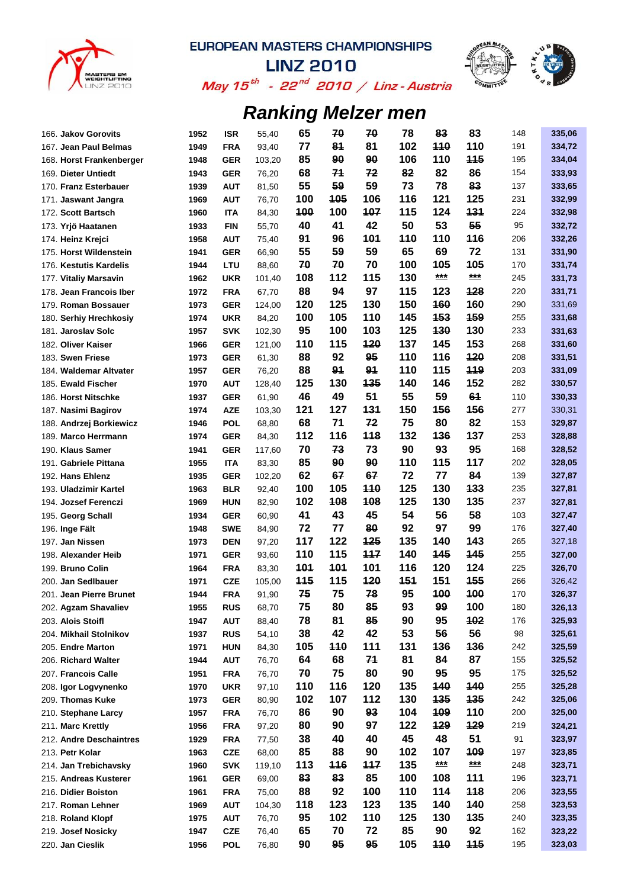



May 15<sup>th</sup> - 22<sup>nd</sup> 2010 / Linz-Austria

| 166. Jakov Gorovits      | 1952 | ISR        | 55,40  | 65         | 70               | 70  | 78  | 83         | 83         | 148 | 335,06 |
|--------------------------|------|------------|--------|------------|------------------|-----|-----|------------|------------|-----|--------|
| 167. Jean Paul Belmas    | 1949 | <b>FRA</b> | 93,40  | 77         | 81               | 81  | 102 | <b>110</b> | 110        | 191 | 334,72 |
| 168. Horst Frankenberger | 1948 | <b>GER</b> | 103,20 | 85         | 90               | 90  | 106 | 110        | <b>115</b> | 195 | 334,04 |
| 169. Dieter Untiedt      | 1943 | <b>GER</b> | 76,20  | 68         | 71               | 72  | 82  | 82         | 86         | 154 | 333,93 |
| 170. Franz Esterbauer    | 1939 | <b>AUT</b> | 81,50  | 55         | 59               | 59  | 73  | 78         | 83         | 137 | 333,65 |
| 171. Jaswant Jangra      | 1969 | <b>AUT</b> | 76,70  | 100        | 105              | 106 | 116 | 121        | 125        | 231 | 332,99 |
| 172. Scott Bartsch       | 1960 | <b>ITA</b> | 84,30  | 100        | 100              | 107 | 115 | 124        | 131        | 224 | 332,98 |
| 173. Yrjö Haatanen       | 1933 | <b>FIN</b> | 55,70  | 40         | 41               | 42  | 50  | 53         | 55         | 95  | 332,72 |
| 174. Heinz Krejci        | 1958 | <b>AUT</b> | 75,40  | 91         | 96               | 101 | 110 | 110        | 116        | 206 | 332,26 |
| 175. Horst Wildenstein   | 1941 | <b>GER</b> | 66,90  | 55         | 59               | 59  | 65  | 69         | 72         | 131 | 331,90 |
| 176. Kestutis Kardelis   | 1944 | LTU        | 88,60  | 70         | 70               | 70  | 100 | 105        | 105        | 170 | 331,74 |
| 177. Vitaliy Marsavin    | 1962 | <b>UKR</b> | 101,40 | 108        | 112              | 115 | 130 | ***        | ***        | 245 | 331,73 |
| 178. Jean Francois Iber  | 1972 | <b>FRA</b> | 67,70  | 88         | 94               | 97  | 115 | 123        | 128        | 220 | 331,71 |
| 179. Roman Bossauer      | 1973 | <b>GER</b> | 124,00 | 120        | 125              | 130 | 150 | 160        | 160        | 290 | 331,69 |
| 180. Serhiy Hrechkosiy   | 1974 | <b>UKR</b> | 84,20  | 100        | 105              | 110 | 145 | 153        | <b>159</b> | 255 | 331,68 |
| 181. Jaroslav Solc       | 1957 | <b>SVK</b> | 102,30 | 95         | 100              | 103 | 125 | 130        | 130        | 233 | 331,63 |
| 182. Oliver Kaiser       | 1966 | <b>GER</b> | 121,00 | 110        | 115              | 120 | 137 | 145        | 153        | 268 | 331,60 |
| 183. Swen Friese         | 1973 | <b>GER</b> | 61,30  | 88         | 92               | 95  | 110 | 116        | 120        | 208 | 331,51 |
| 184. Waldemar Altvater   | 1957 | <b>GER</b> | 76,20  | 88         | 91               | 91  | 110 | 115        | 119        | 203 | 331,09 |
| 185. Ewald Fischer       | 1970 | <b>AUT</b> | 128,40 | 125        | 130              | 135 | 140 | 146        | 152        | 282 | 330,57 |
| 186. Horst Nitschke      | 1937 | <b>GER</b> | 61,90  | 46         | 49               | 51  | 55  | 59         | 61         | 110 | 330,33 |
| 187. Nasimi Bagirov      | 1974 | <b>AZE</b> | 103,30 | 121        | 127              | 131 | 150 | 156        | 156        | 277 | 330,31 |
| 188. Andrzej Borkiewicz  | 1946 | <b>POL</b> | 68,80  | 68         | 71               | 72  | 75  | 80         | 82         | 153 | 329,87 |
| 189. Marco Herrmann      | 1974 | <b>GER</b> | 84,30  | 112        | 116              | 118 | 132 | 136        | 137        | 253 | 328,88 |
| 190. Klaus Samer         | 1941 | <b>GER</b> | 117,60 | 70         | 73               | 73  | 90  | 93         | 95         | 168 | 328,52 |
| 191. Gabriele Pittana    | 1955 | ITA        | 83,30  | 85         | 90               | 90  | 110 | 115        | 117        | 202 | 328,05 |
| 192. Hans Ehlenz         | 1935 | <b>GER</b> | 102,20 | 62         | 67               | 67  | 72  | 77         | 84         | 139 | 327,87 |
| 193. Uladzimir Kartel    | 1963 | <b>BLR</b> | 92,40  | 100        | 105              | 110 | 125 | 130        | 133        | 235 | 327,81 |
| 194. Jozsef Ferenczi     | 1969 | <b>HUN</b> | 82,90  | 102        | 108              | 108 | 125 | 130        | 135        | 237 | 327,81 |
| 195. Georg Schall        | 1934 | <b>GER</b> | 60,90  | 41         | 43               | 45  | 54  | 56         | 58         | 103 | 327,47 |
| 196. Inge Fält           | 1948 | SWE        | 84,90  | 72         | 77               | 80  | 92  | 97         | 99         | 176 | 327,40 |
| 197. Jan Nissen          | 1973 | <b>DEN</b> | 97,20  | 117        | 122              | 125 | 135 | 140        | 143        | 265 | 327,18 |
| 198. Alexander Heib      | 1971 | <b>GER</b> | 93,60  | 110        | 115              | 117 | 140 | 145        | 145        | 255 | 327,00 |
| 199. Bruno Colin         | 1964 | <b>FRA</b> | 83,30  | <b>101</b> | 101              | 101 | 116 | 120        | 124        | 225 | 326,70 |
| 200. Jan Sedlbauer       | 1971 | <b>CZE</b> | 105,00 | 115        | 115              | 120 | 151 | 151        | 155        | 266 | 326,42 |
| 201. Jean Pierre Brunet  | 1944 | <b>FRA</b> | 91,90  | 75         | 75               | 78  | 95  | 100        | 100        | 170 | 326,37 |
| 202. Agzam Shavaliev     | 1955 | <b>RUS</b> | 68,70  | 75         | 80               | 85  | 93  | 99         | 100        | 180 | 326,13 |
| 203. Alois Stoifl        | 1947 | <b>AUT</b> | 88,40  | 78         | 81               | 85  | 90  | 95         | 102        | 176 | 325,93 |
| 204. Mikhail Stolnikov   | 1937 | <b>RUS</b> | 54,10  | 38         | 42               | 42  | 53  | 56         | 56         | 98  | 325,61 |
| 205. Endre Marton        | 1971 | <b>HUN</b> | 84,30  | 105        | 110              | 111 | 131 | 136        | 136        | 242 | 325,59 |
| 206. Richard Walter      | 1944 | <b>AUT</b> | 76,70  | 64         | 68               | 71  | 81  | 84         | 87         | 155 | 325,52 |
| 207. Francois Calle      | 1951 | <b>FRA</b> | 76,70  | 70         | 75               | 80  | 90  | 95         | 95         | 175 | 325,52 |
| 208. Igor Logvynenko     | 1970 | <b>UKR</b> | 97,10  | 110        | 116              | 120 | 135 | 140        | 140        | 255 | 325,28 |
| 209. Thomas Kuke         | 1973 | <b>GER</b> | 80,90  | 102        | 107              | 112 | 130 | 135        | 135        | 242 | 325,06 |
| 210. Stephane Larcy      | 1957 | <b>FRA</b> | 76,70  | 86         | 90               | 93  | 104 | 109        | 110        | 200 | 325,00 |
| 211. Marc Krettly        | 1956 | <b>FRA</b> | 97,20  | 80         | 90               | 97  | 122 | 129        | 129        | 219 | 324,21 |
| 212. Andre Deschaintres  | 1929 | <b>FRA</b> | 77,50  | 38         | 40               | 40  | 45  | 48         | 51         | 91  | 323,97 |
| 213. Petr Kolar          | 1963 | <b>CZE</b> | 68,00  | 85         | 88               | 90  | 102 | 107        | 109        | 197 | 323,85 |
|                          |      |            |        |            |                  | 117 | 135 | $***$      | $***$      | 248 |        |
| 214. Jan Trebichavsky    | 1960 | <b>SVK</b> | 119,10 | 113<br>83  | <b>116</b><br>83 | 85  | 100 | 108        | 111        | 196 | 323,71 |
| 215. Andreas Kusterer    | 1961 | <b>GER</b> | 69,00  | 88         | 92               | 100 | 110 | 114        | 118        | 206 | 323,71 |
| 216. Didier Boiston      | 1961 | <b>FRA</b> | 75,00  |            |                  | 123 |     |            | 140        |     | 323,55 |
| 217. Roman Lehner        | 1969 | <b>AUT</b> | 104,30 | 118        | 123              |     | 135 | <b>140</b> | 135        | 258 | 323,53 |
| 218. Roland Klopf        | 1975 | <b>AUT</b> | 76,70  | 95         | 102              | 110 | 125 | 130        |            | 240 | 323,35 |
| 219. Josef Nosicky       | 1947 | <b>CZE</b> | 76,40  | 65         | 70               | 72  | 85  | 90         | 92         | 162 | 323,22 |
| 220. Jan Cieslik         | 1956 | <b>POL</b> | 76,80  | 90         | 95               | 95  | 105 | <b>110</b> | 115        | 195 | 323,03 |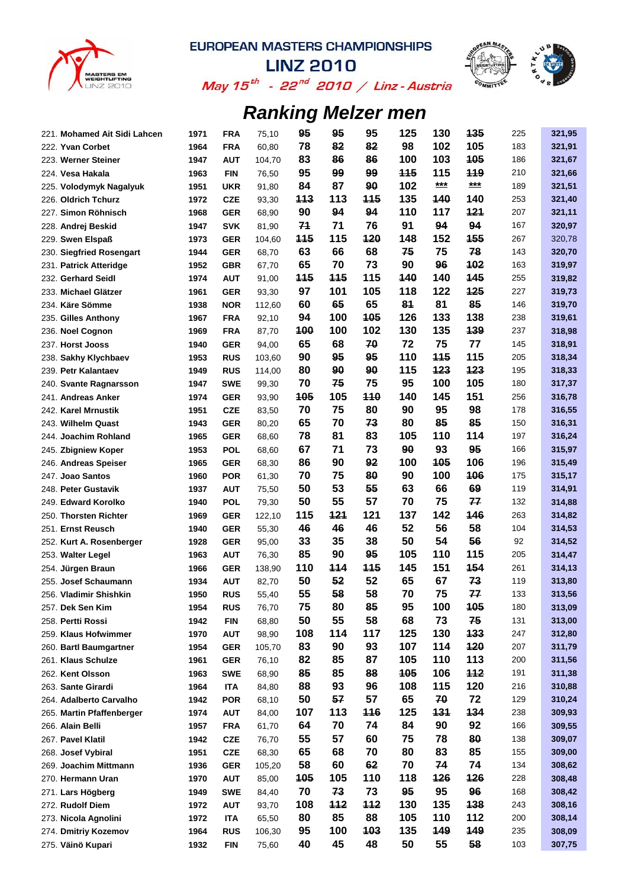



**LINZ 2010** May 15<sup>th</sup> - 22<sup>nd</sup> 2010 / Linz-Austria

| 221. Mohamed Ait Sidi Lahcen | 1971 | <b>FRA</b>               | 75,10          | 95         | 95  | 95         | 125        | 130 | 135        | 225 | 321,95 |
|------------------------------|------|--------------------------|----------------|------------|-----|------------|------------|-----|------------|-----|--------|
| 222. Yvan Corbet             | 1964 | <b>FRA</b>               | 60,80          | 78         | 82  | 82         | 98         | 102 | 105        | 183 | 321,91 |
| 223. Werner Steiner          | 1947 | <b>AUT</b>               | 104,70         | 83         | 86  | 86         | 100        | 103 | 105        | 186 | 321,67 |
| 224. Vesa Hakala             | 1963 | <b>FIN</b>               | 76,50          | 95         | 99  | 99         | <b>115</b> | 115 | 119        | 210 | 321,66 |
| 225. Volodymyk Nagalyuk      | 1951 | <b>UKR</b>               | 91,80          | 84         | 87  | 90         | 102        | *** | ***        | 189 | 321,51 |
| 226. Oldrich Tchurz          | 1972 | <b>CZE</b>               | 93,30          | 113        | 113 | <b>115</b> | 135        | 440 | 140        | 253 | 321,40 |
| 227. Simon Röhnisch          | 1968 | <b>GER</b>               | 68,90          | 90         | 94  | 94         | 110        | 117 | 121        | 207 | 321,11 |
| 228. Andrej Beskid           | 1947 | <b>SVK</b>               | 81,90          | 71         | 71  | 76         | 91         | 94  | 94         | 167 | 320,97 |
| 229. Swen Elspaß             | 1973 | <b>GER</b>               | 104,60         | <b>115</b> | 115 | 120        | 148        | 152 | <b>155</b> | 267 | 320,78 |
| 230. Siegfried Rosengart     | 1944 | <b>GER</b>               | 68,70          | 63         | 66  | 68         | 75         | 75  | 78         | 143 | 320,70 |
| 231. Patrick Atteridge       | 1952 | <b>GBR</b>               | 67,70          | 65         | 70  | 73         | 90         | 96  | 102        | 163 | 319,97 |
| 232. Gerhard Seidl           | 1974 | <b>AUT</b>               | 91,00          | 115        | 115 | 115        | 140        | 140 | 145        | 255 | 319,82 |
| 233. Michael Glätzer         | 1961 | <b>GER</b>               | 93,30          | 97         | 101 | 105        | 118        | 122 | 125        | 227 | 319,73 |
| 234. Käre Sömme              | 1938 | <b>NOR</b>               | 112,60         | 60         | 65  | 65         | 81         | 81  | 85         | 146 | 319,70 |
| 235. Gilles Anthony          | 1967 | <b>FRA</b>               | 92,10          | 94         | 100 | 105        | 126        | 133 | 138        | 238 | 319,61 |
| 236. Noel Cognon             | 1969 | <b>FRA</b>               | 87,70          | 100        | 100 | 102        | 130        | 135 | 139        | 237 | 318,98 |
| 237. Horst Jooss             | 1940 | <b>GER</b>               | 94,00          | 65         | 68  | 70         | 72         | 75  | 77         | 145 | 318,91 |
| 238. Sakhy Klychbaev         | 1953 | <b>RUS</b>               | 103,60         | 90         | 95  | 95         | 110        | 115 | 115        | 205 | 318,34 |
| 239. Petr Kalantaev          | 1949 | <b>RUS</b>               | 114,00         | 80         | 90  | 90         | 115        | 123 | 123        | 195 | 318,33 |
| 240. Svante Ragnarsson       | 1947 | <b>SWE</b>               | 99,30          | 70         | 75  | 75         | 95         | 100 | 105        | 180 | 317,37 |
| 241. Andreas Anker           | 1974 | <b>GER</b>               | 93,90          | 105        | 105 | 110        | 140        | 145 | 151        | 256 | 316,78 |
| 242. Karel Mrnustik          | 1951 | <b>CZE</b>               | 83,50          | 70         | 75  | 80         | 90         | 95  | 98         | 178 | 316,55 |
| 243. Wilhelm Quast           | 1943 | <b>GER</b>               | 80,20          | 65         | 70  | 73         | 80         | 85  | 85         | 150 | 316,31 |
| 244. Joachim Rohland         | 1965 | <b>GER</b>               | 68,60          | 78         | 81  | 83         | 105        | 110 | 114        | 197 | 316,24 |
| 245. Zbigniew Koper          | 1953 | <b>POL</b>               | 68,60          | 67         | 71  | 73         | 90         | 93  | 95         | 166 | 315,97 |
| 246. Andreas Speiser         | 1965 | <b>GER</b>               | 68,30          | 86         | 90  | 92         | 100        | 105 | 106        | 196 | 315,49 |
| 247. Joao Santos             | 1960 | <b>POR</b>               | 61,30          | 70         | 75  | 80         | 90         | 100 | 106        | 175 | 315,17 |
| 248. Peter Gustavik          | 1937 | <b>AUT</b>               | 75,50          | 50         | 53  | 55         | 63         | 66  | 69         | 119 | 314,91 |
| 249. Edward Korolko          | 1940 | <b>POL</b>               | 79,30          | 50         | 55  | 57         | 70         | 75  | 77         | 132 | 314,88 |
| 250. Thorsten Richter        | 1969 | <b>GER</b>               | 122,10         | 115        | 121 | 121        | 137        | 142 | 146        | 263 | 314,82 |
| 251. Ernst Reusch            | 1940 | <b>GER</b>               | 55,30          | 46         | 46  | 46         | 52         | 56  | 58         | 104 | 314,53 |
| 252. Kurt A. Rosenberger     | 1928 | <b>GER</b>               | 95,00          | 33         | 35  | 38         | 50         | 54  | 56         | 92  | 314,52 |
| 253. Walter Legel            | 1963 | <b>AUT</b>               | 76,30          | 85         | 90  | 95         | 105        | 110 | 115        | 205 | 314,47 |
| 254. Jürgen Braun            | 1966 | <b>GER</b>               | 138,90         | 110        | 114 | 115        | 145        | 151 | 154        | 261 | 314,13 |
| 255. Josef Schaumann         | 1934 | <b>AUT</b>               | 82,70          | 50         | 52  | 52         | 65         | 67  | 73         | 119 | 313,80 |
| 256. Vladimir Shishkin       | 1950 | <b>RUS</b>               | 55,40          | 55         | 58  | 58         | 70         | 75  | 77         | 133 | 313,56 |
| 257. Dek Sen Kim             | 1954 | <b>RUS</b>               | 76,70          | 75         | 80  | 85         | 95         | 100 | 105        | 180 | 313,09 |
| 258. Pertti Rossi            | 1942 | <b>FIN</b>               |                | 50         | 55  | 58         | 68         | 73  | 75         | 131 | 313,00 |
| 259. Klaus Hofwimmer         | 1970 | <b>AUT</b>               | 68,80<br>98,90 | 108        | 114 | 117        | 125        | 130 | 133        | 247 | 312,80 |
| 260. Bartl Baumgartner       | 1954 | <b>GER</b>               | 105,70         | 83         | 90  | 93         | 107        | 114 | 120        | 207 | 311,79 |
| 261. Klaus Schulze           | 1961 | <b>GER</b>               | 76,10          | 82         | 85  | 87         | 105        | 110 | 113        | 200 | 311,56 |
| 262. Kent Olsson             | 1963 |                          |                | 85         | 85  | 88         | 105        | 106 | 112        | 191 | 311,38 |
| 263. Sante Girardi           | 1964 | <b>SWE</b>               | 68,90          | 88         | 93  | 96         | 108        | 115 | 120        | 216 | 310,88 |
| 264. Adalberto Carvalho      | 1942 | <b>ITA</b><br><b>POR</b> | 84,80          | 50         | 57  | 57         | 65         | 70  | 72         | 129 | 310,24 |
|                              |      |                          | 68,10          | 107        | 113 | 116        | 125        | 131 | 134        | 238 | 309,93 |
| 265. Martin Pfaffenberger    | 1974 | <b>AUT</b>               | 84,00          | 64         | 70  |            | 84         | 90  | 92         | 166 |        |
| 266. Alain Belli             | 1957 | <b>FRA</b>               | 61,70          |            | 57  | 74<br>60   |            |     | 80         |     | 309,55 |
| 267. Pavel Klatil            | 1942 | <b>CZE</b>               | 76,70          | 55         |     |            | 75         | 78  |            | 138 | 309,07 |
| 268. Josef Vybiral           | 1951 | <b>CZE</b>               | 68,30          | 65         | 68  | 70         | 80         | 83  | 85         | 155 | 309,00 |
| 269. Joachim Mittmann        | 1936 | <b>GER</b>               | 105,20         | 58         | 60  | 62         | 70         | 74  | 74         | 134 | 308,62 |
| 270. Hermann Uran            | 1970 | <b>AUT</b>               | 85,00          | 105        | 105 | 110        | 118        | 126 | 126        | 228 | 308,48 |
| 271. Lars Högberg            | 1949 | <b>SWE</b>               | 84,40          | 70         | 73  | 73         | 95         | 95  | 96         | 168 | 308,42 |
| 272. Rudolf Diem             | 1972 | <b>AUT</b>               | 93,70          | 108        | 112 | 112        | 130        | 135 | 138        | 243 | 308,16 |
| 273. Nicola Agnolini         | 1972 | <b>ITA</b>               | 65,50          | 80         | 85  | 88         | 105        | 110 | 112        | 200 | 308,14 |
| 274. Dmitriy Kozemov         | 1964 | <b>RUS</b>               | 106,30         | 95         | 100 | 103        | 135        | 149 | 149        | 235 | 308,09 |
| 275. Väinö Kupari            | 1932 | <b>FIN</b>               | 75,60          | 40         | 45  | 48         | 50         | 55  | 58         | 103 | 307,75 |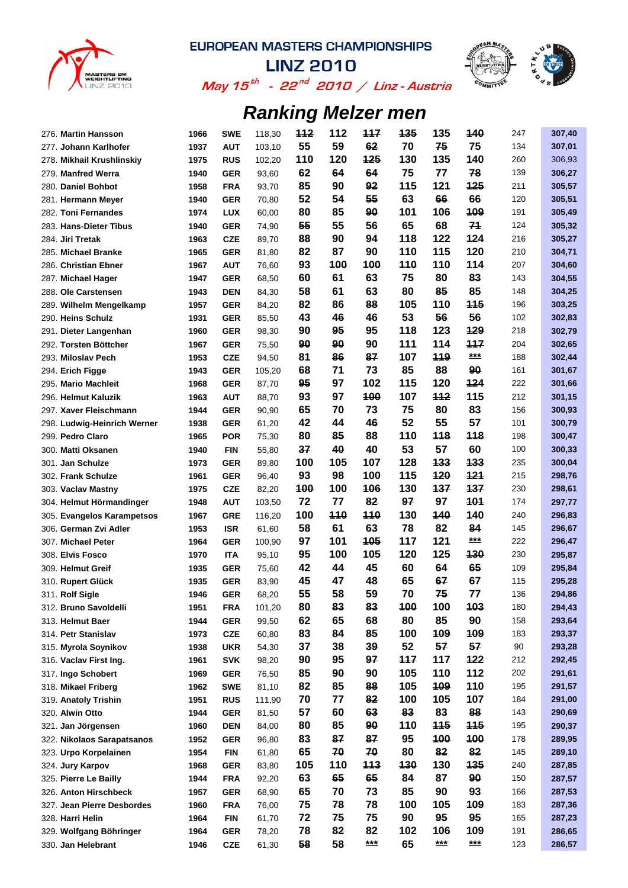



**LINZ 2010** May 15<sup>th</sup> - 22<sup>nd</sup> 2010 / Linz-Austria

| 276. Martin Hansson         | 1966 | <b>SWE</b> | 118,30 | <u> 112</u> | 112       | 117   | 135 | 135        | 140        | 247 | 307,40 |
|-----------------------------|------|------------|--------|-------------|-----------|-------|-----|------------|------------|-----|--------|
| 277. Johann Karlhofer       | 1937 | <b>AUT</b> | 103,10 | 55          | 59        | 62    | 70  | 75         | 75         | 134 | 307,01 |
| 278. Mikhail Krushlinskiy   | 1975 | <b>RUS</b> | 102,20 | 110         | 120       | 125   | 130 | 135        | 140        | 260 | 306,93 |
| 279. Manfred Werra          | 1940 | <b>GER</b> | 93,60  | 62          | 64        | 64    | 75  | 77         | 78         | 139 | 306,27 |
| 280. Daniel Bohbot          | 1958 | <b>FRA</b> | 93,70  | 85          | 90        | 92    | 115 | 121        | 125        | 211 | 305,57 |
| 281. Hermann Meyer          | 1940 | <b>GER</b> | 70,80  | 52          | 54        | 55    | 63  | 66         | 66         | 120 | 305,51 |
| 282. Toni Fernandes         | 1974 | <b>LUX</b> | 60,00  | 80          | 85        | 90    | 101 | 106        | 109        | 191 | 305,49 |
| 283. Hans-Dieter Tibus      | 1940 | <b>GER</b> | 74,90  | 55          | 55        | 56    | 65  | 68         | 71         | 124 | 305,32 |
| 284. Jiri Tretak            | 1963 | <b>CZE</b> | 89,70  | 88          | 90        | 94    | 118 | 122        | 124        | 216 | 305,27 |
| 285. Michael Branke         | 1965 | <b>GER</b> | 81,80  | 82          | 87        | 90    | 110 | 115        | 120        | 210 | 304,71 |
| 286. Christian Ebner        | 1967 | <b>AUT</b> | 76,60  | 93          | 100       | 100   | 110 | 110        | 114        | 207 | 304,60 |
| 287. Michael Hager          | 1947 | <b>GER</b> | 68,50  | 60          | 61        | 63    | 75  | 80         | 83         | 143 | 304,55 |
| 288. Ole Carstensen         | 1943 | <b>DEN</b> | 84,30  | 58          | 61        | 63    | 80  | 85         | 85         | 148 | 304,25 |
| 289. Wilhelm Mengelkamp     | 1957 | <b>GER</b> | 84,20  | 82          | 86        | 88    | 105 | 110        | 445        | 196 | 303,25 |
| 290. Heins Schulz           | 1931 | <b>GER</b> | 85,50  | 43          | 46        | 46    | 53  | 56         | 56         | 102 | 302,83 |
| 291. Dieter Langenhan       | 1960 | <b>GER</b> | 98,30  | 90          | 95        | 95    | 118 | 123        | 129        | 218 | 302,79 |
| 292. Torsten Böttcher       | 1967 | <b>GER</b> | 75,50  | 90          | 90        | 90    | 111 | 114        | 117        | 204 | 302,65 |
| 293. Miloslav Pech          | 1953 | <b>CZE</b> | 94,50  | 81          | 86        | 87    | 107 | 119        | ***        | 188 | 302,44 |
| 294. Erich Figge            | 1943 | <b>GER</b> | 105,20 | 68          | 71        | 73    | 85  | 88         | 90         | 161 | 301,67 |
| 295. Mario Machleit         | 1968 | <b>GER</b> | 87,70  | 95          | 97        | 102   | 115 | 120        | 124        | 222 | 301,66 |
| 296. Helmut Kaluzik         | 1963 | <b>AUT</b> | 88,70  | 93          | 97        | 100   | 107 | 112        | 115        | 212 | 301,15 |
| 297. Xaver Fleischmann      | 1944 | <b>GER</b> | 90,90  | 65          | 70        | 73    | 75  | 80         | 83         | 156 | 300,93 |
| 298. Ludwig-Heinrich Werner | 1938 | <b>GER</b> | 61,20  | 42          | 44        | 46    | 52  | 55         | 57         | 101 | 300,79 |
| 299. Pedro Claro            | 1965 | <b>POR</b> | 75,30  | 80          | 85        | 88    | 110 | 118        | 118        | 198 | 300,47 |
|                             | 1940 |            |        | 37          | 40        | 40    | 53  | 57         | 60         | 100 |        |
| 300. Matti Oksanen          |      | <b>FIN</b> | 55,80  | 100         | 105       | 107   | 128 | 133        | 133        | 235 | 300,33 |
| 301. Jan Schulze            | 1973 | <b>GER</b> | 89,80  |             | 98        |       |     | 120        | 121        |     | 300,04 |
| 302. Frank Schulze          | 1961 | <b>GER</b> | 96,40  | 93          |           | 100   | 115 |            |            | 215 | 298,76 |
| 303. Vaclav Mastny          | 1975 | <b>CZE</b> | 82,20  | <b>100</b>  | 100       | 106   | 130 | 137        | 137        | 230 | 298,61 |
| 304. Helmut Hörmandinger    | 1948 | <b>AUT</b> | 103,50 | 72          | 77<br>110 | 82    | 97  | 97         | 101<br>140 | 174 | 297,77 |
| 305. Evangelos Karampetsos  | 1967 | <b>GRE</b> | 116,20 | 100         |           | 110   | 130 | 140        |            | 240 | 296,83 |
| 306. German Zvi Adler       | 1953 | <b>ISR</b> | 61,60  | 58          | 61        | 63    | 78  | 82         | 84<br>***  | 145 | 296,67 |
| 307. Michael Peter          | 1964 | <b>GER</b> | 100,90 | 97          | 101       | 105   | 117 | 121        |            | 222 | 296,47 |
| 308. Elvis Fosco            | 1970 | ITA        | 95,10  | 95          | 100       | 105   | 120 | 125        | 130        | 230 | 295,87 |
| 309. Helmut Greif           | 1935 | <b>GER</b> | 75,60  | 42          | 44        | 45    | 60  | 64         | 65         | 109 | 295,84 |
| <b>Rupert Glück</b><br>310. | 1935 | <b>GER</b> | 83,90  | 45          | 47        | 48    | 65  | 67         | 67         | 115 | 295,28 |
| 311. Rolf Sigle             | 1946 | <b>GER</b> | 68,20  | 55          | 58        | 59    | 70  | 75         | 77         | 136 | 294,86 |
| 312. Bruno Savoldelli       | 1951 | <b>FRA</b> | 101,20 | 80          | 83        | 83    | 100 | 100        | 103        | 180 | 294,43 |
| 313. Helmut Baer            | 1944 | <b>GER</b> | 99,50  | 62          | 65        | 68    | 80  | 85         | 90         | 158 | 293,64 |
| 314. Petr Stanislav         | 1973 | <b>CZE</b> | 60,80  | 83          | 84        | 85    | 100 | 109        | 109        | 183 | 293,37 |
| 315. Myrola Soynikov        | 1938 | <b>UKR</b> | 54,30  | 37          | 38        | 39    | 52  | 57         | 57         | 90  | 293,28 |
| 316. Vaclav First Ing.      | 1961 | <b>SVK</b> | 98,20  | 90          | 95        | 97    | 117 | 117        | 122        | 212 | 292,45 |
| 317. Ingo Schobert          | 1969 | <b>GER</b> | 76,50  | 85          | 90        | 90    | 105 | 110        | 112        | 202 | 291,61 |
| 318. Mikael Friberg         | 1962 | <b>SWE</b> | 81,10  | 82          | 85        | 88    | 105 | 109        | 110        | 195 | 291,57 |
| 319. Anatoly Trishin        | 1951 | <b>RUS</b> | 111,90 | 70          | 77        | 82    | 100 | 105        | 107        | 184 | 291,00 |
| 320. Alwin Otto             | 1944 | <b>GER</b> | 81,50  | 57          | 60        | 63    | 83  | 83         | 88         | 143 | 290,69 |
| 321. Jan Jörgensen          | 1960 | <b>DEN</b> | 84,00  | 80          | 85        | 90    | 110 | <b>115</b> | 115        | 195 | 290,37 |
| 322. Nikolaos Sarapatsanos  | 1952 | <b>GER</b> | 96,80  | 83          | 87        | 87    | 95  | 100        | 100        | 178 | 289,95 |
| 323. Urpo Korpelainen       | 1954 | <b>FIN</b> | 61,80  | 65          | 70        | 70    | 80  | 82         | 82         | 145 | 289,10 |
| 324. Jury Karpov            | 1968 | <b>GER</b> | 83,80  | 105         | 110       | 113   | 130 | 130        | 135        | 240 | 287,85 |
| 325. Pierre Le Bailly       | 1944 | <b>FRA</b> | 92,20  | 63          | 65        | 65    | 84  | 87         | 90         | 150 | 287,57 |
| 326. Anton Hirschbeck       | 1957 | <b>GER</b> | 68,90  | 65          | 70        | 73    | 85  | 90         | 93         | 166 | 287,53 |
| 327. Jean Pierre Desbordes  | 1960 | <b>FRA</b> | 76,00  | 75          | 78        | 78    | 100 | 105        | 109        | 183 | 287,36 |
| 328. Harri Helin            | 1964 | <b>FIN</b> | 61,70  | 72          | 75        | 75    | 90  | 95         | 95         | 165 | 287,23 |
| 329. Wolfgang Böhringer     | 1964 | <b>GER</b> | 78,20  | 78          | 82        | 82    | 102 | 106        | 109        | 191 | 286,65 |
| 330. Jan Helebrant          | 1946 | <b>CZE</b> | 61,30  | 58          | 58        | $***$ | 65  | ***        | $***$      | 123 | 286,57 |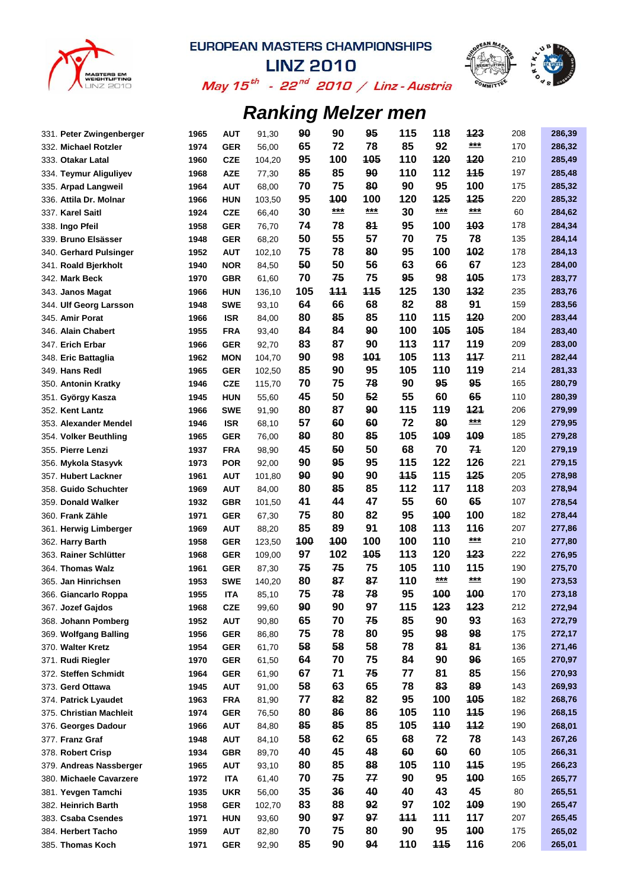



May 15<sup>th</sup> - 22<sup>nd</sup> 2010 / Linz-Austria

| 331. Peter Zwingenberger | 1965 | <b>AUT</b> | 91,30  | 90  | 90    | 95  | 115        | 118        | 123        | 208 | 286,39 |
|--------------------------|------|------------|--------|-----|-------|-----|------------|------------|------------|-----|--------|
| 332. Michael Rotzler     | 1974 | <b>GER</b> | 56,00  | 65  | 72    | 78  | 85         | 92         | $***$      | 170 | 286,32 |
| 333. Otakar Latal        | 1960 | <b>CZE</b> | 104,20 | 95  | 100   | 105 | 110        | 120        | 120        | 210 | 285,49 |
| 334. Teymur Aliguliyev   | 1968 | <b>AZE</b> | 77,30  | 85  | 85    | 90  | 110        | 112        | <b>115</b> | 197 | 285,48 |
| 335. Arpad Langweil      | 1964 | <b>AUT</b> | 68,00  | 70  | 75    | 80  | 90         | 95         | 100        | 175 | 285,32 |
| 336. Attila Dr. Molnar   | 1966 | <b>HUN</b> | 103,50 | 95  | 100   | 100 | 120        | 125        | 125        | 220 | 285,32 |
| 337. Karel Saitl         | 1924 | <b>CZE</b> | 66,40  | 30  | $***$ | *** | 30         | ***        | $***$      | 60  | 284,62 |
| 338. Ingo Pfeil          | 1958 | <b>GER</b> | 76,70  | 74  | 78    | 81  | 95         | 100        | 103        | 178 | 284,34 |
| 339. Bruno Elsässer      | 1948 | <b>GER</b> | 68,20  | 50  | 55    | 57  | 70         | 75         | 78         | 135 | 284,14 |
| 340. Gerhard Pulsinger   | 1952 | <b>AUT</b> | 102,10 | 75  | 78    | 80  | 95         | 100        | 102        | 178 | 284,13 |
| 341. Roald Bjerkholt     | 1940 | <b>NOR</b> | 84,50  | 50  | 50    | 56  | 63         | 66         | 67         | 123 | 284,00 |
| 342. Mark Beck           | 1970 | <b>GBR</b> | 61,60  | 70  | 75    | 75  | 95         | 98         | 105        | 173 | 283,77 |
| 343. Janos Magat         | 1966 | <b>HUN</b> | 136,10 | 105 | 111   | 115 | 125        | 130        | 132        | 235 | 283,76 |
| 344. Ulf Georg Larsson   | 1948 | <b>SWE</b> | 93,10  | 64  | 66    | 68  | 82         | 88         | 91         | 159 | 283,56 |
| 345. Amir Porat          | 1966 | <b>ISR</b> | 84,00  | 80  | 85    | 85  | 110        | 115        | 120        | 200 | 283,44 |
| 346. Alain Chabert       | 1955 | <b>FRA</b> | 93,40  | 84  | 84    | 90  | 100        | 105        | 105        | 184 | 283,40 |
| 347. Erich Erbar         | 1966 | <b>GER</b> | 92,70  | 83  | 87    | 90  | 113        | 117        | 119        | 209 | 283,00 |
| 348. Eric Battaglia      | 1962 | <b>MON</b> | 104,70 | 90  | 98    | 101 | 105        | 113        | 117        | 211 | 282,44 |
| 349. Hans Redl           | 1965 | <b>GER</b> | 102,50 | 85  | 90    | 95  | 105        | 110        | 119        | 214 | 281,33 |
| 350. Antonin Kratky      | 1946 | <b>CZE</b> | 115,70 | 70  | 75    | 78  | 90         | 95         | 95         | 165 | 280,79 |
| 351. György Kasza        | 1945 | <b>HUN</b> | 55,60  | 45  | 50    | 52  | 55         | 60         | 65         | 110 | 280,39 |
| 352. Kent Lantz          | 1966 | <b>SWE</b> | 91,90  | 80  | 87    | 90  | 115        | 119        | 121        | 206 | 279,99 |
| 353. Alexander Mendel    | 1946 | <b>ISR</b> | 68,10  | 57  | 60    | 60  | 72         | 80         | ***        | 129 | 279,95 |
| 354. Volker Beuthling    | 1965 | <b>GER</b> | 76,00  | 80  | 80    | 85  | 105        | 109        | 109        | 185 | 279,28 |
| 355. Pierre Lenzi        | 1937 | <b>FRA</b> | 98,90  | 45  | 50    | 50  | 68         | 70         | 74         | 120 | 279,19 |
| 356. Mykola Stasyvk      | 1973 | <b>POR</b> | 92,00  | 90  | 95    | 95  | 115        | 122        | 126        | 221 | 279,15 |
| 357. Hubert Lackner      | 1961 | <b>AUT</b> | 101,80 | 90  | 90    | 90  | <b>115</b> | 115        | 425        | 205 | 278,98 |
| 358. Guido Schuchter     | 1969 | <b>AUT</b> | 84,00  | 80  | 85    | 85  | 112        | 117        | 118        | 203 | 278,94 |
| 359. Donald Walker       | 1932 | <b>GBR</b> | 101,50 | 41  | 44    | 47  | 55         | 60         | 65         | 107 | 278,54 |
| 360. Frank Zähle         | 1971 | <b>GER</b> | 67,30  | 75  | 80    | 82  | 95         | 100        | 100        | 182 | 278,44 |
| 361. Herwig Limberger    | 1969 | <b>AUT</b> | 88,20  | 85  | 89    | 91  | 108        | 113        | 116        | 207 | 277,86 |
| 362. Harry Barth         | 1958 | <b>GER</b> | 123,50 | 100 | 100   | 100 | 100        | 110        | $***$      | 210 | 277,80 |
| 363. Rainer Schlütter    | 1968 | <b>GER</b> | 109,00 | 97  | 102   | 105 | 113        | 120        | 123        | 222 | 276,95 |
| 364. Thomas Walz         | 1961 | <b>GER</b> | 87,30  | 75  | 75    | 75  | 105        | 110        | 115        | 190 | 275,70 |
| 365. Jan Hinrichsen      | 1953 | <b>SWE</b> | 140,20 | 80  | 87    | 87  | 110        | $***$      | ***        | 190 | 273,53 |
| 366. Giancarlo Roppa     | 1955 | ITA        | 85,10  | 75  | 78    | 78  | 95         | 100        | 100        | 170 | 273,18 |
| 367. Jozef Gajdos        | 1968 | <b>CZE</b> | 99,60  | 90  | 90    | 97  | 115        | 123        | 123        | 212 | 272,94 |
| 368. Johann Pomberg      | 1952 | <b>AUT</b> | 90,80  | 65  | 70    | 75  | 85         | 90         | 93         | 163 | 272,79 |
| 369. Wolfgang Balling    | 1956 | <b>GER</b> | 86,80  | 75  | 78    | 80  | 95         | 98         | 98         | 175 | 272,17 |
| 370. Walter Kretz        | 1954 | <b>GER</b> | 61,70  | 58  | 58    | 58  | 78         | 81         | 81         | 136 | 271,46 |
| 371. Rudi Riegler        | 1970 | <b>GER</b> | 61,50  | 64  | 70    | 75  | 84         | 90         | 96         | 165 | 270,97 |
| 372. Steffen Schmidt     | 1964 | <b>GER</b> | 61,90  | 67  | 71    | 75  | 77         | 81         | 85         | 156 | 270,93 |
| 373. Gerd Ottawa         | 1945 | <b>AUT</b> | 91,00  | 58  | 63    | 65  | 78         | 83         | 89         | 143 | 269,93 |
| 374. Patrick Lyaudet     | 1963 | <b>FRA</b> | 81,90  | 77  | 82    | 82  | 95         | 100        | 105        | 182 | 268,76 |
|                          |      |            |        | 80  | 86    | 86  | 105        | 110        | <b>115</b> | 196 | 268,15 |
| 375. Christian Machleit  | 1974 | <b>GER</b> | 76,50  | 85  | 85    | 85  | 105        | <b>110</b> | 112        | 190 |        |
| 376. Georges Dadour      | 1966 | <b>AUT</b> | 84,80  | 58  | 62    | 65  | 68         | 72         | 78         |     | 268,01 |
| 377. Franz Graf          | 1948 | <b>AUT</b> | 84,10  |     |       |     |            |            |            | 143 | 267,26 |
| 378. Robert Crisp        | 1934 | <b>GBR</b> | 89,70  | 40  | 45    | 48  | 60         | 60         | 60         | 105 | 266,31 |
| 379. Andreas Nassberger  | 1965 | <b>AUT</b> | 93,10  | 80  | 85    | 88  | 105        | 110        | <b>115</b> | 195 | 266,23 |
| 380. Michaele Cavarzere  | 1972 | <b>ITA</b> | 61,40  | 70  | 75    | 77  | 90         | 95         | 100        | 165 | 265,77 |
| 381. Yevgen Tamchi       | 1935 | <b>UKR</b> | 56,00  | 35  | 36    | 40  | 40         | 43         | 45         | 80  | 265,51 |
| 382. Heinrich Barth      | 1958 | <b>GER</b> | 102,70 | 83  | 88    | 92  | 97         | 102        | 109        | 190 | 265,47 |
| 383. Csaba Csendes       | 1971 | <b>HUN</b> | 93,60  | 90  | 97    | 97  | 444        | 111        | 117        | 207 | 265,45 |
| 384. Herbert Tacho       | 1959 | <b>AUT</b> | 82,80  | 70  | 75    | 80  | 90         | 95         | 100        | 175 | 265,02 |
| 385. Thomas Koch         | 1971 | <b>GER</b> | 92,90  | 85  | 90    | 94  | 110        | <b>115</b> | 116        | 206 | 265,01 |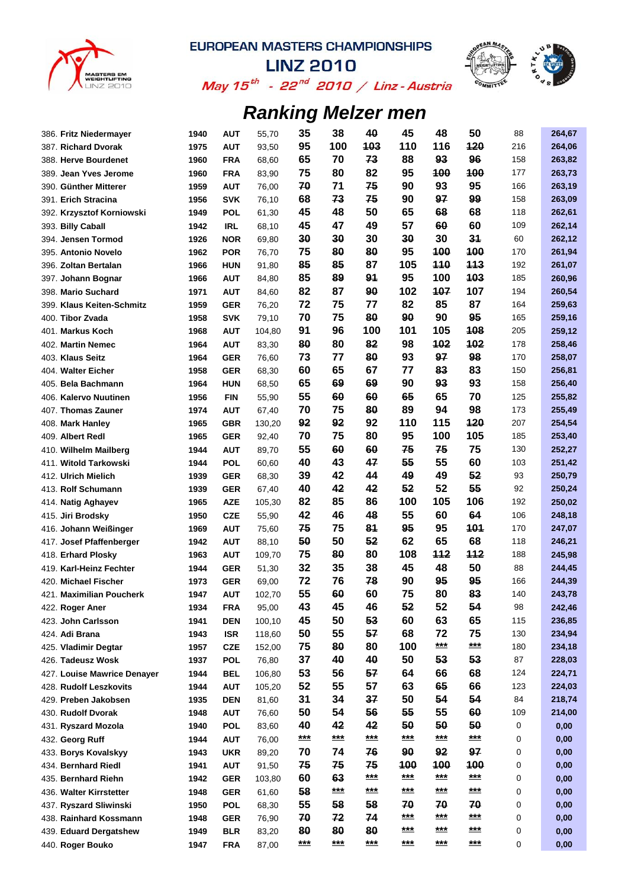



May 15 $^{th}$  - 22 $^{nd}$  2010 / Linz - Austria

| 386. Fritz Niedermayer      | 1940 | <b>AUT</b>               | 55,70  | 35          | 38          | 40        | 45        | 48        | 50        | 88  | 264,67 |
|-----------------------------|------|--------------------------|--------|-------------|-------------|-----------|-----------|-----------|-----------|-----|--------|
| 387. Richard Dvorak         | 1975 | <b>AUT</b>               | 93,50  | 95          | 100         | 103       | 110       | 116       | 120       | 216 | 264,06 |
| 388. Herve Bourdenet        | 1960 | <b>FRA</b>               | 68,60  | 65          | 70          | 73        | 88        | 93        | 96        | 158 | 263,82 |
| 389. Jean Yves Jerome       | 1960 | <b>FRA</b>               | 83,90  | 75          | 80          | 82        | 95        | 100       | 100       | 177 | 263,73 |
| 390. Günther Mitterer       | 1959 | <b>AUT</b>               | 76,00  | 70          | 71          | 75        | 90        | 93        | 95        | 166 | 263,19 |
| 391. Erich Stracina         | 1956 | <b>SVK</b>               | 76,10  | 68          | 73          | 75        | 90        | 97        | 99        | 158 | 263,09 |
| 392. Krzysztof Korniowski   | 1949 | <b>POL</b>               | 61,30  | 45          | 48          | 50        | 65        | 68        | 68        | 118 | 262,61 |
| 393. Billy Caball           | 1942 | <b>IRL</b>               | 68,10  | 45          | 47          | 49        | 57        | 60        | 60        | 109 | 262,14 |
| 394. Jensen Tormod          | 1926 | <b>NOR</b>               | 69,80  | 30          | 30          | 30        | 30        | 30        | 34        | 60  | 262,12 |
| 395. Antonio Novelo         | 1962 | <b>POR</b>               | 76,70  | 75          | 80          | 80        | 95        | 100       | 100       | 170 | 261,94 |
| 396. Zoltan Bertalan        | 1966 | <b>HUN</b>               | 91,80  | 85          | 85          | 87        | 105       | 110       | 113       | 192 | 261,07 |
| 397. Johann Bognar          | 1966 | <b>AUT</b>               | 84,80  | 85          | 89          | 91        | 95        | 100       | 103       | 185 | 260,96 |
| 398. Mario Suchard          | 1971 | <b>AUT</b>               | 84,60  | 82          | 87          | 90        | 102       | 107       | 107       | 194 | 260,54 |
| 399. Klaus Keiten-Schmitz   | 1959 | <b>GER</b>               | 76,20  | 72          | 75          | 77        | 82        | 85        | 87        | 164 | 259,63 |
| 400. Tibor Zvada            | 1958 | <b>SVK</b>               | 79,10  | 70          | 75          | 80        | 90        | 90        | 95        | 165 | 259,16 |
| 401. Markus Koch            | 1968 | <b>AUT</b>               | 104,80 | 91          | 96          | 100       | 101       | 105       | 108       | 205 | 259,12 |
| 402. Martin Nemec           | 1964 | <b>AUT</b>               | 83,30  | 80          | 80          | 82        | 98        | 102       | 102       | 178 | 258,46 |
| 403. Klaus Seitz            | 1964 | <b>GER</b>               | 76,60  | 73          | 77          | 80        | 93        | 97        | 98        | 170 | 258,07 |
| 404. Walter Eicher          | 1958 | <b>GER</b>               | 68,30  | 60          | 65          | 67        | 77        | 83        | 83        | 150 | 256,81 |
| 405. Bela Bachmann          | 1964 | <b>HUN</b>               | 68,50  | 65          | 69          | 69        | 90        | 93        | 93        | 158 | 256,40 |
| 406. Kalervo Nuutinen       | 1956 | <b>FIN</b>               | 55,90  | 55          | 60          | 60        | 65        | 65        | 70        | 125 | 255,82 |
| 407. Thomas Zauner          | 1974 | <b>AUT</b>               | 67,40  | 70          | 75          | 80        | 89        | 94        | 98        | 173 | 255,49 |
| 408. Mark Hanley            | 1965 | <b>GBR</b>               | 130,20 | 92          | 92          | 92        | 110       | 115       | 120       | 207 | 254,54 |
| 409. Albert Redl            | 1965 | <b>GER</b>               | 92,40  | 70          | 75          | 80        | 95        | 100       | 105       | 185 | 253,40 |
| 410. Wilhelm Mailberg       | 1944 | <b>AUT</b>               | 89,70  | 55          | 60          | 60        | 75        | 75        | 75        | 130 | 252,27 |
| 411. Witold Tarkowski       | 1944 | <b>POL</b>               | 60,60  | 40          | 43          | 47        | 55        | 55        | 60        | 103 | 251,42 |
| 412. Ulrich Mielich         | 1939 | <b>GER</b>               | 68,30  | 39          | 42          | 44        | 49        | 49        | 52        | 93  | 250,79 |
| 413. Rolf Schumann          | 1939 | <b>GER</b>               | 67,40  | 40          | 42          | 42        | 52        | 52        | 55        | 92  | 250,24 |
| 414. Natig Aghayev          | 1965 | <b>AZE</b>               | 105,30 | 82          | 85          | 86        | 100       | 105       | 106       | 192 | 250,02 |
| 415. Jiri Brodsky           | 1950 | <b>CZE</b>               | 55,90  | 42          | 46          | 48        | 55        | 60        | 64        | 106 | 248,18 |
| 416. Johann Weißinger       | 1969 | <b>AUT</b>               | 75,60  | 75          | 75          | 81        | 95        | 95        | 101       | 170 | 247,07 |
| 417. Josef Pfaffenberger    | 1942 | <b>AUT</b>               | 88,10  | 50          | 50          | 52        | 62        | 65        | 68        | 118 | 246,21 |
| 418. Erhard Plosky          | 1963 | <b>AUT</b>               | 109,70 | 75          | 80          | 80        | 108       | 112       | 112       | 188 | 245,98 |
| 419. Karl-Heinz Fechter     | 1944 | <b>GER</b>               | 51,30  | 32          | 35          | 38        | 45        | 48        | 50        | 88  | 244,45 |
| 420. Michael Fischer        | 1973 | <b>GER</b>               | 69,00  | 72          | 76          | 78        | 90        | 95        | 95        | 166 | 244,39 |
| 421. Maximilian Poucherk    | 1947 | <b>AUT</b>               | 102,70 | 55          | 60          | 60        | 75        | 80        | 83        | 140 | 243,78 |
| 422. Roger Aner             | 1934 | <b>FRA</b>               | 95,00  | 43          | 45          | 46        | 52        | 52        | 54        | 98  | 242,46 |
| 423. John Carlsson          | 1941 | <b>DEN</b>               | 100,10 | 45          | 50          | 53        | 60        | 63        | 65        | 115 | 236,85 |
| 424. Adi Brana              | 1943 | <b>ISR</b>               | 118,60 | 50          | 55          | 57        | 68        | 72        | 75        | 130 | 234,94 |
| 425. Vladimir Degtar        | 1957 | <b>CZE</b>               | 152,00 | 75          | 80          | 80        | 100       | ***       | ***       | 180 | 234,18 |
| 426. Tadeusz Wosk           | 1937 | <b>POL</b>               | 76,80  | 37          | 40          | 40        | 50        | 53        | 53        | 87  | 228,03 |
| 427. Louise Mawrice Denayer | 1944 | <b>BEL</b>               | 106,80 | 53          | 56          | 57        | 64        | 66        | 68        | 124 | 224,71 |
| 428. Rudolf Leszkovits      | 1944 | <b>AUT</b>               | 105,20 | 52          | 55          | 57        | 63        | 65        | 66        | 123 | 224,03 |
| 429. Preben Jakobsen        | 1935 | <b>DEN</b>               | 81,60  | 31          | 34          | 37        | 50        | 54        | 54        | 84  | 218,74 |
| 430. Rudolf Dvorak          | 1948 |                          |        | 50          | 54          | 56        | 55        | 55        | 60        | 109 | 214,00 |
| 431. Ryszard Mozola         | 1940 | <b>AUT</b><br><b>POL</b> | 76,60  | 40          | 42          | 42        | 50        | 50        | 50        | 0   | 0,00   |
|                             |      |                          | 83,60  | ***         | ***         | ***       | ***       | ***       | $***$     | 0   |        |
| 432. Georg Ruff             | 1944 | <b>AUT</b>               | 76,00  | 70          | 74          | 76        | 90        | 92        | 97        | 0   | 0,00   |
| 433. Borys Kovalskyy        | 1943 | <b>UKR</b>               | 89,20  | 75          | 75          | 75        | 100       | 100       | 100       |     | 0,00   |
| 434. Bernhard Riedl         | 1941 | <b>AUT</b>               | 91,50  |             |             | $***$     | ***       | $***$     | $***$     | 0   | 0,00   |
| 435. Bernhard Riehn         | 1942 | <b>GER</b>               | 103,80 | 60          | 63<br>$***$ | ***       | ***       | $***$     | $***$     | 0   | 0,00   |
| 436. Walter Kirrstetter     | 1948 | <b>GER</b>               | 61,60  | 58          |             |           |           |           |           | 0   | 0,00   |
| 437. Ryszard Sliwinski      | 1950 | <b>POL</b>               | 68,30  | 55          | 58          | 58        | 70<br>*** | 70<br>*** | 70<br>*** | 0   | 0,00   |
| 438. Rainhard Kossmann      | 1948 | <b>GER</b>               | 76,90  | 70          | 72          | 74        | ***       | ***       | ***       | 0   | 0,00   |
| 439. Eduard Dergatshew      | 1949 | <b>BLR</b>               | 83,20  | 80<br>$***$ | 80<br>$***$ | 80<br>*** | ***       | $***$     | ***       | 0   | 0,00   |
| 440. Roger Bouko            | 1947 | <b>FRA</b>               | 87,00  |             |             |           |           |           |           | 0   | 0,00   |